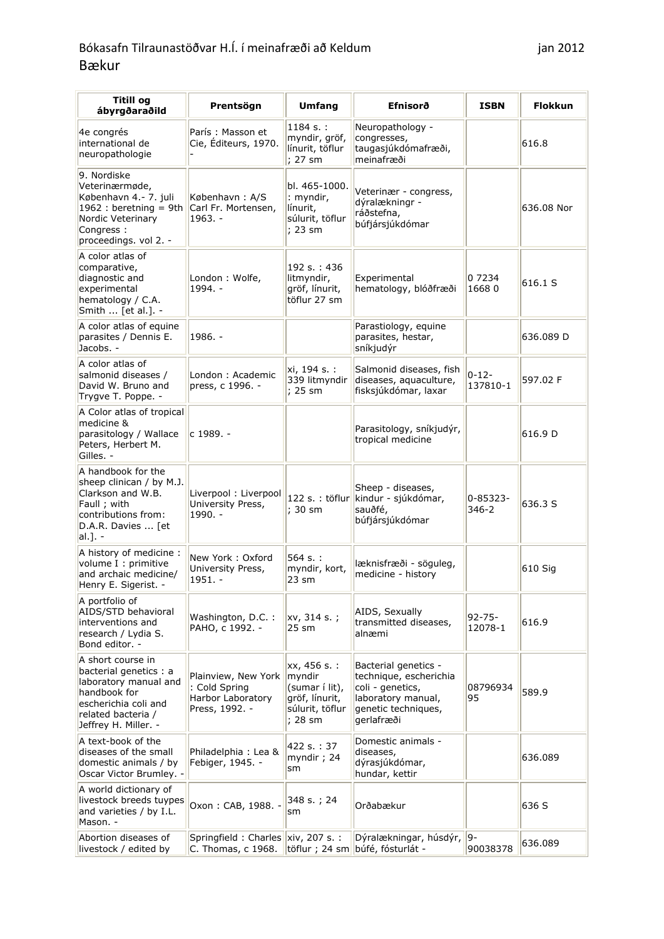| <b>Titill og</b><br>ábyrgðaraðild                                                                                                                          | Prentsögn                                                                          | <b>Umfang</b>                                                                            | Efnisorð                                                                                                                      | <b>ISBN</b>                | <b>Flokkun</b> |
|------------------------------------------------------------------------------------------------------------------------------------------------------------|------------------------------------------------------------------------------------|------------------------------------------------------------------------------------------|-------------------------------------------------------------------------------------------------------------------------------|----------------------------|----------------|
| 4e congrés<br>international de<br>neuropathologie                                                                                                          | París: Masson et<br>Cie, Éditeurs, 1970.                                           | 1184 s.:<br>myndir, gröf,<br>línurit, töflur<br>; 27 sm                                  | Neuropathology -<br>congresses,<br>taugasjúkdómafræði,<br>meinafræði                                                          |                            | 616.8          |
| 9. Nordiske<br>Veterinærmøde,<br>København 4.- 7. juli<br>$1962:$ beretning = 9th<br>Nordic Veterinary<br>Congress :<br>proceedings. vol 2. -              | København: A/S<br>Carl Fr. Mortensen,<br>$1963. -$                                 | bl. 465-1000.<br>$ :$ myndir,<br>línurit,<br>súlurit, töflur<br>; 23 sm                  | Veterinær - congress,<br>dýralækningr -<br>ráðstefna,<br>búfjársjúkdómar                                                      |                            | 636.08 Nor     |
| A color atlas of<br>comparative,<br>diagnostic and<br>experimental<br>hematology / C.A.<br>Smith  [et al.]. -                                              | London: Wolfe,<br>$1994. -$                                                        | 192 s. : 436<br>litmyndir,<br>gröf, línurit,<br>töflur 27 sm                             | Experimental<br>hematology, blóðfræði                                                                                         | 0 7234<br>16680            | 616.1 S        |
| A color atlas of equine<br>parasites / Dennis E.<br>Jacobs. -                                                                                              | $1986. -$                                                                          |                                                                                          | Parastiology, equine<br>parasites, hestar,<br>sníkjudýr                                                                       |                            | 636.089 D      |
| A color atlas of<br>salmonid diseases /<br>David W. Bruno and<br>Trygve T. Poppe. -                                                                        | London: Academic<br>press, c 1996. -                                               | xi, 194 s. :<br>339 litmyndir<br>; 25 sm                                                 | Salmonid diseases, fish<br>diseases, aquaculture,<br>fisksjúkdómar, laxar                                                     | $0 - 12 -$<br>137810-1     | 597.02 F       |
| A Color atlas of tropical<br>medicine &<br>parasitology / Wallace<br>Peters, Herbert M.<br>Gilles. -                                                       | c 1989. -                                                                          |                                                                                          | Parasitology, sníkjudýr,<br>tropical medicine                                                                                 |                            | 616.9 D        |
| A handbook for the<br>sheep clinican / by M.J.<br>Clarkson and W.B.<br>Faull; with<br>contributions from:<br>D.A.R. Davies  [et<br>$al.$ ]. -              | Liverpool: Liverpool<br>University Press,<br>1990. -                               | 122 s. : töflur<br>; 30 sm                                                               | Sheep - diseases,<br>kindur - sjúkdómar,<br>sauðfé,<br>búfjársjúkdómar                                                        | $0 - 85323 -$<br>$346 - 2$ | 636.3 S        |
| A history of medicine :<br>volume I : primitive<br>and archaic medicine/<br>Henry E. Sigerist. -                                                           | New York: Oxford<br>University Press,<br>$1951. -$                                 | 564 s.:<br>myndir, kort,<br>$23 \text{ sm}$                                              | læknisfræði - söguleg,<br>medicine - history                                                                                  |                            | 610 Sig        |
| A portfolio of<br>AIDS/STD behavioral<br>interventions and<br>research / Lydia S.<br>Bond editor. -                                                        | Washington, D.C. :<br>PAHO, c 1992. -                                              | xv, 314 s.;<br>25 sm                                                                     | AIDS, Sexually<br>transmitted diseases,<br>alnæmi                                                                             | $92 - 75 -$<br>12078-1     | 616.9          |
| A short course in<br>bacterial genetics : a<br>laboratory manual and<br>handbook for<br>escherichia coli and<br>related bacteria /<br>Jeffrey H. Miller. - | Plainview, New York<br>: Cold Spring<br><b>Harbor Laboratory</b><br>Press, 1992. - | xx, 456 s. :<br>myndir<br>(sumar í lit),<br>gröf, línurit,<br>súlurit, töflur<br>; 28 sm | Bacterial genetics -<br>technique, escherichia<br>coli - genetics,<br>laboratory manual,<br>genetic techniques,<br>qerlafræði | 08796934<br>95             | 589.9          |
| A text-book of the<br>diseases of the small<br>domestic animals / by<br>Oscar Victor Brumley. -                                                            | Philadelphia: Lea &<br>Febiger, 1945. -                                            | 422 s. : 37<br>myndir; 24<br>sm                                                          | Domestic animals -<br>diseases,<br>dýrasjúkdómar,<br>hundar, kettir                                                           |                            | 636.089        |
| A world dictionary of<br>livestock breeds tuypes<br>and varieties / by I.L.<br>Mason. -                                                                    | Oxon: CAB, 1988. -                                                                 | 348 s.; 24<br>sm                                                                         | Orðabækur                                                                                                                     |                            | 636 S          |
| Abortion diseases of<br>livestock / edited by                                                                                                              | Springfield: Charles<br>$C.$ Thomas, $c$ 1968.                                     | xiv, 207 s. :<br>töflur ; 24 sm                                                          | Dýralækningar, húsdýr,<br>búfé, fósturlát -                                                                                   | $ 9-$<br>90038378          | 636.089        |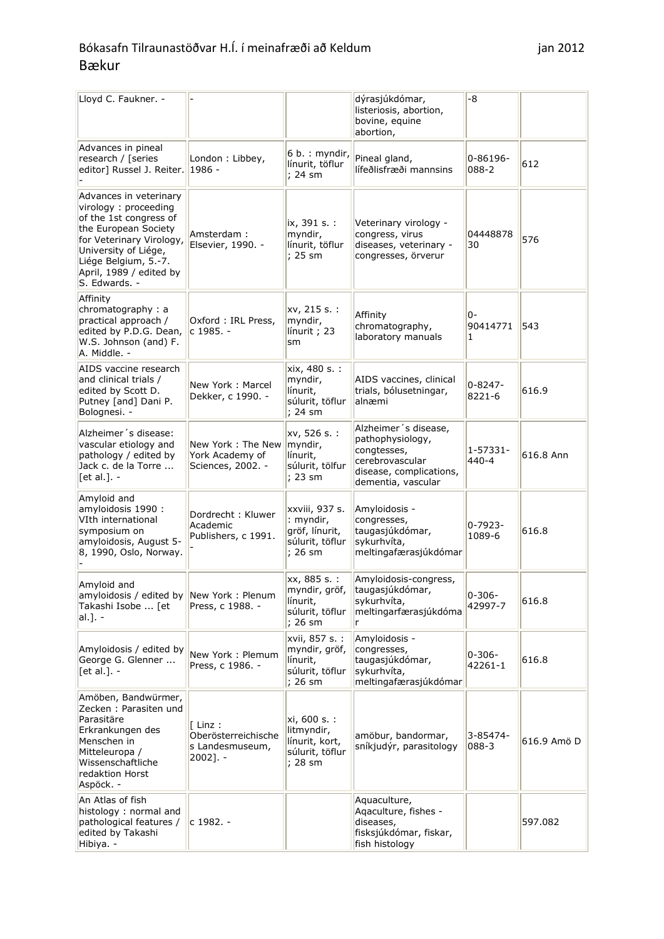| Lloyd C. Faukner. -                                                                                                                                                                                                      |                                                                          |                                                                             | dýrasjúkdómar,<br>listeriosis, abortion,<br>bovine, equine<br>abortion,                                                     | -8                     |             |
|--------------------------------------------------------------------------------------------------------------------------------------------------------------------------------------------------------------------------|--------------------------------------------------------------------------|-----------------------------------------------------------------------------|-----------------------------------------------------------------------------------------------------------------------------|------------------------|-------------|
| Advances in pineal<br>research / [series<br>editor] Russel J. Reiter. 1986 -                                                                                                                                             | London: Libbey,                                                          | 6 b. : myndir,<br>línurit, töflur<br>; 24 sm                                | Pineal gland,<br>lífeðlisfræði mannsins                                                                                     | 0-86196-<br>088-2      | 612         |
| Advances in veterinary<br>virology: proceeding<br>of the 1st congress of<br>the European Society<br>for Veterinary Virology,<br>University of Liége,<br>Liége Belgium, 5.-7.<br>April, 1989 / edited by<br>S. Edwards. - | Amsterdam:<br>Elsevier, 1990. -                                          | ix, 391 s. :<br>myndir,<br>línurit, töflur<br>; 25 sm                       | Veterinary virology -<br>congress, virus<br>diseases, veterinary -<br>congresses, örverur                                   | 04448878<br>30         | 576         |
| Affinity<br>chromatography : a<br>practical approach /<br>edited by P.D.G. Dean,<br>W.S. Johnson (and) F.<br>A. Middle. -                                                                                                | Oxford: IRL Press,<br>c 1985. -                                          | xv, 215 s. :<br>myndir,<br>línurit ; 23<br>sm                               | Affinity<br>chromatography,<br>laboratory manuals                                                                           | 0-<br>90414771<br>1    | 543         |
| AIDS vaccine research<br>and clinical trials /<br>edited by Scott D.<br>Putney [and] Dani P.<br>Bolognesi. -                                                                                                             | New York: Marcel<br>Dekker, c 1990. -                                    | xix, 480 s. :<br>myndir,<br>línurit,<br>súlurit, töflur<br>; 24 sm          | AIDS vaccines, clinical<br>trials, bólusetningar,<br>alnæmi                                                                 | $0 - 8247 -$<br>8221-6 | 616.9       |
| Alzheimer's disease:<br>vascular etiology and<br>pathology / edited by<br>Jack c. de la Torre<br>[et al.]. -                                                                                                             | New York: The New<br>York Academy of<br>Sciences, 2002. -                | xv, 526 s. :<br>myndir,<br>línurit,<br>súlurit, tölfur<br>; 23 sm           | Alzheimer's disease,<br>pathophysiology,<br>congtesses,<br>cerebrovascular<br>disease, complications,<br>dementia, vascular | 1-57331-<br>440-4      | 616.8 Ann   |
| Amyloid and<br>amyloidosis 1990 :<br>VIth international<br>symposium on<br>amyloidosis, August 5-<br>8, 1990, Oslo, Norway.                                                                                              | Dordrecht: Kluwer<br>Academic<br>Publishers, c 1991.                     | xxviii, 937 s.<br>: myndir,<br>gröf, línurit,<br>súlurit, töflur<br>; 26 sm | Amyloidosis -<br>congresses,<br>taugasjúkdómar,<br>sykurhvíta,<br>meltingafærasjúkdómar                                     | $0 - 7923 -$<br>1089-6 | 616.8       |
| Amyloid and<br>amyloidosis / edited by New York: Plenum<br>Takashi Isobe  [et<br>$ al.$ ]. -                                                                                                                             | Press, c 1988. -                                                         | xx, 885 s. :<br>myndir, gröf,<br>línurit,<br>súlurit, töflur<br>; 26 sm     | Amyloidosis-congress,<br>taugasjúkdómar,<br>sykurhvíta,<br>meltingarfærasjúkdóma                                            | $0 - 306 -$<br>42997-7 | 616.8       |
| Amyloidosis / edited by<br>George G. Glenner<br>$[et al.]$ . -                                                                                                                                                           | New York: Plemum<br>Press, c 1986. -                                     | xvii, 857 s. :<br>myndir, gröf,<br>línurit,<br>súlurit, töflur<br>; 26 sm   | Amyloidosis -<br>congresses,<br>taugasjúkdómar,<br>sykurhvíta,<br>meltingafærasjúkdómar                                     | $0 - 306 -$<br>42261-1 | 616.8       |
| Amöben, Bandwürmer,<br>Zecken: Parasiten und<br>Parasitäre<br>Erkrankungen des<br>Menschen in<br>Mitteleuropa /<br>Wissenschaftliche<br>redaktion Horst<br>Aspöck. -                                                     | $\lceil$ Linz :<br>Oberösterreichische<br>s Landesmuseum,<br>$2002$ ]. - | xi, 600 s. :<br>litmyndir,<br>línurit, kort,<br>súlurit, töflur<br>; 28 sm  | amöbur, bandormar,<br>sníkjudýr, parasitology                                                                               | 3-85474-<br>088-3      | 616.9 Amö D |
| An Atlas of fish<br>histology: normal and<br>pathological features /<br>edited by Takashi<br>Hibiya. -                                                                                                                   | c 1982. -                                                                |                                                                             | Aquaculture,<br>Aqaculture, fishes -<br>diseases,<br>fisksjúkdómar, fiskar,<br>fish histology                               |                        | 597.082     |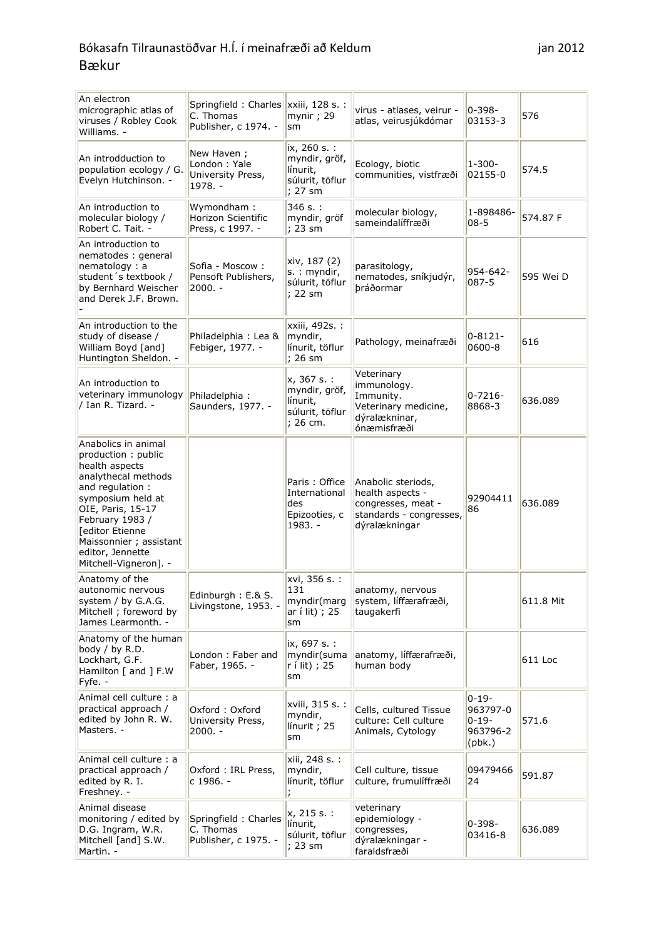| An electron<br>micrographic atlas of<br>viruses / Robley Cook<br>Williams. -                                                                                                                                                                                  | Springfield: Charles   xxiii, 128 s. :<br>C. Thomas<br>Publisher, c 1974. - | mynir ; $29$<br><sub>sm</sub>                                           | virus - atlases, veirur -<br>atlas, veirusjúkdómar                                                       | $ 0 - 398 -$<br>03153-3                                    | 576       |
|---------------------------------------------------------------------------------------------------------------------------------------------------------------------------------------------------------------------------------------------------------------|-----------------------------------------------------------------------------|-------------------------------------------------------------------------|----------------------------------------------------------------------------------------------------------|------------------------------------------------------------|-----------|
| An introdduction to<br>population ecology / G.<br>Evelyn Hutchinson. -                                                                                                                                                                                        | New Haven;<br>London: Yale<br>University Press,<br>$1978. -$                | ix, 260 s. :<br>myndir, gröf,<br>línurit,<br>súlurit, töflur<br>; 27 sm | Ecology, biotic<br>communities, vistfræði                                                                | $1 - 300 -$<br>02155-0                                     | 574.5     |
| An introduction to<br>molecular biology /<br>Robert C. Tait. -                                                                                                                                                                                                | Wymondham:<br>Horizon Scientific<br>Press, c 1997. -                        | 346 s. :<br>myndir, gröf<br>; 23 sm                                     | molecular biology,<br>sameindalíffræði                                                                   | 1-898486-<br>$08 - 5$                                      | 574.87 F  |
| An introduction to<br>nematodes : general<br>nematology: a<br>student's textbook /<br>by Bernhard Weischer<br>and Derek J.F. Brown.                                                                                                                           | Sofia - Moscow:<br>Pensoft Publishers,<br>$2000. -$                         | xiv, 187 (2)<br>$s.$ : myndir,<br>súlurit, töflur<br>; 22 sm            | parasitology,<br>nematodes, sníkjudýr,<br>bráðormar                                                      | 954-642-<br>$087 - 5$                                      | 595 Wei D |
| An introduction to the<br>study of disease /<br>William Boyd [and]<br>Huntington Sheldon. -                                                                                                                                                                   | Philadelphia: Lea &<br>Febiger, 1977. -                                     | xxiii, 492s. :<br>myndir,<br>línurit, töflur<br>; 26 sm                 | Pathology, meinafræði                                                                                    | $0 - 8121 -$<br>0600-8                                     | 616       |
| An introduction to<br>veterinary immunology<br>/ Ian R. Tizard. -                                                                                                                                                                                             | Philadelphia:<br>Saunders, 1977. -                                          | x, 367 s. :<br>myndir, gröf,<br>línurit,<br>súlurit, töflur<br>: 26 cm. | Veterinary<br>immunology.<br>Immunity.<br>Veterinary medicine,<br>dýralækninar,<br>ónæmisfræði           | $0 - 7216 -$<br>8868-3                                     | 636.089   |
| Anabolics in animal<br>production: public<br>health aspects<br>analythecal methods<br>and regulation:<br>symposium held at<br>OIE, Paris, 15-17<br>February 1983 /<br>[editor Etienne<br>Maissonnier ; assistant<br>editor, Jennette<br>Mitchell-Vigneron]. - |                                                                             | Paris: Office<br>International<br>des<br>Epizooties, c<br>1983. -       | Anabolic steriods,<br>health aspects -<br>congresses, meat -<br>standards - congresses,<br>dýralækningar | 92904411<br>86                                             | 636.089   |
| Anatomy of the<br>autonomic nervous<br>system / by G.A.G.<br>Mitchell ; foreword by<br>James Learmonth. -                                                                                                                                                     | Edinburgh: E.& S.<br>Livingstone, 1953. -                                   | xvi, 356 s. :<br>131<br>myndir(marg<br>ar í lit) ; 25<br>sm             | anatomy, nervous<br>system, líffærafræði,<br>taugakerfi                                                  |                                                            | 611.8 Mit |
| Anatomy of the human<br>body $/$ by R.D.<br>Lockhart, G.F.<br>Hamilton [ and ] F.W<br>Fyfe. -                                                                                                                                                                 | London: Faber and<br>Faber, 1965. -                                         | ix, 697 s. :<br>myndir(suma<br>r í lit) ; 25<br>sm                      | anatomy, líffærafræði,<br>human body                                                                     |                                                            | 611 Loc   |
| Animal cell culture : a<br>practical approach /<br>edited by John R. W.<br>Masters. -                                                                                                                                                                         | Oxford: Oxford<br>University Press,<br>$2000. -$                            | xviii, 315 s. :<br>myndir,<br>línurit; 25<br>sm                         | Cells, cultured Tissue<br>culture: Cell culture<br>Animals, Cytology                                     | $0 - 19 -$<br>963797-0<br>$0 - 19 -$<br>963796-2<br>(pbk.) | 571.6     |
| Animal cell culture : a<br>practical approach /<br>edited by R. I.<br>Freshney. -                                                                                                                                                                             | Oxford: IRL Press,<br>c 1986. -                                             | xiii, 248 s. :<br>myndir,<br>línurit, töflur                            | Cell culture, tissue<br>culture, frumulíffræði                                                           | 09479466<br>24                                             | 591.87    |
| Animal disease<br>monitoring / edited by<br>D.G. Ingram, W.R.<br>Mitchell [and] S.W.<br>Martin. -                                                                                                                                                             | Springfield: Charles<br>C. Thomas<br>Publisher, c 1975. -                   | x, 215 s. :<br>línurit,<br>súlurit, töflur<br>; 23 sm                   | veterinary<br>epidemiology -<br>congresses,<br>dýralækningar -<br>faraldsfræði                           | $0 - 398 -$<br>03416-8                                     | 636.089   |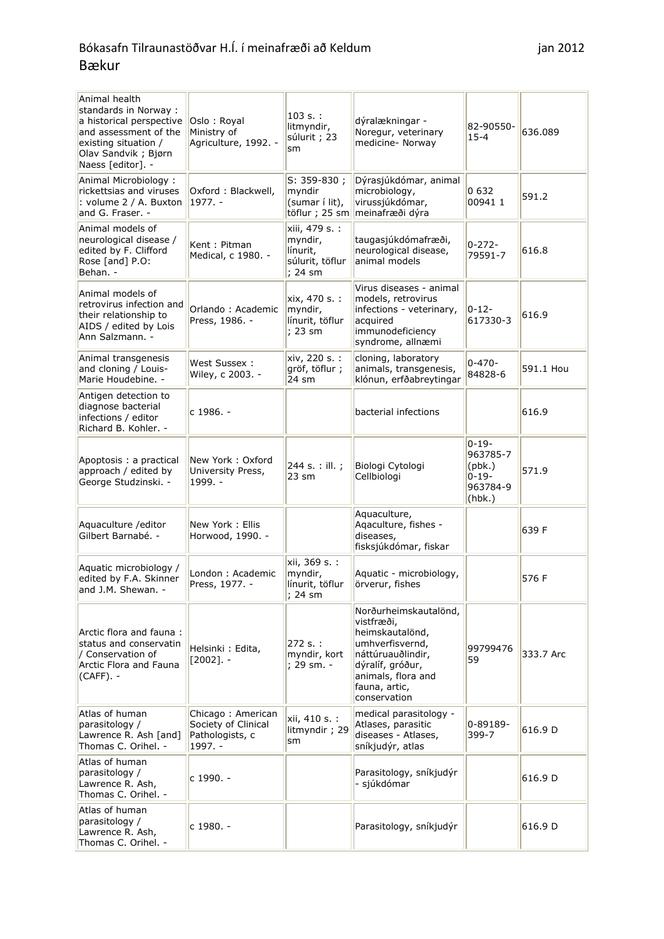| Animal health<br>standards in Norway:<br>a historical perspective<br>and assessment of the<br>existing situation /<br>Olav Sandvik ; Bjørn<br>Naess [editor]. - | Oslo: Royal<br>Ministry of<br>Agriculture, 1992. -                     | 103 s.:<br>litmyndir,<br>súlurit; 23<br>sm                          | dýralækningar -<br>Noregur, veterinary<br>medicine- Norway                                                                                                                | 82-90550-<br>$15 - 4$                                                | 636.089   |
|-----------------------------------------------------------------------------------------------------------------------------------------------------------------|------------------------------------------------------------------------|---------------------------------------------------------------------|---------------------------------------------------------------------------------------------------------------------------------------------------------------------------|----------------------------------------------------------------------|-----------|
| Animal Microbiology:<br>rickettsias and viruses<br>: volume 2 / A. Buxton<br>and G. Fraser. -                                                                   | Oxford: Blackwell,<br>$1977. -$                                        | $S: 359-830;$<br>myndir<br>(sumar í lit),<br>töflur ; 25 sm         | Dýrasjúkdómar, animal<br>microbiology,<br>virussjúkdómar,<br>meinafræði dýra                                                                                              | 0 6 3 2<br>009411                                                    | 591.2     |
| Animal models of<br>neurological disease /<br>edited by F. Clifford<br>Rose [and] P.O:<br>Behan. -                                                              | Kent: Pitman<br>Medical, c 1980. -                                     | xiii, 479 s. :<br>myndir,<br>línurit,<br>súlurit, töflur<br>; 24 sm | taugasjúkdómafræði,<br>neurological disease,<br>animal models                                                                                                             | $0 - 272 -$<br>79591-7                                               | 616.8     |
| Animal models of<br>retrovirus infection and<br>their relationship to<br>AIDS / edited by Lois<br>Ann Salzmann. -                                               | Orlando: Academic<br>Press, 1986. -                                    | xix, 470 s. :<br>myndir,<br>línurit, töflur<br>; 23 sm              | Virus diseases - animal<br>models, retrovirus<br>infections - veterinary,<br>acquired<br>immunodeficiency<br>syndrome, allnæmi                                            | $0 - 12 -$<br>617330-3                                               | 616.9     |
| Animal transgenesis<br>and cloning / Louis-<br>Marie Houdebine. -                                                                                               | West Sussex :<br>Wiley, c 2003. -                                      | xiv, 220 s. :<br>gröf, töflur ;<br>24 sm                            | cloning, laboratory<br>animals, transgenesis,<br>klónun, erfðabreytingar                                                                                                  | $0 - 470 -$<br>84828-6                                               | 591.1 Hou |
| Antigen detection to<br>diagnose bacterial<br>infections / editor<br>Richard B. Kohler. -                                                                       | c 1986. -                                                              |                                                                     | bacterial infections                                                                                                                                                      |                                                                      | 616.9     |
| Apoptosis : a practical<br>approach / edited by<br>George Studzinski. -                                                                                         | New York: Oxford<br>University Press,<br>1999. -                       | 244 s. : ill. ;<br>$23 \text{ sm}$                                  | Biologi Cytologi<br>Cellbiologi                                                                                                                                           | $0 - 19 -$<br>963785-7<br>(pbk.)<br>$0 - 19 -$<br>963784-9<br>(hbk.) | 571.9     |
| Aquaculture / editor<br>Gilbert Barnabé. -                                                                                                                      | New York: Ellis<br>Horwood, 1990. -                                    |                                                                     | Aquaculture,<br>Aqaculture, fishes -<br>diseases,<br>fisksjúkdómar, fiskar                                                                                                |                                                                      | 639 F     |
| Aquatic microbiology /<br>edited by F.A. Skinner<br>and J.M. Shewan. -                                                                                          | London: Academic<br>Press, 1977. -                                     | xii, 369 s. :<br>myndir,<br>línurit, töflur<br>; 24 sm              | Aquatic - microbiology,<br>örverur, fishes                                                                                                                                |                                                                      | 576 F     |
| Arctic flora and fauna:<br>status and conservatin<br>/ Conservation of<br>Arctic Flora and Fauna<br>$(CAFF)$ . -                                                | Helsinki: Edita,<br>$[2002]$ . -                                       | 272 s. :<br>myndir, kort<br>: 29 sm. -                              | Norðurheimskautalönd,<br>vistfræði,<br>heimskautalönd,<br>umhverfisvernd,<br>náttúruauðlindir,<br>dýralíf, gróður,<br>animals, flora and<br>fauna, artic,<br>conservation | 99799476<br>59                                                       | 333.7 Arc |
| Atlas of human<br>parasitology /<br>Lawrence R. Ash [and]<br>Thomas C. Orihel. -                                                                                | Chicago: American<br>Society of Clinical<br>Pathologists, c<br>1997. - | xii, 410 s. :<br>litmyndir; 29<br>sm                                | medical parasitology -<br>Atlases, parasitic<br>diseases - Atlases,<br>sníkjudýr, atlas                                                                                   | 0-89189-<br>399-7                                                    | 616.9 D   |
| Atlas of human<br>parasitology /<br>Lawrence R. Ash,<br>Thomas C. Orihel. -                                                                                     | c 1990. -                                                              |                                                                     | Parasitology, sníkjudýr<br>- sjúkdómar                                                                                                                                    |                                                                      | 616.9 D   |
| Atlas of human<br>parasitology /<br>Lawrence R. Ash,<br>Thomas C. Orihel. -                                                                                     | c 1980. -                                                              |                                                                     | Parasitology, sníkjudýr                                                                                                                                                   |                                                                      | 616.9 D   |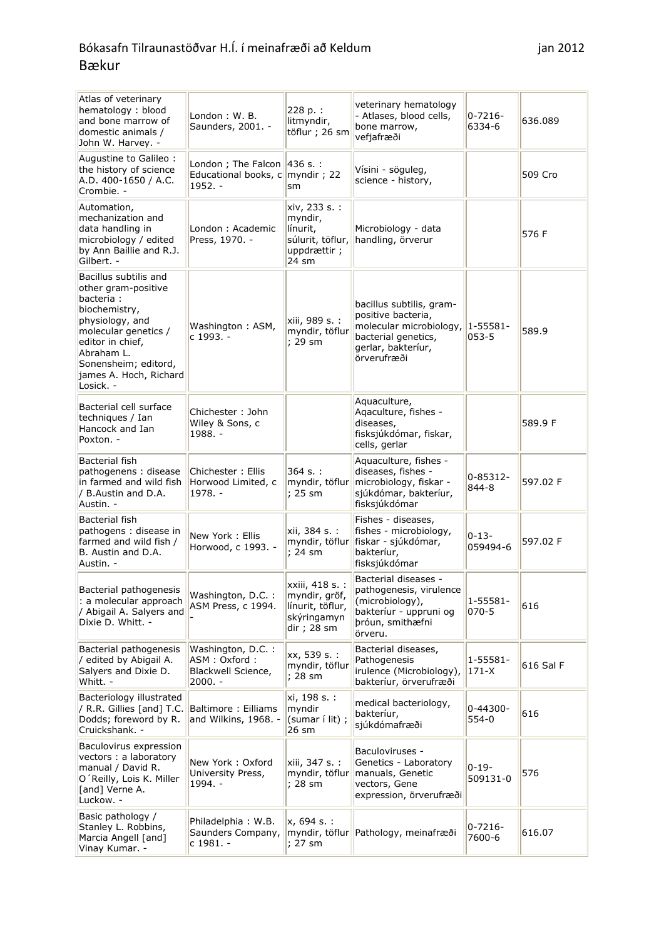| Atlas of veterinary<br>hematology: blood<br>and bone marrow of<br>domestic animals /<br>John W. Harvey. -                                                                                                              | London: W.B.<br>Saunders, 2001. -                                               | 228 p. :<br>litmyndir,<br>töflur ; 26 sm                                                   | veterinary hematology<br>- Atlases, blood cells,<br>bone marrow,<br>vefjafræði                                                        | $0 - 7216 -$<br>6334-6     | 636.089   |
|------------------------------------------------------------------------------------------------------------------------------------------------------------------------------------------------------------------------|---------------------------------------------------------------------------------|--------------------------------------------------------------------------------------------|---------------------------------------------------------------------------------------------------------------------------------------|----------------------------|-----------|
| Augustine to Galileo:<br>the history of science<br>A.D. 400-1650 / A.C.<br>Crombie. -                                                                                                                                  | London; The Falcon $ 436$ s.:<br>Educational books, $c$ myndir; 22<br>$1952. -$ | sm                                                                                         | Vísini - söguleg,<br>science - history,                                                                                               |                            | 509 Cro   |
| Automation,<br>mechanization and<br>data handling in<br>microbiology / edited<br>by Ann Baillie and R.J.<br>Gilbert. -                                                                                                 | London: Academic<br>Press, 1970. -                                              | xiv, 233 s. :<br>myndir,<br>línurit,<br>súlurit, töflur,<br>uppdrættir;<br>$24 \text{ sm}$ | Microbiology - data<br>handling, örverur                                                                                              |                            | 576 F     |
| Bacillus subtilis and<br>other gram-positive<br>bacteria:<br>biochemistry,<br>physiology, and<br>molecular genetics /<br>editor in chief,<br>Abraham L.<br>Sonensheim; editord,<br>james A. Hoch, Richard<br>Losick. - | Washington: ASM,<br>c 1993. -                                                   | xiii, 989 s. :<br>myndir, töflur<br>: 29 sm                                                | bacillus subtilis, gram-<br>positive bacteria,<br>molecular microbiology,<br>bacterial genetics,<br>gerlar, bakteríur,<br>örverufræði | $1 - 55581 -$<br>$053 - 5$ | 589.9     |
| Bacterial cell surface<br>techniques / Ian<br>Hancock and Ian<br>Poxton. -                                                                                                                                             | Chichester: John<br>Wiley & Sons, c<br>1988. -                                  |                                                                                            | Aquaculture,<br>Aqaculture, fishes -<br>diseases,<br>fisksjúkdómar, fiskar,<br>cells, gerlar                                          |                            | 589.9 F   |
| Bacterial fish<br>pathogenens: disease<br>in farmed and wild fish<br>/ B.Austin and D.A.<br>Austin. -                                                                                                                  | Chichester: Ellis<br>Horwood Limited, c<br>$1978. -$                            | 364 s.:<br>myndir, töflur<br>: 25 sm                                                       | Aquaculture, fishes -<br>diseases, fishes -<br>microbiology, fiskar -<br>sjúkdómar, bakteríur,<br>fisksjúkdómar                       | $0 - 85312 -$<br>844-8     | 597.02 F  |
| <b>Bacterial fish</b><br>pathogens : disease in<br>farmed and wild fish /<br>B. Austin and D.A.<br>Austin. -                                                                                                           | New York: Ellis<br>Horwood, c 1993. -                                           | xii, 384 s. :<br>myndir, töflur<br>; 24 sm                                                 | Fishes - diseases,<br>fishes - microbiology,<br>fiskar - sjúkdómar,<br>bakteríur,<br>fisksjúkdómar                                    | $0 - 13 -$<br>059494-6     | 597.02 F  |
| Bacterial pathogenesis<br>: a molecular approach<br>/ Abigail A. Salyers and<br>Dixie D. Whitt. -                                                                                                                      | Washington, D.C. :<br>ASM Press, c 1994.                                        | xxiii, 418 s. :<br>myndir, gröf,<br>línurit, töflur,<br>skýringamyn<br>dir ; 28 sm         | Bacterial diseases -<br>pathogenesis, virulence<br>(microbiology),<br>bakteríur - uppruni og<br>þróun, smithæfni<br>örveru.           | 1-55581-<br>$070 - 5$      | 616       |
| Bacterial pathogenesis<br>/ edited by Abigail A.<br>Salyers and Dixie D.<br>Whitt. -                                                                                                                                   | Washington, D.C. :<br>ASM: Oxford:<br>Blackwell Science,<br>$2000. -$           | xx, 539 s. :<br>myndir, töflur<br>; 28 sm                                                  | Bacterial diseases,<br>Pathogenesis<br>irulence (Microbiology),<br>bakteríur, örverufræði                                             | 1-55581-<br>$171-X$        | 616 Sal F |
| Bacteriology illustrated<br>/ R.R. Gillies [and] T.C.<br>Dodds; foreword by R.<br>Cruickshank. -                                                                                                                       | Baltimore: Eilliams<br>and Wilkins, 1968. -                                     | xi, 198 s. :<br>myndir<br>(sumar í lit) ;<br>26 sm                                         | medical bacteriology,<br>bakteríur,<br>sjúkdómafræði                                                                                  | $0 - 44300 -$<br>$554-0$   | 616       |
| Baculovirus expression<br>vectors : a laboratory<br>manual / David R.<br>O'Reilly, Lois K. Miller<br>[and] Verne A.<br>Luckow. -                                                                                       | New York: Oxford<br>University Press,<br>1994. -                                | xiii, 347 s. :<br>myndir, töflur<br>; 28 sm                                                | Baculoviruses -<br>Genetics - Laboratory<br>manuals, Genetic<br>vectors, Gene<br>expression, örverufræði                              | $0 - 19 -$<br>509131-0     | 576       |
| Basic pathology /<br>Stanley L. Robbins,<br>Marcia Angell [and]<br>Vinay Kumar. -                                                                                                                                      | Philadelphia: W.B.<br>Saunders Company,<br>c 1981. -                            | x, 694 s. :<br>myndir, töflur<br>; 27 sm                                                   | Pathology, meinafræði                                                                                                                 | $0 - 7216 -$<br>7600-6     | 616.07    |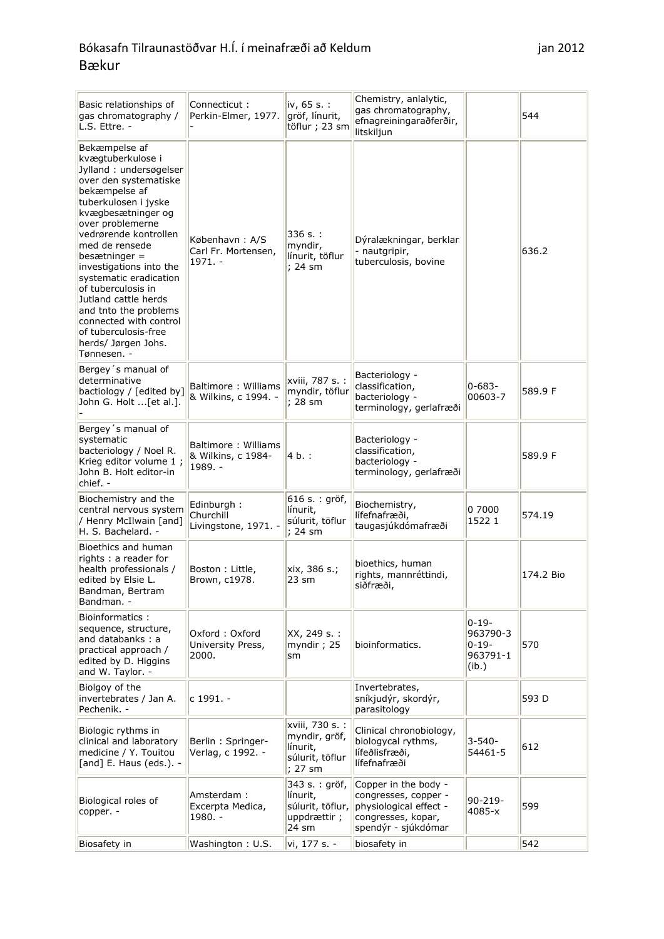### Bókasafn Tilraunastöðvar H.Í. í meinafræði að Keldum var að stær stær stær þan 2012 Bækur

| Basic relationships of<br>gas chromatography /<br>L.S. Ettre. -                                                                                                                                                                                                                                                                                                                                                                                            | Connecticut:<br>Perkin-Elmer, 1977.                  | iv, 65 s. :<br>gröf, línurit,<br>töflur ; 23 sm                            | Chemistry, anlalytic,<br>gas chromatography,<br>efnagreiningaraðferðir,<br>litskiljun                               |                                                           | 544       |
|------------------------------------------------------------------------------------------------------------------------------------------------------------------------------------------------------------------------------------------------------------------------------------------------------------------------------------------------------------------------------------------------------------------------------------------------------------|------------------------------------------------------|----------------------------------------------------------------------------|---------------------------------------------------------------------------------------------------------------------|-----------------------------------------------------------|-----------|
| Bekæmpelse af<br>kvægtuberkulose i<br>Jylland: undersøgelser<br>over den systematiske<br>bekæmpelse af<br>tuberkulosen i jyske<br>kvægbesætninger og<br>over problemerne<br>vedrørende kontrollen<br>med de rensede<br>besætninger $=$<br>investigations into the<br>systematic eradication<br>of tuberculosis in<br>Jutland cattle herds<br>and tnto the problems<br>connected with control<br>of tuberculosis-free<br>herds/ Jørgen Johs.<br>Tønnesen. - | København: A/S<br>Carl Fr. Mortensen,<br>1971. -     | 336 s.:<br>myndir,<br>línurit, töflur<br>; 24 sm                           | Dýralækningar, berklar<br>- nautgripir,<br>tuberculosis, bovine                                                     |                                                           | 636.2     |
| Bergey 's manual of<br>determinative<br>bactiology / [edited by]<br>John G. Holt [et al.].                                                                                                                                                                                                                                                                                                                                                                 | Baltimore: Williams<br>& Wilkins, c 1994. -          | xviii, 787 s. :<br>myndir, töflur<br>; 28 sm                               | Bacteriology -<br>classification,<br>bacteriology -<br>terminology, gerlafræði                                      | $0 - 683 -$<br>00603-7                                    | 589.9 F   |
| Bergey's manual of<br>systematic<br>bacteriology / Noel R.<br>Krieg editor volume 1;<br>John B. Holt editor-in<br>chief. -                                                                                                                                                                                                                                                                                                                                 | Baltimore: Williams<br>& Wilkins, c 1984-<br>1989. - | 4 b. :                                                                     | Bacteriology -<br>classification,<br>bacteriology -<br>terminology, gerlafræði                                      |                                                           | 589.9 F   |
| Biochemistry and the<br>central nervous system<br>/ Henry McIlwain [and]<br>H. S. Bachelard. -                                                                                                                                                                                                                                                                                                                                                             | Edinburgh:<br>Churchill<br>Livingstone, 1971. -      | 616 s. : gröf,<br>línurit,<br>súlurit, töflur<br>; 24 sm                   | Biochemistry,<br>lífefnafræði,<br>taugasjúkdómafræði                                                                | 0 7000<br>1522 1                                          | 574.19    |
| Bioethics and human<br>rights: a reader for<br>health professionals /<br>edited by Elsie L.<br>Bandman, Bertram<br>Bandman. -                                                                                                                                                                                                                                                                                                                              | Boston: Little,<br>Brown, c1978.                     | xix, 386 s.;<br>$23 \text{ sm}$                                            | bioethics, human<br>rights, mannréttindi,<br>siðfræði,                                                              |                                                           | 174.2 Bio |
| Bioinformatics :<br>sequence, structure,<br>and databanks: a<br>practical approach /<br>edited by D. Higgins<br>and W. Taylor. -                                                                                                                                                                                                                                                                                                                           | Oxford: Oxford<br>University Press,<br>2000.         | XX, 249 s. :<br>myndir ; 25<br>sm                                          | bioinformatics.                                                                                                     | $0 - 19 -$<br>963790-3<br>$0 - 19 -$<br>963791-1<br>(ib.) | 570       |
| Biolgoy of the<br>invertebrates / Jan A.<br>Pechenik. -                                                                                                                                                                                                                                                                                                                                                                                                    | c 1991. -                                            |                                                                            | Invertebrates,<br>sníkjudýr, skordýr,<br>parasitology                                                               |                                                           | 593 D     |
| Biologic rythms in<br>clinical and laboratory<br>medicine / Y. Touitou<br>[and] E. Haus (eds.). -                                                                                                                                                                                                                                                                                                                                                          | Berlin: Springer-<br>Verlag, c 1992. -               | xviii, 730 s. :<br>myndir, gröf,<br>línurit,<br>súlurit, töflur<br>; 27 sm | Clinical chronobiology,<br>biologycal rythms,<br>lífeðlisfræði,<br>lífefnafræði                                     | 3-540-<br>54461-5                                         | 612       |
| Biological roles of<br>copper. -                                                                                                                                                                                                                                                                                                                                                                                                                           | Amsterdam:<br>Excerpta Medica,<br>1980. -            | 343 s. : gröf,<br>línurit,<br>súlurit, töflur,<br>uppdrættir;<br>24 sm     | Copper in the body -<br>congresses, copper -<br>physiological effect -<br>congresses, kopar,<br>spendýr - sjúkdómar | $90 - 219 -$<br>4085-x                                    | 599       |

Biosafety in Washington : U.S. vi, 177 s. - biosafety in 542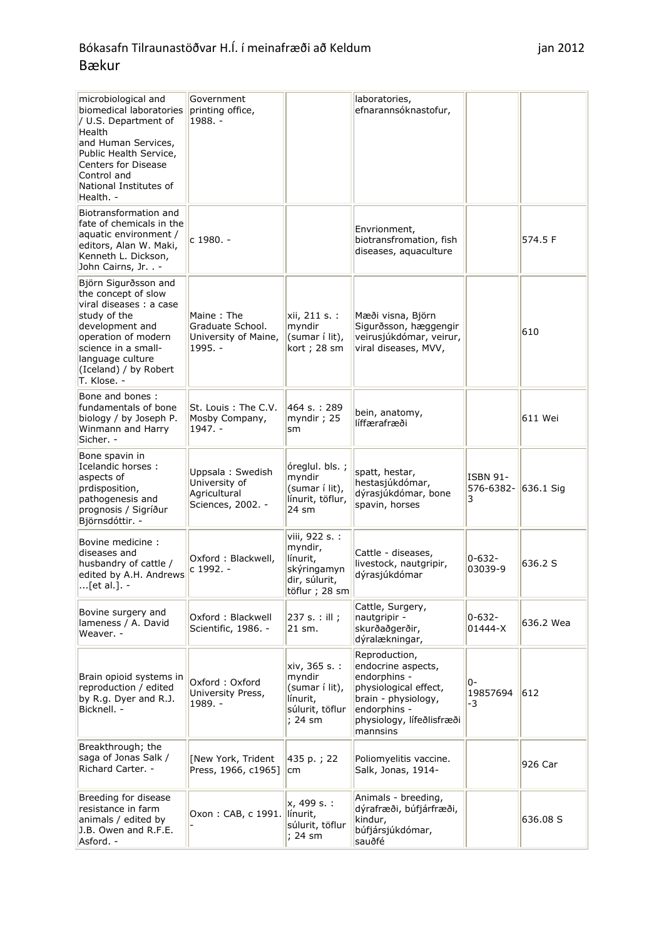| microbiological and<br>biomedical laboratories<br>/ U.S. Department of<br>Health<br>and Human Services,<br>Public Health Service,<br><b>Centers for Disease</b><br>Control and<br>National Institutes of<br>Health. - | Government<br>printing office,<br>1988. -                              |                                                                                         | laboratories,<br>efnarannsóknastofur,                                                                                                                        |                                   |              |
|-----------------------------------------------------------------------------------------------------------------------------------------------------------------------------------------------------------------------|------------------------------------------------------------------------|-----------------------------------------------------------------------------------------|--------------------------------------------------------------------------------------------------------------------------------------------------------------|-----------------------------------|--------------|
| Biotransformation and<br>fate of chemicals in the<br>aquatic environment /<br>editors, Alan W. Maki,<br>Kenneth L. Dickson,<br>John Cairns, Jr. . -                                                                   | c 1980. -                                                              |                                                                                         | Envrionment,<br>biotransfromation, fish<br>diseases, aquaculture                                                                                             |                                   | 574.5 F      |
| Björn Sigurðsson and<br>the concept of slow<br>viral diseases : a case<br>study of the<br>development and<br>operation of modern<br>science in a small-<br>language culture<br>(Iceland) / by Robert<br>T. Klose. -   | Maine: The<br>Graduate School.<br>University of Maine,<br>$1995. -$    | xii, 211 s. :<br>myndir<br>(sumar í lit),<br>kort ; 28 sm                               | Mæði visna, Björn<br>Sigurðsson, hæggengir<br>veirusjúkdómar, veirur,<br>viral diseases, MVV,                                                                |                                   | 610          |
| Bone and bones:<br>fundamentals of bone<br>biology / by Joseph P.<br>Winmann and Harry<br>Sicher. -                                                                                                                   | St. Louis: The C.V.<br>Mosby Company,<br>$1947. -$                     | 464 s.: 289<br>myndir ; 25<br>sm                                                        | bein, anatomy,<br>líffærafræði                                                                                                                               |                                   | 611 Wei      |
| Bone spavin in<br>Icelandic horses :<br>aspects of<br>prdisposition,<br>pathogenesis and<br>prognosis / Sigríður<br>Björnsdóttir. -                                                                                   | Uppsala: Swedish<br>University of<br>Agricultural<br>Sciences, 2002. - | óreglul. bls.;<br>myndir<br>(sumar í lit),<br>línurit, töflur,<br>24 sm                 | spatt, hestar,<br>hestasjúkdómar,<br>dýrasjúkdómar, bone<br>spavin, horses                                                                                   | <b>ISBN 91-</b><br>576-6382-<br>3 | $ 636.1$ Sig |
| Bovine medicine :<br>diseases and<br>husbandry of cattle /<br>edited by A.H. Andrews<br>$\dots$ [et al. ]. -                                                                                                          | Oxford: Blackwell,<br>c 1992. -                                        | viii, 922 s. :<br>myndir,<br>línurit,<br>skýringamyn<br>dir, súlurit,<br>töflur ; 28 sm | Cattle - diseases,<br>livestock, nautgripir,<br>dýrasjúkdómar                                                                                                | $0 - 632 -$<br>03039-9            | 636.2 S      |
| Bovine surgery and<br>lameness / A. David<br>Weaver. -                                                                                                                                                                | Oxford: Blackwell<br>Scientific, 1986. -                               | 237 s. : ill ;<br>21 sm.                                                                | Cattle, Surgery,<br>nautgripir -<br>skurðaðgerðir,<br>dýralækningar,                                                                                         | $0 - 632 -$<br>01444-X            | 636.2 Wea    |
| Brain opioid systems in<br>reproduction / edited<br>by R.g. Dyer and R.J.<br>Bicknell. -                                                                                                                              | Oxford: Oxford<br>University Press,<br>1989. -                         | xiv, 365 s. :<br>myndir<br>(sumar í lit),<br>línurit,<br>súlurit, töflur<br>; 24 sm     | Reproduction,<br>endocrine aspects,<br>endorphins -<br>physiological effect,<br>brain - physiology,<br>endorphins -<br>physiology, lífeðlisfræði<br>mannsins | $0 -$<br>19857694<br>-3           | 612          |
| Breakthrough; the<br>saga of Jonas Salk /<br>Richard Carter. -                                                                                                                                                        | [New York, Trident<br>Press, 1966, c1965]                              | 435 p.; 22<br>cm                                                                        | Poliomyelitis vaccine.<br>Salk, Jonas, 1914-                                                                                                                 |                                   | 926 Car      |
| Breeding for disease<br>resistance in farm<br>animals / edited by<br>J.B. Owen and R.F.E.<br>Asford. -                                                                                                                | Oxon: CAB, c 1991.                                                     | x, 499 s. :<br>línurit,<br>súlurit, töflur<br>; 24 sm                                   | Animals - breeding,<br>dýrafræði, búfjárfræði,<br>kindur,<br>búfjársjúkdómar,<br>sauðfé                                                                      |                                   | 636.08 S     |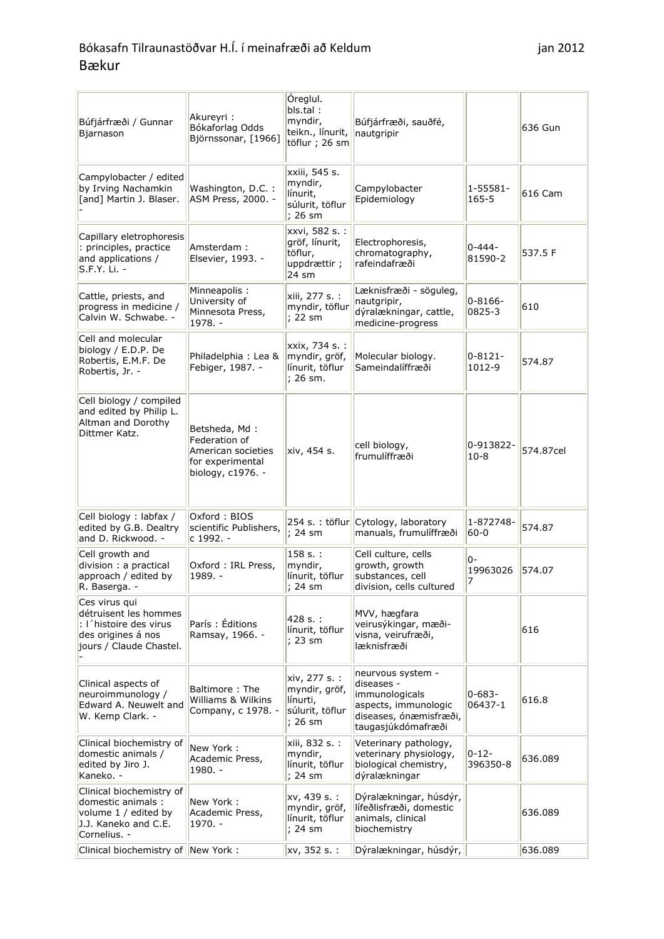### Bókasafn Tilraunastöðvar H.Í. í meinafræði að Keldum var var stóður sama þan 2012 Bækur

| Búfjárfræði / Gunnar<br>Bjarnason                                                                                 | Akureyri:<br>Bókaforlag Odds<br>Björnssonar, [1966]                                           | Óreglul.<br>bls.tal:<br>myndir,<br>teikn., línurit,<br>töflur ; 26 sm    | Búfjárfræði, sauðfé,<br>nautgripir                                                                                        |                        | 636 Gun   |
|-------------------------------------------------------------------------------------------------------------------|-----------------------------------------------------------------------------------------------|--------------------------------------------------------------------------|---------------------------------------------------------------------------------------------------------------------------|------------------------|-----------|
| Campylobacter / edited<br>by Irving Nachamkin<br>[and] Martin J. Blaser.                                          | Washington, D.C. :<br>ASM Press, 2000. -                                                      | xxiii, 545 s.<br>myndir,<br>línurit,<br>súlurit, töflur<br>; 26 sm       | Campylobacter<br>Epidemiology                                                                                             | 1-55581-<br>$165 - 5$  | 616 Cam   |
| Capillary eletrophoresis<br>: principles, practice<br>and applications /<br>S.F.Y. Li. -                          | Amsterdam:<br>Elsevier, 1993. -                                                               | xxvi, 582 s. :<br>gröf, línurit,<br>töflur,<br>uppdrættir;<br>24 sm      | Electrophoresis,<br>chromatography,<br>rafeindafræði                                                                      | $0 - 444 -$<br>81590-2 | 537.5 F   |
| Cattle, priests, and<br>progress in medicine /<br>Calvin W. Schwabe. -                                            | Minneapolis:<br>University of<br>Minnesota Press,<br>1978. -                                  | xiii, 277 s. :<br>myndir, töflur<br>: 22 sm                              | Læknisfræði - söguleg,<br>nautgripir,<br>dýralækningar, cattle,<br>medicine-progress                                      | 0-8166-<br>0825-3      | 610       |
| Cell and molecular<br>biology / E.D.P. De<br>Robertis, E.M.F. De<br>Robertis, Jr. -                               | Philadelphia: Lea &<br>Febiger, 1987. -                                                       | xxix, 734 s. :<br>myndir, gröf,<br>línurit, töflur<br>: 26 sm.           | Molecular biology.<br>Sameindalíffræði                                                                                    | $0 - 8121 -$<br>1012-9 | 574.87    |
| Cell biology / compiled<br>and edited by Philip L.<br>Altman and Dorothy<br>Dittmer Katz.                         | Betsheda, Md:<br>Federation of<br>American societies<br>for experimental<br>biology, c1976. - | xiv, 454 s.                                                              | cell biology,<br>frumulíffræði                                                                                            | 0-913822-<br>$10 - 8$  | 574.87cel |
| Cell biology : labfax /<br>edited by G.B. Dealtry<br>and D. Rickwood. -                                           | Oxford: BIOS<br>scientific Publishers,<br>c 1992. -                                           | 254 s.: töflur<br>; 24 sm                                                | Cytology, laboratory<br>manuals, frumulíffræði                                                                            | 1-872748-<br>60-0      | 574.87    |
| Cell growth and<br>division : a practical<br>approach / edited by<br>R. Baserga. -                                | Oxford: IRL Press,<br>1989. -                                                                 | 158 s. :<br>myndir,<br>línurit, töflur<br>; 24 sm                        | Cell culture, cells<br>growth, growth<br>substances, cell<br>division, cells cultured                                     | $0 -$<br>19963026<br>7 | 574.07    |
| Ces virus qui<br>détruisent les hommes<br>: l'histoire des virus<br>des origines á nos<br>jours / Claude Chastel. | París: Éditions<br>Ramsay, 1966. -                                                            | 428 s. :<br>línurit, töflur<br>; 23 sm                                   | MVV, hægfara<br>veirusýkingar, mæði-<br>visna, veirufræði,<br>læknisfræði                                                 |                        | 616       |
| Clinical aspects of<br>neuroimmunology /<br>Edward A. Neuwelt and<br>W. Kemp Clark. -                             | Baltimore: The<br>Williams & Wilkins<br>Company, c 1978. -                                    | xiv, 277 s. :<br>myndir, gröf,<br>línurti,<br>súlurit, töflur<br>; 26 sm | neurvous system -<br>diseases -<br>immunologicals<br>aspects, immunologic<br>diseases, ónæmisfræði,<br>taugasjúkdómafræði | $0 - 683 -$<br>06437-1 | 616.8     |
| Clinical biochemistry of<br>domestic animals /<br>edited by Jiro J.<br>Kaneko. -                                  | New York:<br>Academic Press,<br>$1980. -$                                                     | xiii, 832 s. :<br>myndir,<br>línurit, töflur<br>; 24 sm                  | Veterinary pathology,<br>veterinary physiology,<br>biological chemistry,<br>dýralækningar                                 | $0 - 12 -$<br>396350-8 | 636.089   |
| Clinical biochemistry of<br>domestic animals :<br>volume 1 / edited by<br>J.J. Kaneko and C.E.<br>Cornelius. -    | New York:<br>Academic Press,<br>$1970. -$                                                     | xv, 439 s. :<br>myndir, gröf,<br>línurit, töflur<br>; 24 sm              | Dýralækningar, húsdýr,<br>lífeðlisfræði, domestic<br>animals, clinical<br>biochemistry                                    |                        | 636.089   |
| Clinical biochemistry of New York:                                                                                |                                                                                               | xv, 352 s. :                                                             | Dýralækningar, húsdýr,                                                                                                    |                        | 636.089   |

L,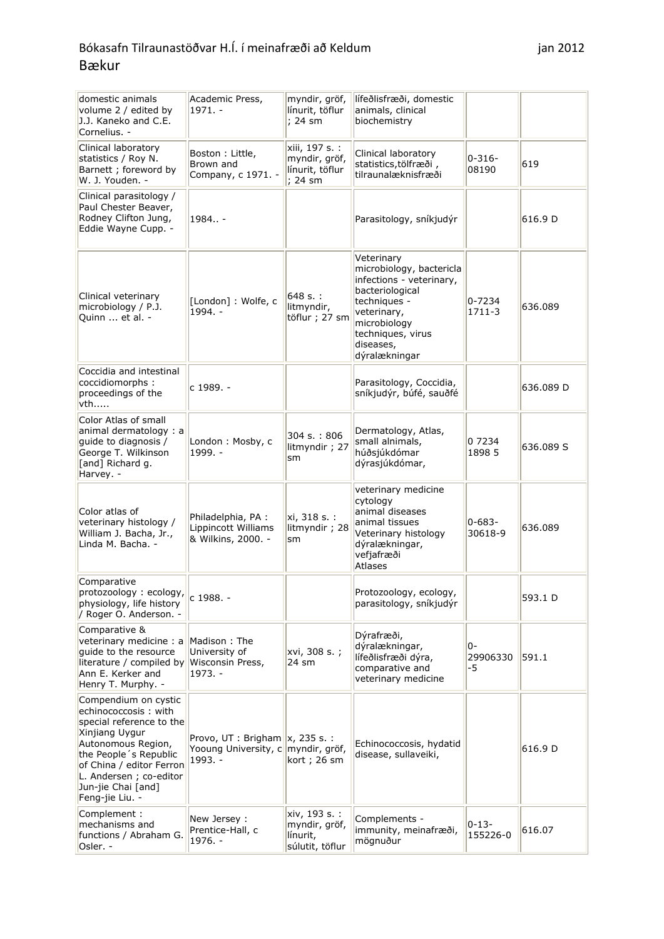### Bókasafn Tilraunastöðvar H.Í. í meinafræði að Keldum var var stóður sama þan 2012 Bækur

| domestic animals<br>volume 2 / edited by<br>J.J. Kaneko and C.E.<br>Cornelius. -                                                                                                                                                          | Academic Press,<br>$1971. -$                                                            | myndir, gröf,<br>línurit, töflur<br>; 24 sm                   | lífeðlisfræði, domestic<br>animals, clinical<br>biochemistry                                                                                                                            |                        |           |
|-------------------------------------------------------------------------------------------------------------------------------------------------------------------------------------------------------------------------------------------|-----------------------------------------------------------------------------------------|---------------------------------------------------------------|-----------------------------------------------------------------------------------------------------------------------------------------------------------------------------------------|------------------------|-----------|
| Clinical laboratory<br>statistics / Roy N.<br>Barnett ; foreword by<br>W. J. Youden. -                                                                                                                                                    | Boston : Little,<br>Brown and<br>Company, c 1971. -                                     | xiii, 197 s. :<br>myndir, gröf,<br>línurit, töflur<br>; 24 sm | Clinical laboratory<br>statistics, tölfræði,<br>İtilraunalæknisfræði                                                                                                                    | $0 - 316 -$<br>08190   | 619       |
| Clinical parasitology /<br>Paul Chester Beaver,<br>Rodney Clifton Jung,<br>Eddie Wayne Cupp. -                                                                                                                                            | $1984. -$                                                                               |                                                               | Parasitology, sníkjudýr                                                                                                                                                                 |                        | 616.9 D   |
| Clinical veterinary<br>microbiology / P.J.<br>Quinn  et al. -                                                                                                                                                                             | [London]: Wolfe, c<br>$1994. -$                                                         | 648 s.:<br>litmyndir,<br>töflur ; 27 sm                       | Veterinary<br>microbiology, bactericla<br>infections - veterinary,<br>bacteriological<br>techniques -<br>veterinary,<br>microbiology<br>techniques, virus<br>diseases,<br>dýralækningar | 0-7234<br>$1711 - 3$   | 636.089   |
| Coccidia and intestinal<br>coccidiomorphs :<br>proceedings of the<br>vth                                                                                                                                                                  | c 1989. -                                                                               |                                                               | Parasitology, Coccidia,<br>sníkjudýr, búfé, sauðfé                                                                                                                                      |                        | 636.089 D |
| Color Atlas of small<br>animal dermatology : a<br>guide to diagnosis /<br>George T. Wilkinson<br>[and] Richard g.<br>Harvey. -                                                                                                            | London: Mosby, c<br>1999. -                                                             | 304 s.: 806<br>litmyndir; 27<br>sm                            | Dermatology, Atlas,<br>small alnimals,<br>húðsjúkdómar<br>dýrasjúkdómar,                                                                                                                | 0 7234<br>1898 5       | 636.089 S |
| Color atlas of<br>veterinary histology /<br>William J. Bacha, Jr.,<br>Linda M. Bacha. -                                                                                                                                                   | Philadelphia, PA :<br>Lippincott Williams<br>& Wilkins, 2000. -                         | xi, 318 s. :<br>litmyndir; 28<br>sm                           | veterinary medicine<br>cytology<br>animal diseases<br>animal tissues<br>Veterinary histology<br>dýralækningar,<br>vefjafræði<br>Atlases                                                 | $0 - 683 -$<br>30618-9 | 636.089   |
| Comparative<br>protozoology: ecology,<br>physiology, life history<br>/ Roger O. Anderson. -                                                                                                                                               | c 1988. -                                                                               |                                                               | Protozoology, ecology,<br>parasitology, sníkjudýr                                                                                                                                       |                        | 593.1 D   |
| Comparative &<br>veterinary medicine: a Madison: The<br>quide to the resource<br>literature / compiled by Wisconsin Press,<br>Ann E. Kerker and<br>Henry T. Murphy. -                                                                     | University of<br>$1973. -$                                                              | xvi, 308 s.;<br>24 sm                                         | Dýrafræði,<br>dýralækningar,<br>lífeðlisfræði dýra,<br>comparative and<br>veterinary medicine                                                                                           | 0-<br>29906330<br>-5   | 591.1     |
| Compendium on cystic<br>echinococcosis: with<br>special reference to the<br>Xinjiang Uygur<br>Autonomous Region,<br>the People's Republic<br>of China / editor Ferron<br>L. Andersen ; co-editor<br>Jun-jie Chai [and]<br>Feng-jie Liu. - | Provo, UT : Brigham $\ x\ $ , 235 s. :<br>Yooung University, c myndir, gröf,<br>1993. - | kort ; 26 sm                                                  | Echinococcosis, hydatid<br>disease, sullaveiki,                                                                                                                                         |                        | 616.9 D   |
| Complement :<br>mechanisms and<br>functions / Abraham G.<br>Osler. -                                                                                                                                                                      | New Jersey :<br>Prentice-Hall, c<br>$1976. -$                                           | xiv, 193 s. :<br>myndir, gröf,<br>línurit,<br>súlutit, töflur | Complements -<br>immunity, meinafræði,<br>mögnuður                                                                                                                                      | $0 - 13 -$<br>155226-0 | 616.07    |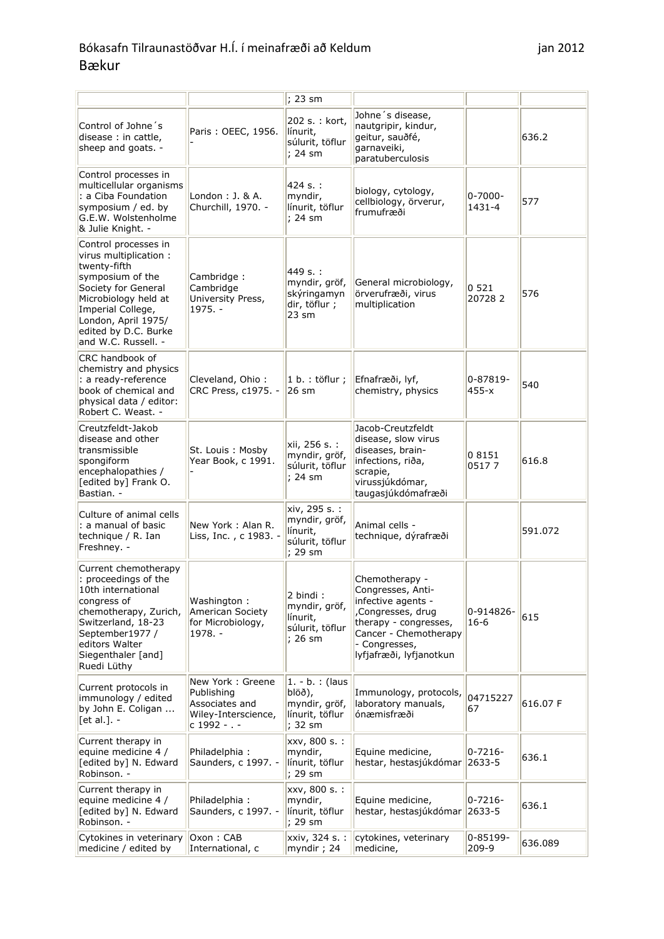|                                                                                                                                                                                                                             |                                                                                         | ; 23 sm                                                                      |                                                                                                                                                                              |                            |          |
|-----------------------------------------------------------------------------------------------------------------------------------------------------------------------------------------------------------------------------|-----------------------------------------------------------------------------------------|------------------------------------------------------------------------------|------------------------------------------------------------------------------------------------------------------------------------------------------------------------------|----------------------------|----------|
| Control of Johne's<br>disease : in cattle,<br>sheep and goats. -                                                                                                                                                            | Paris: OEEC, 1956.                                                                      | 202 s. : kort,<br>línurit,<br>súlurit, töflur<br>; 24 sm                     | Johne's disease,<br>nautgripir, kindur,<br>geitur, sauðfé,<br>garnaveiki,<br>paratuberculosis                                                                                |                            | 636.2    |
| Control processes in<br>multicellular organisms<br>: a Ciba Foundation<br>symposium / ed. by<br>G.E.W. Wolstenholme<br>& Julie Knight. -                                                                                    | London: J. & A.<br>Churchill, 1970. -                                                   | 424 s. :<br>myndir,<br>línurit, töflur<br>; 24 sm                            | biology, cytology,<br>cellbiology, örverur,<br>frumufræði                                                                                                                    | $0 - 7000 -$<br>1431-4     | 577      |
| Control processes in<br>virus multiplication:<br>twenty-fifth<br>symposium of the<br>Society for General<br>Microbiology held at<br>Imperial College,<br>London, April 1975/<br>edited by D.C. Burke<br>and W.C. Russell. - | Cambridge:<br>Cambridge<br>University Press,<br>$1975. -$                               | 449 s. :<br>myndir, gröf,<br>skýringamyn<br>dir, töflur ;<br>$23 \text{ sm}$ | General microbiology,<br>örverufræði, virus<br>multiplication                                                                                                                | 0 521<br>207282            | 576      |
| CRC handbook of<br>chemistry and physics<br>: a ready-reference<br>book of chemical and<br>physical data / editor:<br>Robert C. Weast. -                                                                                    | Cleveland, Ohio:<br>CRC Press, c1975. -                                                 | 1 b. : töflur ;<br>26 sm                                                     | Efnafræði, lyf,<br>chemistry, physics                                                                                                                                        | 0-87819-<br>$455-x$        | 540      |
| Creutzfeldt-Jakob<br>disease and other<br>transmissible<br>spongiform<br>encephalopathies /<br>[edited by] Frank O.<br>Bastian. -                                                                                           | St. Louis: Mosby<br>Year Book, c 1991.                                                  | xii, 256 s. :<br>myndir, gröf,<br>súlurit, töflur<br>; 24 sm                 | Jacob-Creutzfeldt<br>disease, slow virus<br>diseases, brain-<br>infections, riða,<br>scrapie,<br>virussjúkdómar,<br>taugasjúkdómafræði                                       | 08151<br>05177             | 616.8    |
| Culture of animal cells<br>: a manual of basic<br>technique / R. Ian<br>Freshney. -                                                                                                                                         | New York: Alan R.<br>Liss, Inc., c 1983. -                                              | xiv, 295 s. :<br>myndir, gröf,<br>línurit,<br>súlurit, töflur<br>; 29 sm     | Animal cells -<br>technique, dýrafræði                                                                                                                                       |                            | 591.072  |
| Current chemotherapy<br>: proceedings of the<br>10th international<br>congress of<br>chemotherapy, Zurich,<br>Switzerland, 18-23<br>September1977 /<br>editors Walter<br>Siegenthaler [and]<br>Ruedi Lüthy                  | Washington:<br>American Society<br>for Microbiology,<br>1978. -                         | 2 bindi:<br>myndir, gröf,<br>línurit,<br>súlurit, töflur<br>; 26 sm          | Chemotherapy -<br>Congresses, Anti-<br>infective agents -<br>,Congresses, drug<br>therapy - congresses,<br>Cancer - Chemotherapy<br>- Congresses,<br>lyfjafræði, lyfjanotkun | 0-914826-<br>$16 - 6$      | 615      |
| Current protocols in<br>immunology / edited<br>by John E. Coligan<br>[et al.]. -                                                                                                                                            | New York: Greene<br>Publishing<br>Associates and<br>Wiley-Interscience,<br>c 1992 - . - | $1. - b. :$ (laus<br>blöð),<br>myndir, gröf,<br>línurit, töflur<br>; 32 sm   | Immunology, protocols,<br>laboratory manuals,<br>ónæmisfræði                                                                                                                 | 04715227<br>67             | 616.07 F |
| Current therapy in<br>equine medicine 4 /<br>[edited by] N. Edward<br>Robinson. -                                                                                                                                           | Philadelphia:<br>Saunders, c 1997. -                                                    | xxv, 800 s. :<br>myndir,<br>línurit, töflur<br>; 29 sm                       | Equine medicine,<br>hestar, hestasjúkdómar                                                                                                                                   | $0 - 7216 -$<br>$ 2633-5 $ | 636.1    |
| Current therapy in<br>equine medicine 4 /<br>[edited by] N. Edward<br>Robinson. -                                                                                                                                           | Philadelphia:<br>Saunders, c 1997. -                                                    | xxv, 800 s. :<br>myndir,<br>línurit, töflur<br>; 29 sm                       | Equine medicine,<br>hestar, hestasjúkdómar                                                                                                                                   | 0-7216-<br>2633-5          | 636.1    |
| Cytokines in veterinary<br>medicine / edited by                                                                                                                                                                             | Oxon: CAB<br>International, c                                                           | xxiv, 324 s. :<br>myndir ; $24$                                              | cytokines, veterinary<br>medicine,                                                                                                                                           | $0 - 85199 -$<br>209-9     | 636.089  |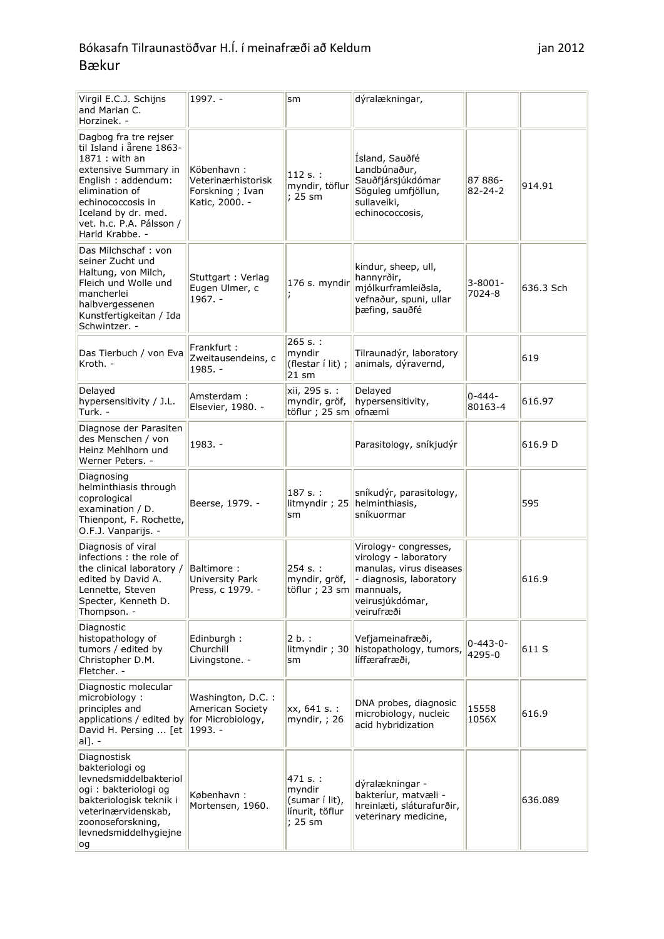| Virgil E.C.J. Schijns<br>and Marian C.<br>Horzinek. -                                                                                                                                                                           | 1997. -                                                                | sm                                                                 | dýralækningar,                                                                                                                       |                           |           |
|---------------------------------------------------------------------------------------------------------------------------------------------------------------------------------------------------------------------------------|------------------------------------------------------------------------|--------------------------------------------------------------------|--------------------------------------------------------------------------------------------------------------------------------------|---------------------------|-----------|
| Dagbog fra tre rejser<br>til Island i årene 1863-<br>$1871:$ with an<br>extensive Summary in<br>English: addendum:<br>elimination of<br>echinococcosis in<br>Iceland by dr. med.<br>vet. h.c. P.A. Pálsson /<br>Harld Krabbe. - | Köbenhavn:<br>Veterinærhistorisk<br>Forskning ; Ivan<br>Katic, 2000. - | 112 s.:<br>myndir, töflur<br>: 25 sm                               | Ísland, Sauðfé<br>Landbúnaður,<br>Sauðfjársjúkdómar<br>Söguleg umfjöllun,<br>sullaveiki,<br>echinococcosis,                          | 87 886-<br>82-24-2        | 914.91    |
| Das Milchschaf: von<br>seiner Zucht und<br>Haltung, von Milch,<br>Fleich und Wolle und<br>mancherlei<br>halbvergessenen<br>Kunstfertigkeitan / Ida<br>Schwintzer. -                                                             | Stuttgart: Verlag<br>Eugen Ulmer, c<br>$1967. -$                       | 176 s. myndir                                                      | kindur, sheep, ull,<br>hannyrðir,<br>mjólkurframleiðsla,<br>vefnaður, spuni, ullar<br>þæfing, sauðfé                                 | $3 - 8001 -$<br>7024-8    | 636.3 Sch |
| Das Tierbuch / von Eva<br>Kroth. -                                                                                                                                                                                              | Frankfurt:<br>Zweitausendeins, c<br>1985. -                            | 265 s.:<br>myndir<br>(flestar í lit);<br>$21 \text{ sm}$           | Tilraunadýr, laboratory<br>animals, dýravernd,                                                                                       |                           | 619       |
| Delayed<br>hypersensitivity / J.L.<br>Turk. -                                                                                                                                                                                   | Amsterdam:<br>Elsevier, 1980. -                                        | xii, 295 s. :<br>myndir, gröf,<br>töflur ; 25 sm                   | Delayed<br>hypersensitivity,<br>ofnæmi                                                                                               | $0 - 444 -$<br>80163-4    | 616.97    |
| Diagnose der Parasiten<br>des Menschen / von<br>Heinz Mehlhorn und<br>Werner Peters. -                                                                                                                                          | 1983. -                                                                |                                                                    | Parasitology, sníkjudýr                                                                                                              |                           | 616.9 D   |
| Diagnosing<br>helminthiasis through<br>coprological<br>examination / D.<br>Thienpont, F. Rochette,<br>O.F.J. Vanparijs. -                                                                                                       | Beerse, 1979. -                                                        | 187 s.:<br>litmyndir; 25<br>sm                                     | sníkudýr, parasitology,<br>helminthiasis,<br>sníkuormar                                                                              |                           | 595       |
| Diagnosis of viral<br>infections: the role of<br>the clinical laboratory /<br>edited by David A.<br>Lennette, Steven<br>Specter, Kenneth D.<br>Thompson. -                                                                      | Baltimore:<br>University Park<br>Press, c 1979. -                      | 254 s.:<br>myndir, gröf,<br>töflur ; 23 sm  mannuals,              | Virology-congresses,<br>virology - laboratory<br>manulas, virus diseases<br>- diagnosis, laboratory<br>veirusjúkdómar,<br>veirufræði |                           | 616.9     |
| Diagnostic<br>histopathology of<br>tumors / edited by<br>Christopher D.M.<br>Fletcher. -                                                                                                                                        | Edinburgh:<br>Churchill<br>Livingstone. -                              | 2 b. :<br>litmyndir; 30<br>sm                                      | Vefjameinafræði,<br>histopathology, tumors,<br>líffærafræði,                                                                         | $0 - 443 - 0 -$<br>4295-0 | 611 S     |
| Diagnostic molecular<br>microbiology:<br>principles and<br>applications / edited by<br>David H. Persing  [et<br>al]. -                                                                                                          | Washington, D.C. :<br>American Society<br>for Microbiology,<br>1993. - | xx, 641 s. :<br>myndir, $; 26$                                     | DNA probes, diagnosic<br>microbiology, nucleic<br>acid hybridization                                                                 | 15558<br>1056X            | 616.9     |
| Diagnostisk<br>bakteriologi og<br>levnedsmiddelbakteriol<br>ogi: bakteriologi og<br>bakteriologisk teknik i<br>veterinærvidenskab,<br>zoonoseforskning,<br>levnedsmiddelhygiejne<br>og                                          | København:<br>Mortensen, 1960.                                         | 471 s. :<br>myndir<br>(sumar í lit),<br>línurit, töflur<br>; 25 sm | dýralækningar -<br>bakteríur, matvæli -<br>hreinlæti, sláturafurðir,<br>veterinary medicine,                                         |                           | 636.089   |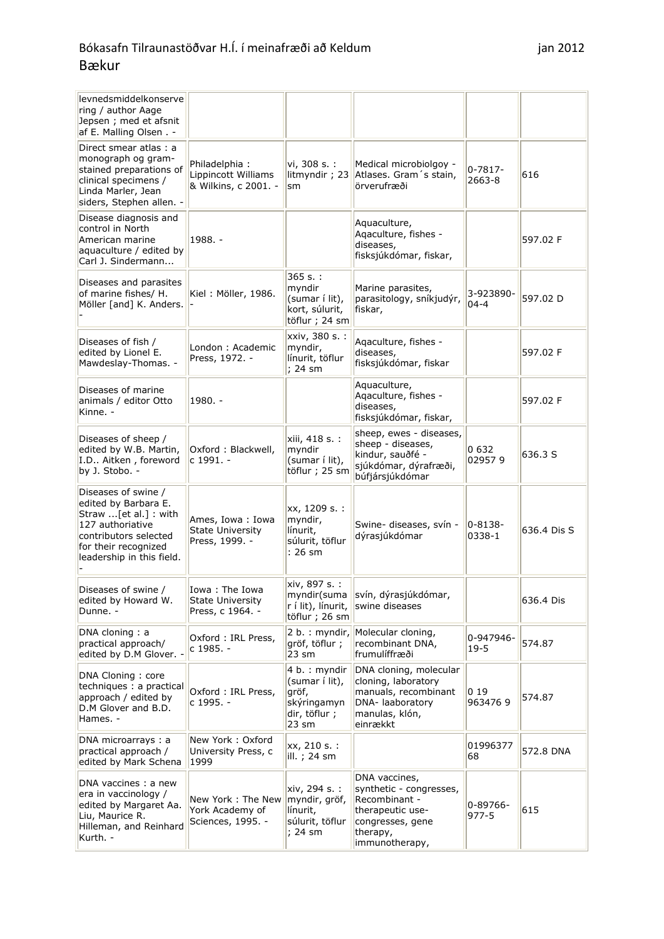| levnedsmiddelkonserve<br>ring / author Aage<br>Jepsen ; med et afsnit<br>af E. Malling Olsen. -                                                                        |                                                               |                                                                                              |                                                                                                                                 |                        |             |
|------------------------------------------------------------------------------------------------------------------------------------------------------------------------|---------------------------------------------------------------|----------------------------------------------------------------------------------------------|---------------------------------------------------------------------------------------------------------------------------------|------------------------|-------------|
| Direct smear atlas: a<br>monograph og gram-<br>stained preparations of<br>clinical specimens /<br>Linda Marler, Jean<br>siders, Stephen allen. -                       | Philadelphia:<br>Lippincott Williams<br>& Wilkins, c 2001. -  | vi, 308 s. :<br>litmyndir; 23<br>sm                                                          | Medical microbiolgoy -<br>Atlases. Gram 's stain,<br>örverufræði                                                                | $0 - 7817 -$<br>2663-8 | 616         |
| Disease diagnosis and<br>control in North<br>American marine<br>aquaculture / edited by<br>Carl J. Sindermann                                                          | 1988. -                                                       |                                                                                              | Aquaculture,<br>Aqaculture, fishes -<br>diseases,<br>fisksjúkdómar, fiskar,                                                     |                        | 597.02 F    |
| Diseases and parasites<br>of marine fishes/ H.<br>Möller [and] K. Anders.                                                                                              | Kiel: Möller, 1986.                                           | 365 s.:<br>myndir<br>(sumar í lit),<br>kort, súlurit,<br>töflur ; 24 sm                      | Marine parasites,<br>parasitology, sníkjudýr,<br>fiskar,                                                                        | 3-923890-<br>$04 - 4$  | 597.02 D    |
| Diseases of fish /<br>edited by Lionel E.<br>Mawdeslay-Thomas. -                                                                                                       | London: Academic<br>Press, 1972. -                            | xxiv, 380 s. :<br>myndir,<br>línurit, töflur<br>; 24 sm                                      | Aqaculture, fishes -<br>diseases,<br>fisksjúkdómar, fiskar                                                                      |                        | 597.02 F    |
| Diseases of marine<br>animals / editor Otto<br>Kinne. -                                                                                                                | 1980. -                                                       |                                                                                              | Aquaculture,<br>Aqaculture, fishes -<br>diseases,<br>fisksjúkdómar, fiskar,                                                     |                        | 597.02 F    |
| Diseases of sheep /<br>edited by W.B. Martin,<br>I.D Aitken, foreword<br>by J. Stobo. -                                                                                | Oxford: Blackwell,<br>c 1991. -                               | xiii, 418 s. :<br>myndir<br>(sumar í lit),<br>töflur ; 25 sm                                 | sheep, ewes - diseases,<br>sheep - diseases,<br>kindur, sauðfé -<br>sjúkdómar, dýrafræði,<br>búfjársjúkdómar                    | 0 632<br>029579        | 636.3 S     |
| Diseases of swine /<br>edited by Barbara E.<br>Straw [et al.] : with<br>127 authoriative<br>contributors selected<br>for their recognized<br>leadership in this field. | Ames, Iowa: Iowa<br><b>State University</b><br>Press, 1999. - | xx, 1209 s. :<br>myndir,<br>línurit,<br>súlurit, töflur<br>: 26 sm                           | Swine- diseases, svín -<br>dýrasjúkdómar                                                                                        | $0 - 8138 -$<br>0338-1 | 636.4 Dis S |
| Diseases of swine /<br>edited by Howard W.<br>Dunne. -                                                                                                                 | Iowa: The Iowa<br><b>State University</b><br>Press, c 1964. - | xiv, 897 s. :<br>myndir(suma<br>r í lit), línurit,<br>töflur ; 26 sm                         | svín, dýrasjúkdómar,<br>swine diseases                                                                                          |                        | 636.4 Dis   |
| DNA cloning: a<br>practical approach/<br>edited by D.M Glover. -                                                                                                       | Oxford: IRL Press,<br>c 1985. -                               | 2 b. : myndir,<br>gröf, töflur;<br>23 sm                                                     | Molecular cloning,<br>recombinant DNA,<br>frumulíffræði                                                                         | 0-947946-<br>$19-5$    | 574.87      |
| DNA Cloning: core<br>techniques : a practical<br>approach / edited by<br>D.M Glover and B.D.<br>Hames. -                                                               | Oxford: IRL Press,<br>c 1995. -                               | 4 b. : myndir<br>(sumar í lit),<br>gröf,<br>skýringamyn<br>dir, töflur;<br>$23 \, \text{sm}$ | DNA cloning, molecular<br>cloning, laboratory<br>manuals, recombinant<br>DNA-laaboratory<br>manulas, klón,<br>einrækkt          | 0 19<br>9634769        | 574.87      |
| DNA microarrays: a<br>practical approach /<br>edited by Mark Schena                                                                                                    | New York: Oxford<br>University Press, c<br>1999               | xx, 210 s. :<br>ill.; 24 sm                                                                  |                                                                                                                                 | 01996377<br>68         | 572.8 DNA   |
| DNA vaccines : a new<br>era in vaccinology /<br>edited by Margaret Aa.<br>Liu, Maurice R.<br>Hilleman, and Reinhard<br>Kurth. -                                        | New York: The New<br>York Academy of<br>Sciences, 1995. -     | xiv, 294 s. :<br>myndir, gröf,<br>línurit,<br>súlurit, töflur<br>; 24 sm                     | DNA vaccines,<br>synthetic - congresses,<br>Recombinant -<br>therapeutic use-<br>congresses, gene<br>therapy,<br>immunotherapy, | 0-89766-<br>$977 - 5$  | 615         |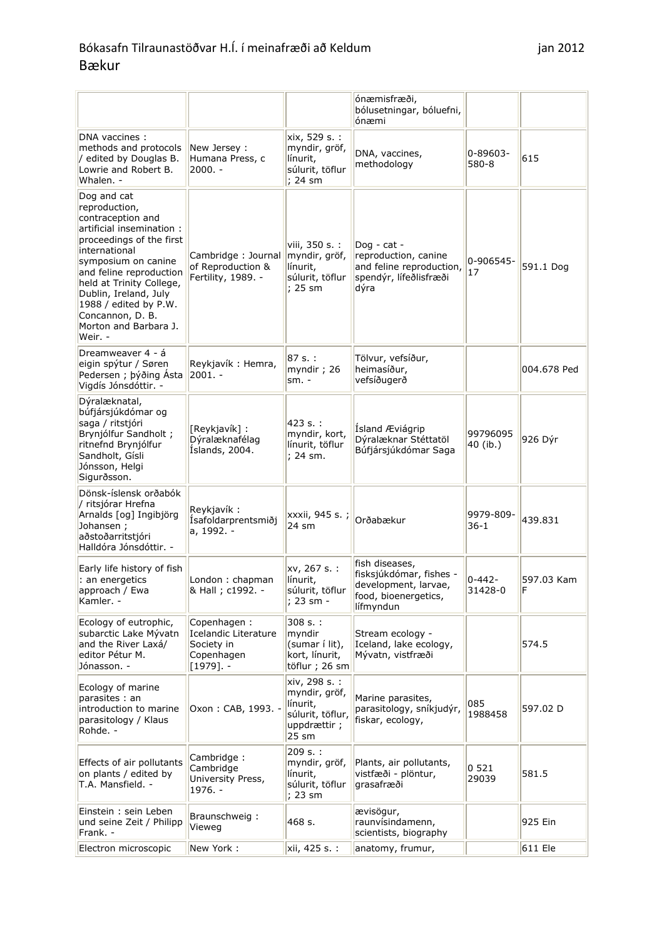|                                                                                                                                                                                                                                                                                                                     |                                                                                 |                                                                                        | ónæmisfræði,<br>bólusetningar, bóluefni,<br>ónæmi                                                      |                        |             |
|---------------------------------------------------------------------------------------------------------------------------------------------------------------------------------------------------------------------------------------------------------------------------------------------------------------------|---------------------------------------------------------------------------------|----------------------------------------------------------------------------------------|--------------------------------------------------------------------------------------------------------|------------------------|-------------|
| DNA vaccines :<br>methods and protocols<br>/ edited by Douglas B.<br>Lowrie and Robert B.<br>Whalen. -                                                                                                                                                                                                              | New Jersey :<br>Humana Press, c<br>2000. -                                      | xix, 529 s. :<br>myndir, gröf,<br>línurit,<br>súlurit, töflur<br>; 24 sm               | DNA, vaccines,<br>methodology                                                                          | 0-89603-<br>580-8      | 615         |
| Dog and cat<br>reproduction,<br>contraception and<br>artificial insemination :<br>proceedings of the first<br>international<br>symposium on canine<br>and feline reproduction<br>held at Trinity College,<br>Dublin, Ireland, July<br>1988 / edited by P.W.<br>Concannon, D. B.<br>Morton and Barbara J.<br>Weir. - | Cambridge: Journal<br>of Reproduction &<br>Fertility, 1989. -                   | viii, 350 s. :<br>myndir, gröf,<br>línurit,<br>súlurit, töflur<br>: 25 sm              | Dog - cat -<br>reproduction, canine<br>and feline reproduction,<br>spendýr, lífeðlisfræði<br>dýra      | 0-906545-<br>17        | 591.1 Dog   |
| Dreamweaver 4 - á<br>eigin spýtur / Søren<br>Pedersen ; þýðing Ásta<br>Vigdís Jónsdóttir. -                                                                                                                                                                                                                         | Reykjavík: Hemra,<br>$2001. -$                                                  | 87 s. :<br>myndir; 26<br>$sm. -$                                                       | Tölvur, vefsíður,<br>heimasíður,<br>vefsíðugerð                                                        |                        | 004.678 Ped |
| Dýralæknatal,<br>búfjársjúkdómar og<br>saga / ritstjóri<br>Brynjólfur Sandholt;<br>ritnefnd Brynjólfur<br>Sandholt, Gísli<br>Jónsson, Helgi<br>Sigurðsson.                                                                                                                                                          | [Reykjavík] :<br>Dýralæknafélag<br>Islands, 2004.                               | 423 s. :<br>myndir, kort,<br>línurit, töflur<br>; 24 sm.                               | Ísland Æviágrip<br>Dýralæknar Stéttatöl<br>Búfjársjúkdómar Saga                                        | 99796095<br>40 (ib.)   | 926 Dýr     |
| Dönsk-íslensk orðabók<br>/ ritsjórar Hrefna<br>Arnalds [og] Ingibjörg<br>Johansen;<br>aðstoðarritstjóri<br>Halldóra Jónsdóttir. -                                                                                                                                                                                   | Reykjavík:<br>İsafoldarprentsmiðj<br>a, 1992. -                                 | xxxii, 945 s.;<br>24 sm                                                                | Orðabækur                                                                                              | 9979-809-<br>$36-1$    | 439.831     |
| Early life history of fish<br>: an energetics<br>approach / Ewa<br>Kamler. -                                                                                                                                                                                                                                        | London: chapman<br>& Hall ; c1992. -                                            | xv, 267 s. :<br>línurit,<br>súlurit, töflur<br>; 23 sm -                               | fish diseases,<br>fisksjúkdómar, fishes -<br>development, larvae,<br>food, bioenergetics,<br>lífmyndun | $0 - 442 -$<br>31428-0 | 597.03 Kam  |
| Ecology of eutrophic,<br>subarctic Lake Mývatn<br>and the River Laxá/<br>editor Pétur M.<br>Jónasson. -                                                                                                                                                                                                             | Copenhagen:<br>Icelandic Literature<br>Society in<br>Copenhagen<br>$[1979]$ . - | 308 s.:<br>myndir<br>(sumar í lit),<br>kort, línurit,<br>töflur ; 26 sm                | Stream ecology -<br>Iceland, lake ecology,<br>Mývatn, vistfræði                                        |                        | 574.5       |
| Ecology of marine<br>parasites: an<br>introduction to marine<br>parasitology / Klaus<br>Rohde. -                                                                                                                                                                                                                    | Oxon: CAB, 1993. -                                                              | xiv, 298 s. :<br>myndir, gröf,<br>línurit,<br>súlurit, töflur,<br>uppdrættir;<br>25 sm | Marine parasites,<br>parasitology, sníkjudýr,<br>fiskar, ecology,                                      | 085<br>1988458         | 597.02 D    |
| Effects of air pollutants<br>on plants / edited by<br>T.A. Mansfield. -                                                                                                                                                                                                                                             | Cambridge:<br>Cambridge<br>University Press,<br>$1976. -$                       | 209 s. :<br>myndir, gröf,<br>línurit,<br>súlurit, töflur<br>; 23 sm                    | Plants, air pollutants,<br>vistfæði - plöntur,<br>grasafræði                                           | 0 521<br>29039         | 581.5       |
| Einstein: sein Leben<br>und seine Zeit / Philipp<br>Frank. -                                                                                                                                                                                                                                                        | Braunschweig:<br>Vieweg                                                         | 468 s.                                                                                 | ævisögur,<br>raunvísindamenn,<br>scientists, biography                                                 |                        | 925 Ein     |
| Electron microscopic                                                                                                                                                                                                                                                                                                | New York:                                                                       | xii, 425 s. :                                                                          | anatomy, frumur,                                                                                       |                        | $611$ Ele   |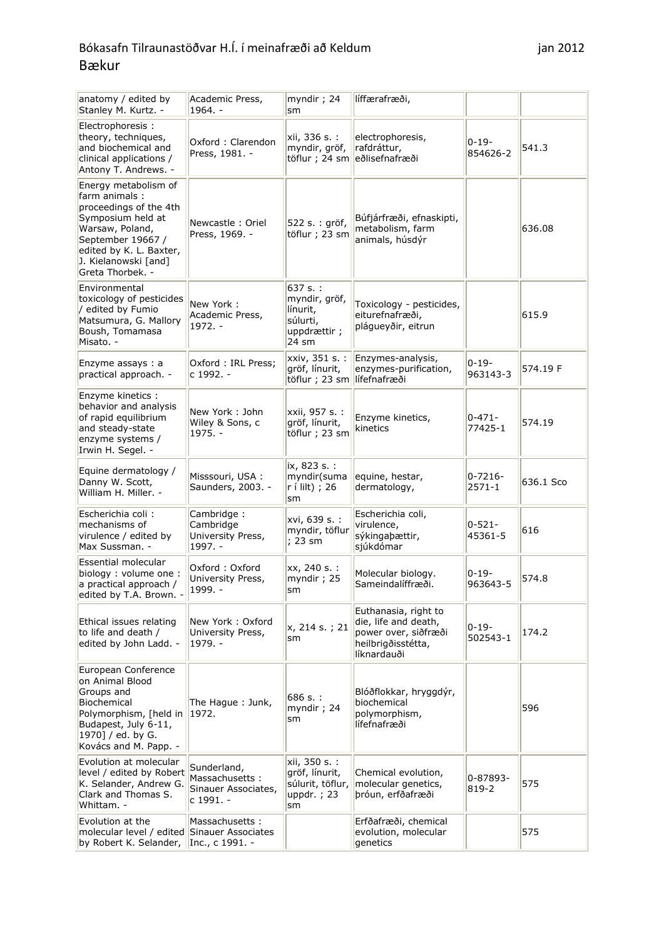| anatomy / edited by<br>Stanley M. Kurtz. -                                                                                                                                                           | Academic Press,<br>$1964. -$                                      | myndir ; $24$<br>sm                                                      | líffærafræði,                                                                                             |                        |           |
|------------------------------------------------------------------------------------------------------------------------------------------------------------------------------------------------------|-------------------------------------------------------------------|--------------------------------------------------------------------------|-----------------------------------------------------------------------------------------------------------|------------------------|-----------|
| Electrophoresis :<br>theory, techniques,<br>and biochemical and<br>clinical applications /<br>Antony T. Andrews. -                                                                                   | Oxford: Clarendon<br>Press, 1981. -                               | xii, 336 s. :<br>myndir, gröf,<br>töflur ; 24 sm                         | electrophoresis,<br>rafdráttur,<br>eðlisefnafræði                                                         | $0 - 19 -$<br>854626-2 | 541.3     |
| Energy metabolism of<br>farm animals :<br>proceedings of the 4th<br>Symposium held at<br>Warsaw, Poland,<br>September 19667 /<br>edited by K. L. Baxter,<br>J. Kielanowski [and]<br>Greta Thorbek. - | Newcastle: Oriel<br>Press, 1969. -                                | 522 s. : gröf,<br>töflur ; 23 sm                                         | Búfjárfræði, efnaskipti,<br>metabolism, farm<br>animals, húsdýr                                           |                        | 636.08    |
| Environmental<br>toxicology of pesticides<br>/ edited by Fumio<br>Matsumura, G. Mallory<br>Boush, Tomamasa<br>Misato. -                                                                              | New York:<br>Academic Press,<br>$1972. -$                         | 637 s.:<br>myndir, gröf,<br>línurit,<br>súlurti,<br>uppdrættir;<br>24 sm | Toxicology - pesticides,<br>eiturefnafræði,<br>plágueyðir, eitrun                                         |                        | 615.9     |
| Enzyme assays: a<br>practical approach. -                                                                                                                                                            | Oxford: IRL Press;<br>c 1992. -                                   | xxiv, 351 s. :<br>gröf, línurit,<br>töflur ; 23 sm                       | Enzymes-analysis,<br>enzymes-purification,<br>lífefnafræði                                                | $0 - 19 -$<br>963143-3 | 574.19 F  |
| Enzyme kinetics :<br>behavior and analysis<br>of rapid equilibrium<br>and steady-state<br>enzyme systems /<br>Irwin H. Segel. -                                                                      | New York: John<br>Wiley & Sons, c<br>$1975. -$                    | xxii, 957 s. :<br>gröf, línurit,<br>töflur ; 23 sm                       | Enzyme kinetics,<br>kinetics                                                                              | $0 - 471 -$<br>77425-1 | 574.19    |
| Equine dermatology /<br>Danny W. Scott,<br>William H. Miller. -                                                                                                                                      | Misssouri, USA:<br>Saunders, 2003. -                              | ix, 823 s. :<br>myndir(suma<br>$r$ í lilt) ; 26<br>sm                    | equine, hestar,<br>dermatology,                                                                           | 0-7216-<br>$2571 - 1$  | 636.1 Sco |
| Escherichia coli:<br>mechanisms of<br>virulence / edited by<br>Max Sussman. -                                                                                                                        | Cambridge:<br>Cambridge<br>University Press,<br>1997. -           | xvi, 639 s. :<br>myndir, töflur<br>; 23 sm                               | Escherichia coli,<br>virulence,<br>sýkingaþættir,<br>sjúkdómar                                            | $0 - 521 -$<br>45361-5 | 616       |
| Essential molecular<br>biology: volume one:<br>a practical approach /<br>edited by T.A. Brown. -                                                                                                     | Oxford: Oxford<br>University Press,<br>1999.                      | xx, 240 s. :<br>myndir; 25<br>sm                                         | Molecular biology.<br>Sameindalíffræði.                                                                   | $0 - 19 -$<br>963643-5 | 574.8     |
| Ethical issues relating<br>to life and death /<br>edited by John Ladd. -                                                                                                                             | New York: Oxford<br>University Press,<br>1979. -                  | x, 214 s.; 21<br>sm                                                      | Euthanasia, right to<br>die, life and death,<br>power over, siðfræði<br>heilbrigðisstétta,<br>líknardauði | $0 - 19 -$<br>502543-1 | 174.2     |
| European Conference<br>on Animal Blood<br>Groups and<br>Biochemical<br>Polymorphism, [held in<br>Budapest, July 6-11,<br>1970] / ed. by G.<br>Kovács and M. Papp. -                                  | The Hague: Junk,<br>1972.                                         | 686 s.:<br>myndir; 24<br>sm                                              | Blóðflokkar, hryggdýr,<br>biochemical<br>polymorphism,<br>lífefnafræði                                    |                        | 596       |
| Evolution at molecular<br>level / edited by Robert<br>K. Selander, Andrew G.<br>Clark and Thomas S.<br>Whittam. -                                                                                    | Sunderland,<br>Massachusetts:<br>Sinauer Associates,<br>c 1991. - | xii, 350 s. :<br>gröf, línurit,<br>súlurit, töflur,<br>uppdr. ; 23<br>sm | Chemical evolution,<br>molecular genetics,<br>þróun, erfðafræði                                           | 0-87893-<br>819-2      | 575       |
| Evolution at the<br>molecular level / edited Sinauer Associates<br>by Robert K. Selander,                                                                                                            | Massachusetts:<br>Inc., c 1991. -                                 |                                                                          | Erfðafræði, chemical<br>evolution, molecular<br>genetics                                                  |                        | 575       |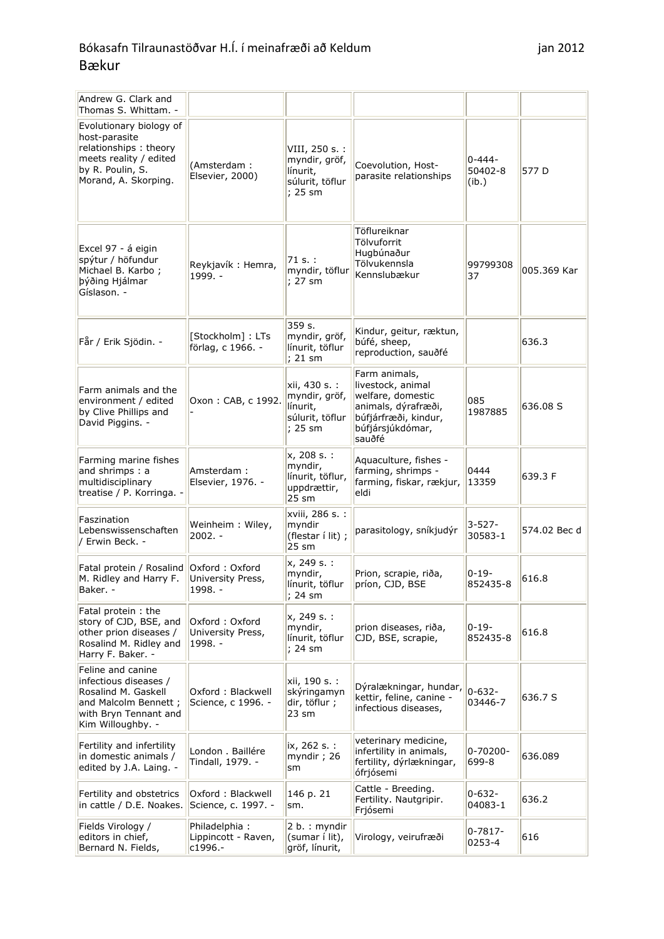| Andrew G. Clark and<br>Thomas S. Whittam. -                                                                                             |                                                 |                                                                           |                                                                                                                                      |                                 |              |
|-----------------------------------------------------------------------------------------------------------------------------------------|-------------------------------------------------|---------------------------------------------------------------------------|--------------------------------------------------------------------------------------------------------------------------------------|---------------------------------|--------------|
| Evolutionary biology of<br>host-parasite<br>relationships: theory<br>meets reality / edited<br>by R. Poulin, S.<br>Morand, A. Skorping. | (Amsterdam:<br>Elsevier, 2000)                  | VIII, 250 s. :<br>myndir, gröf,<br>línurit,<br>súlurit, töflur<br>; 25 sm | Coevolution, Host-<br>parasite relationships                                                                                         | $0 - 444 -$<br>50402-8<br>(ib.) | 577 D        |
| Excel 97 - á eigin<br>spýtur / höfundur<br>Michael B. Karbo;<br>þýðing Hjálmar<br>Gíslason. -                                           | Reykjavík: Hemra,<br>1999. -                    | 71 s. :<br>myndir, töflur<br>; 27 sm                                      | Töflureiknar<br>Tölvuforrit<br>Hugbúnaður<br>Tölvukennsla<br>Kennslubækur                                                            | 99799308<br>37                  | 005.369 Kar  |
| Får / Erik Sjödin. -                                                                                                                    | [Stockholm]: LTs<br>förlag, c 1966. -           | 359 s.<br>myndir, gröf,<br>línurit, töflur<br>; 21 sm                     | Kindur, geitur, ræktun,<br>búfé, sheep,<br>reproduction, sauðfé                                                                      |                                 | 636.3        |
| Farm animals and the<br>environment / edited<br>by Clive Phillips and<br>David Piggins. -                                               | Oxon: CAB, c 1992.                              | xii, 430 s. :<br>myndir, gröf,<br>línurit,<br>súlurit, töflur<br>; 25 sm  | Farm animals,<br>livestock, animal<br>welfare, domestic<br>animals, dýrafræði,<br>búfjárfræði, kindur,<br>búfjársjúkdómar,<br>sauðfé | 085<br>1987885                  | 636.08 S     |
| Farming marine fishes<br>and shrimps : a<br>multidisciplinary<br>treatise / P. Korringa. -                                              | Amsterdam:<br>Elsevier, 1976. -                 | x, 208 s. :<br>myndir,<br>línurit, töflur,<br>uppdrættir,<br>25 sm        | Aquaculture, fishes -<br>farming, shrimps -<br>farming, fiskar, rækjur,<br>eldi                                                      | 0444<br>13359                   | 639.3 F      |
| Faszination<br>Lebenswissenschaften<br>/ Erwin Beck. -                                                                                  | Weinheim: Wiley,<br>$2002. -$                   | xviii, 286 s. :<br>myndir<br>(flestar í lit) ;<br>$25 \text{ sm}$         | parasitology, sníkjudýr                                                                                                              | $3 - 527 -$<br>30583-1          | 574.02 Bec d |
| Fatal protein / Rosalind<br>M. Ridley and Harry F.<br>Baker. -                                                                          | Oxford: Oxford<br>University Press,<br>1998. -  | x, 249 s. :<br>myndir,<br>línurit, töflur<br>; 24 sm                      | Prion, scrapie, riða,<br>príon, CJD, BSE                                                                                             | 0-19-<br>852435-8               | 616.8        |
| Fatal protein: the<br>story of CJD, BSE, and<br>other prion diseases /<br>Rosalind M. Ridley and<br>Harry F. Baker. -                   | Oxford: Oxford<br>University Press,<br>1998. -  | x, 249 s. :<br>myndir,<br>línurit, töflur<br>; 24 sm                      | prion diseases, riða,<br>CJD, BSE, scrapie,                                                                                          | 0-19-<br>852435-8               | 616.8        |
| Feline and canine<br>infectious diseases /<br>Rosalind M. Gaskell<br>and Malcolm Bennett;<br>with Bryn Tennant and<br>Kim Willoughby. - | Oxford: Blackwell<br>Science, c 1996. -         | xii, 190 s. :<br>skýringamyn<br>dir, töflur ;<br>$23 \text{ sm}$          | Dýralækningar, hundar,<br>kettir, feline, canine -<br>infectious diseases,                                                           | $0 - 632 -$<br>03446-7          | 636.7 S      |
| Fertility and infertility<br>in domestic animals /<br>edited by J.A. Laing. -                                                           | London . Baillére<br>Tindall, 1979. -           | ix, 262 s. :<br>myndir; 26<br>sm                                          | veterinary medicine,<br>infertility in animals,<br>fertility, dýrlækningar,<br>ófrjósemi                                             | $0 - 70200 -$<br>699-8          | 636.089      |
| Fertility and obstetrics<br>in cattle / D.E. Noakes.                                                                                    | Oxford: Blackwell<br>Science, c. 1997. -        | 146 p. 21<br>sm.                                                          | Cattle - Breeding.<br>Fertility. Nautgripir.<br>Frjósemi                                                                             | $0 - 632 -$<br>04083-1          | 636.2        |
| Fields Virology /<br>editors in chief,<br>Bernard N. Fields,                                                                            | Philadelphia:<br>Lippincott - Raven,<br>c1996.- | 2 b. : myndir<br>(sumar í lit),<br>gröf, línurit,                         | Virology, veirufræði                                                                                                                 | $0 - 7817 -$<br>0253-4          | 616          |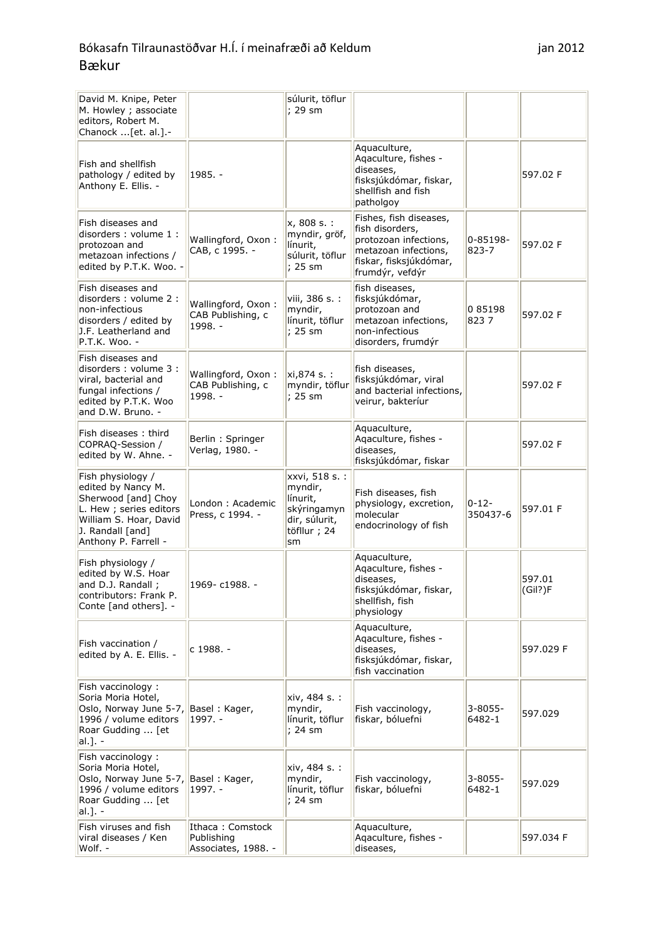| David M. Knipe, Peter<br>M. Howley ; associate<br>editors, Robert M.<br>Chanock [et. al.] .-                                                                    |                                                       | súlurit, töflur<br>: 29 sm                                                                  |                                                                                                                                         |                        |                   |
|-----------------------------------------------------------------------------------------------------------------------------------------------------------------|-------------------------------------------------------|---------------------------------------------------------------------------------------------|-----------------------------------------------------------------------------------------------------------------------------------------|------------------------|-------------------|
| Fish and shellfish<br>pathology / edited by<br>Anthony E. Ellis. -                                                                                              | 1985. -                                               |                                                                                             | Aquaculture,<br>Aqaculture, fishes -<br>diseases,<br>fisksjúkdómar, fiskar,<br>shellfish and fish<br>patholgoy                          |                        | 597.02 F          |
| Fish diseases and<br>disorders: volume 1:<br>protozoan and<br>metazoan infections /<br>edited by P.T.K. Woo. -                                                  | Wallingford, Oxon:<br>CAB, c 1995. -                  | x, 808 s. :<br>myndir, gröf,<br>línurit,<br>súlurit, töflur<br>; 25 sm                      | Fishes, fish diseases,<br>fish disorders,<br>protozoan infections,<br>metazoan infections,<br>fiskar, fisksjúkdómar,<br>frumdýr, vefdýr | 0-85198-<br>823-7      | 597.02 F          |
| Fish diseases and<br>disorders: volume 2 :<br>non-infectious<br>disorders / edited by<br>J.F. Leatherland and<br>P.T.K. Woo. -                                  | Wallingford, Oxon:<br>CAB Publishing, c<br>1998. -    | viii, 386 s. :<br>myndir,<br>línurit, töflur<br>: 25 sm                                     | fish diseases,<br>fisksjúkdómar,<br>protozoan and<br>metazoan infections,<br>non-infectious<br>disorders, frumdýr                       | 085198<br>8237         | 597.02 F          |
| Fish diseases and<br>disorders: volume 3 :<br>viral, bacterial and<br>fungal infections /<br>edited by P.T.K. Woo<br>and D.W. Bruno. -                          | Wallingford, Oxon:<br>CAB Publishing, c<br>1998. -    | xi,874 s. :<br>myndir, töflur<br>; 25 sm                                                    | fish diseases,<br>fisksjúkdómar, viral<br>and bacterial infections,<br>veirur, bakteríur                                                |                        | 597.02 F          |
| Fish diseases: third<br>COPRAQ-Session /<br>edited by W. Ahne. -                                                                                                | Berlin: Springer<br>Verlag, 1980. -                   |                                                                                             | Aquaculture,<br>Aqaculture, fishes -<br>diseases,<br>fisksjúkdómar, fiskar                                                              |                        | 597.02 F          |
| Fish physiology /<br>edited by Nancy M.<br>Sherwood [and] Choy<br>L. Hew ; series editors<br>William S. Hoar, David<br>J. Randall [and]<br>Anthony P. Farrell - | London: Academic<br>Press, c 1994. -                  | xxvi, 518 s. :<br>myndir,<br>línurit,<br>skýringamyn<br>dir, súlurit,<br>töfllur ; 24<br>sm | Fish diseases, fish<br>physiology, excretion,<br>molecular<br>endocrinology of fish                                                     | $0 - 12 -$<br>350437-6 | 597.01 F          |
| Fish physiology /<br>edited by W.S. Hoar<br>and D.J. Randall;<br>contributors: Frank P.<br>Conte [and others]. -                                                | 1969-c1988. -                                         |                                                                                             | Aquaculture,<br>Agaculture, fishes -<br>diseases,<br>fisksjúkdómar, fiskar,<br>shellfish, fish<br>physiology                            |                        | 597.01<br>(Gil?)F |
| Fish vaccination /<br>edited by A. E. Ellis. -                                                                                                                  | c 1988. -                                             |                                                                                             | Aquaculture,<br>Aqaculture, fishes -<br>diseases,<br>fisksjúkdómar, fiskar,<br>fish vaccination                                         |                        | 597.029 F         |
| Fish vaccinology:<br>Soria Moria Hotel,<br>Oslo, Norway June 5-7, Basel: Kager,<br>1996 / volume editors<br>Roar Gudding  [et<br>al.]. -                        | 1997. -                                               | xiv, 484 s. :<br>myndir,<br>línurit, töflur<br>; 24 sm                                      | Fish vaccinology,<br>fiskar, bóluefni                                                                                                   | $3 - 8055 -$<br>6482-1 | 597.029           |
| Fish vaccinology:<br>Soria Moria Hotel,<br>Oslo, Norway June 5-7, Basel: Kager,<br>1996 / volume editors<br>Roar Gudding  [et<br>$ al.$ ]. -                    | $1997. -$                                             | xiv, 484 s. :<br>myndir,<br>línurit, töflur<br>; 24 sm                                      | Fish vaccinology,<br>fiskar, bóluefni                                                                                                   | $3 - 8055 -$<br>6482-1 | 597.029           |
| Fish viruses and fish<br>viral diseases / Ken<br>Wolf. -                                                                                                        | Ithaca: Comstock<br>Publishing<br>Associates, 1988. - |                                                                                             | Aquaculture,<br>Aqaculture, fishes -<br>diseases,                                                                                       |                        | 597.034 F         |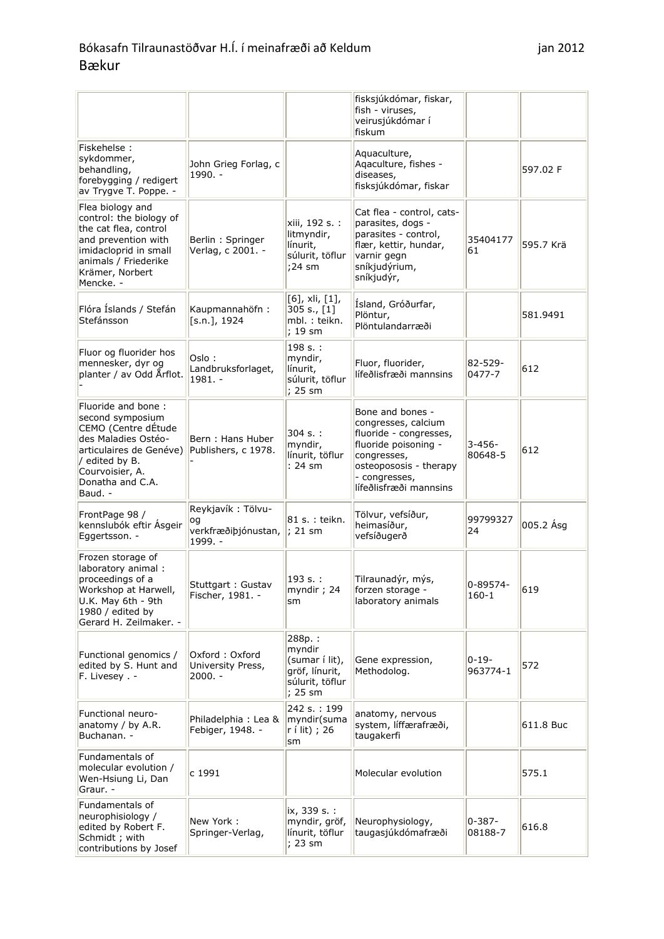|                                                                                                                                                                                     |                                                           |                                                                                    | fisksjúkdómar, fiskar,<br>fish - viruses,<br>veirusjúkdómar í<br>fiskum                                                                                                       |                        |           |
|-------------------------------------------------------------------------------------------------------------------------------------------------------------------------------------|-----------------------------------------------------------|------------------------------------------------------------------------------------|-------------------------------------------------------------------------------------------------------------------------------------------------------------------------------|------------------------|-----------|
| Fiskehelse:<br>sykdommer,<br>behandling,<br>forebygging / redigert<br>av Trygve T. Poppe. -                                                                                         | John Grieg Forlag, c<br>1990. -                           |                                                                                    | Aquaculture,<br>Aqaculture, fishes -<br>diseases,<br>fisksjúkdómar, fiskar                                                                                                    |                        | 597.02 F  |
| Flea biology and<br>control: the biology of<br>the cat flea, control<br>and prevention with<br>imidacloprid in small<br>animals / Friederike<br>Krämer, Norbert<br>Mencke. -        | Berlin: Springer<br>Verlag, c 2001. -                     | xiii, 192 s. :<br>litmyndir,<br>línurit,<br>súlurit, töflur<br>:24 sm              | Cat flea - control, cats-<br>parasites, dogs -<br>parasites - control,<br>flær, kettir, hundar,<br>varnir gegn<br>sníkjudýrium,<br>sníkjudýr,                                 | 35404177<br>61         | 595.7 Krä |
| Flóra Íslands / Stefán<br>Stefánsson                                                                                                                                                | Kaupmannahöfn:<br>[s.n.], 1924                            | $[6]$ , xli, $[1]$ ,<br>305 s., [1]<br>mbl. : teikn.<br>; 19 sm                    | Ísland, Gróðurfar,<br>Plöntur,<br>Plöntulandarræði                                                                                                                            |                        | 581.9491  |
| Fluor og fluorider hos<br>mennesker, dyr og<br>planter / av Odd Årflot.                                                                                                             | Oslo :<br>Landbruksforlaget,<br>$1981. -$                 | 198 s.:<br>myndir,<br>línurit,<br>súlurit, töflur<br>; 25 sm                       | Fluor, fluorider,<br>lífeðlisfræði mannsins                                                                                                                                   | $82 - 529 -$<br>0477-7 | 612       |
| Fluoride and bone:<br>second symposium<br>CEMO (Centre dÉtude<br>des Maladies Ostéo-<br>articulaires de Genéve)<br>/ edited by B.<br>Courvoisier, A.<br>Donatha and C.A.<br>Baud. - | Bern: Hans Huber<br>Publishers, c 1978.                   | 304 s.:<br>myndir,<br>línurit, töflur<br>: 24 sm                                   | Bone and bones -<br>congresses, calcium<br>fluoride - congresses,<br>fluoride poisoning -<br>congresses,<br>osteopososis - therapy<br>- congresses,<br>lífeðlisfræði mannsins | $3 - 456 -$<br>80648-5 | 612       |
| FrontPage 98 /<br>kennslubók eftir Ásgeir<br>Eggertsson. -                                                                                                                          | Reykjavík: Tölvu-<br>oq<br>verkfræðiþjónustan,<br>1999. - | 81 s. : teikn.<br>$: 21$ sm                                                        | Tölvur, vefsíður,<br>heimasíður,<br>vefsíðugerð                                                                                                                               | 99799327<br>24         | 005.2 Ásg |
| Frozen storage of<br>laboratory animal :<br>proceedings of a<br>Workshop at Harwell,<br>U.K. May 6th - 9th<br>1980 / edited by<br>Gerard H. Zeilmaker. -                            | Stuttgart: Gustav<br>Fischer, 1981. -                     | 193 s. :<br>myndir; 24<br>sm                                                       | Tilraunadýr, mýs,<br>forzen storage -<br>laboratory animals                                                                                                                   | 0-89574-<br>$160 - 1$  | 619       |
| Functional genomics /<br>edited by S. Hunt and<br>F. Livesey . -                                                                                                                    | Oxford: Oxford<br>University Press,<br>$2000. -$          | 288p.:<br>myndir<br>(sumar í lit),<br>gröf, línurit,<br>súlurit, töflur<br>; 25 sm | Gene expression,<br>Methodolog.                                                                                                                                               | $0 - 19 -$<br>963774-1 | 572       |
| Functional neuro-<br>anatomy $/$ by A.R.<br>Buchanan. -                                                                                                                             | Philadelphia: Lea &<br>Febiger, 1948. -                   | 242 s. : 199<br>myndir(suma<br>r í lit) ; 26<br>sm                                 | anatomy, nervous<br>system, líffærafræði,<br>taugakerfi                                                                                                                       |                        | 611.8 Buc |
| Fundamentals of<br>molecular evolution /<br>Wen-Hsiung Li, Dan<br>Graur. -                                                                                                          | c 1991                                                    |                                                                                    | Molecular evolution                                                                                                                                                           |                        | 575.1     |
| Fundamentals of<br>neurophisiology /<br>edited by Robert F.<br>Schmidt; with<br>contributions by Josef                                                                              | New York:<br>Springer-Verlag,                             | ix, 339 s. :<br>myndir, gröf,<br>línurit, töflur<br>; 23 sm                        | Neurophysiology,<br>taugasjúkdómafræði                                                                                                                                        | $0 - 387 -$<br>08188-7 | 616.8     |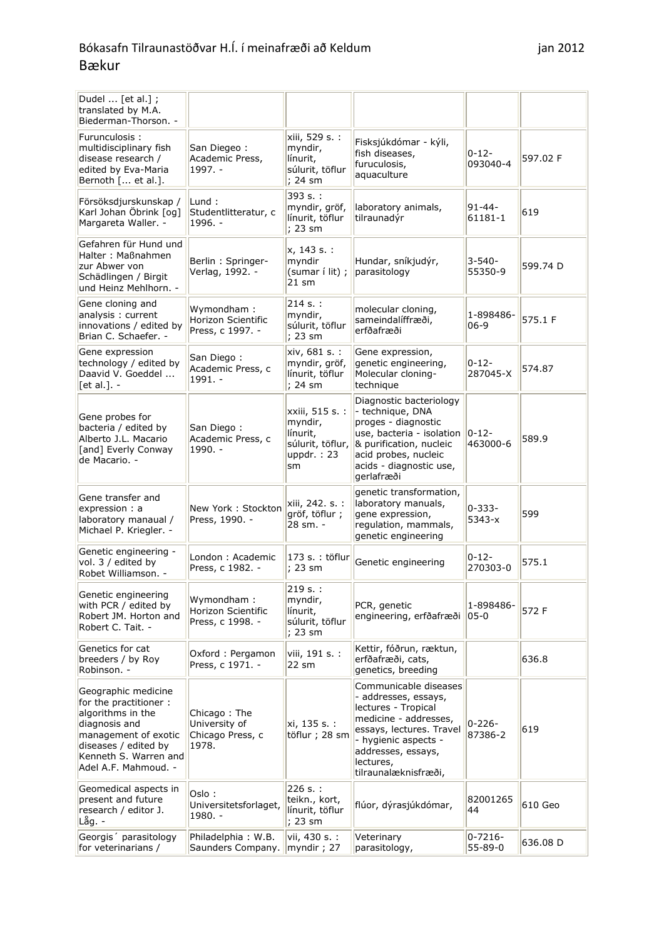| Dudel $\ldots$ [et al.];<br>translated by M.A.<br>Biederman-Thorson. -                                                                                                              |                                                            |                                                                                   |                                                                                                                                                                                                              |                         |          |
|-------------------------------------------------------------------------------------------------------------------------------------------------------------------------------------|------------------------------------------------------------|-----------------------------------------------------------------------------------|--------------------------------------------------------------------------------------------------------------------------------------------------------------------------------------------------------------|-------------------------|----------|
| Furunculosis:<br>multidisciplinary fish<br>disease research /<br>edited by Eva-Maria<br>Bernoth [ et al.].                                                                          | San Diegeo:<br>Academic Press,<br>$1997. -$                | xiii, 529 s. :<br>myndir,<br>línurit,<br>súlurit, töflur<br>; 24 sm               | Fisksjúkdómar - kýli,<br>fish diseases,<br>furuculosis,<br>aquaculture                                                                                                                                       | $0 - 12 -$<br>093040-4  | 597.02 F |
| Försöksdjurskunskap /<br>Karl Johan Öbrink [og]<br>Margareta Waller. -                                                                                                              | Lund:<br>Studentlitteratur, c<br>$1996. -$                 | 393 s. :<br>myndir, gröf,<br>línurit, töflur<br>; 23 sm                           | laboratory animals,<br>tilraunadýr                                                                                                                                                                           | $91 - 44 -$<br>61181-1  | 619      |
| Gefahren für Hund und<br>Halter: Maßnahmen<br>zur Abwer von<br>Schädlingen / Birgit<br>und Heinz Mehlhorn. -                                                                        | Berlin: Springer-<br>Verlag, 1992. -                       | x, 143 s. :<br>myndir<br>(sumar í lit);<br>$21 \text{ sm}$                        | Hundar, sníkjudýr,<br>parasitology                                                                                                                                                                           | $3 - 540 -$<br>55350-9  | 599.74 D |
| Gene cloning and<br>analysis: current<br>innovations / edited by<br>Brian C. Schaefer. -                                                                                            | Wymondham:<br>Horizon Scientific<br>Press, c 1997. -       | $214 s.$ :<br>myndir,<br>súlurit, töflur<br>; 23 sm                               | molecular cloning,<br>sameindalíffræði,<br>erfðafræði                                                                                                                                                        | 1-898486-<br>$06-9$     | 575.1 F  |
| Gene expression<br>technology / edited by<br>Daavid V. Goeddel<br>[et al.]. $-$                                                                                                     | San Diego:<br>Academic Press, c<br>$1991. -$               | xiv, 681 s. :<br>myndir, gröf,<br>línurit, töflur<br>; 24 sm                      | Gene expression,<br>genetic engineering,<br>Molecular cloning-<br>technique                                                                                                                                  | $0 - 12 -$<br>287045-X  | 574.87   |
| Gene probes for<br>bacteria / edited by<br>Alberto J.L. Macario<br>[and] Everly Conway<br>de Macario. -                                                                             | San Diego:<br>Academic Press, c<br>$1990. -$               | xxiii, 515 s. :<br>myndir,<br>línurit,<br>súlurit, töflur,<br>uppdr. $: 23$<br>sm | Diagnostic bacteriology<br>- technique, DNA<br>proges - diagnostic<br>use, bacteria - isolation<br>& purification, nucleic<br>acid probes, nucleic<br>acids - diagnostic use,<br>gerlafræði                  | $ 0 - 12 -$<br>463000-6 | 589.9    |
| Gene transfer and<br>expression : a<br>laboratory manaual /<br>Michael P. Kriegler. -                                                                                               | New York: Stockton<br>Press, 1990. -                       | xiii, 242. s. :<br>gröf, töflur ;<br>28 sm. -                                     | genetic transformation,<br>laboratory manuals,<br>gene expression,<br>regulation, mammals,<br>genetic engineering                                                                                            | $0 - 333 -$<br>$5343-x$ | 599      |
| Genetic engineering -<br>vol. 3 / edited by<br>Robet Williamson. -                                                                                                                  | London: Academic<br>Press, c 1982. -                       | 173 s. : töflur<br>; 23 sm                                                        | Genetic engineering                                                                                                                                                                                          | $0 - 12 -$<br>270303-0  | 575.1    |
| Genetic engineering<br>with PCR / edited by<br>Robert JM. Horton and<br>Robert C. Tait. -                                                                                           | Wymondham:<br>Horizon Scientific<br>Press, c 1998. -       | 219 s. :<br>myndir,<br>línurit,<br>súlurit, töflur<br>; 23 sm                     | PCR, genetic<br>engineering, erfðafræði                                                                                                                                                                      | 1-898486-<br>$05-0$     | 572 F    |
| Genetics for cat<br>breeders / by Roy<br>Robinson. -                                                                                                                                | Oxford: Pergamon<br>Press, c 1971. -                       | viii, 191 s. :<br>22 sm                                                           | Kettir, fóðrun, ræktun,<br>erfðafræði, cats,<br>genetics, breeding                                                                                                                                           |                         | 636.8    |
| Geographic medicine<br>for the practitioner:<br>algorithms in the<br>diagnosis and<br>management of exotic<br>diseases / edited by<br>Kenneth S. Warren and<br>Adel A.F. Mahmoud. - | Chicago: The<br>University of<br>Chicago Press, c<br>1978. | xi, 135 s. :<br>töflur ; 28 sm                                                    | Communicable diseases<br>- addresses, essays,<br>lectures - Tropical<br>medicine - addresses,<br>essays, lectures. Travel<br>- hygienic aspects -<br>addresses, essays,<br>lectures,<br>tilraunalæknisfræði, | $0 - 226 -$<br>87386-2  | 619      |
| Geomedical aspects in<br>present and future<br>research / editor J.<br>Låg. -                                                                                                       | Oslo:<br>Universitetsforlaget,<br>1980. -                  | 226 s.:<br>teikn., kort,<br>línurit, töflur<br>; 23 sm                            | flúor, dýrasjúkdómar,                                                                                                                                                                                        | 82001265<br>44          | 610 Geo  |
| Georgis <i>parasitology</i><br>for veterinarians /                                                                                                                                  | Philadelphia: W.B.<br>Saunders Company.                    | vii, 430 s. :<br>myndir; 27                                                       | Veterinary<br>parasitology,                                                                                                                                                                                  | $0 - 7216 -$<br>55-89-0 | 636.08 D |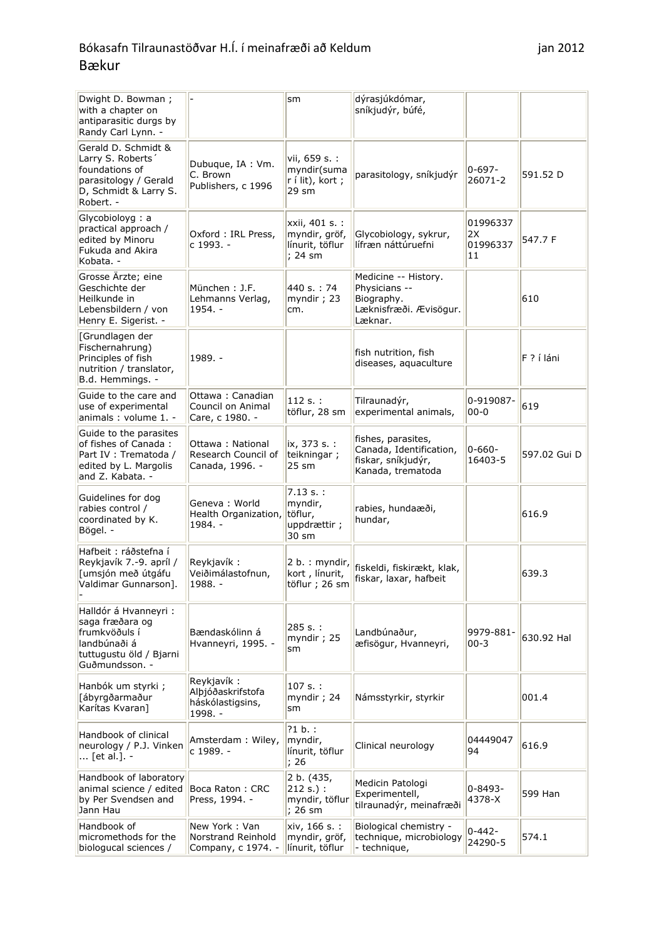| Dwight D. Bowman;<br>with a chapter on                                                                                    |                                                                | sm                                                            | dýrasjúkdómar,<br>sníkjudýr, búfé,                                                       |                                  |              |
|---------------------------------------------------------------------------------------------------------------------------|----------------------------------------------------------------|---------------------------------------------------------------|------------------------------------------------------------------------------------------|----------------------------------|--------------|
| antiparasitic durgs by<br>Randy Carl Lynn. -                                                                              |                                                                |                                                               |                                                                                          |                                  |              |
| Gerald D. Schmidt &<br>Larry S. Roberts'<br>foundations of<br>parasitology / Gerald<br>D, Schmidt & Larry S.<br>Robert. - | Dubuque, IA : Vm.<br>C. Brown<br>Publishers, c 1996            | vii, 659 s. :<br>myndir(suma<br>r í lit), kort ;<br>29 sm     | parasitology, sníkjudýr                                                                  | $0 - 697 -$<br>26071-2           | 591.52 D     |
| Glycobioloyg: a<br>practical approach /<br>edited by Minoru<br>Fukuda and Akira<br>Kobata. -                              | Oxford: IRL Press,<br>c 1993. -                                | xxii, 401 s. :<br>myndir, gröf,<br>línurit, töflur<br>: 24 sm | Glycobiology, sykrur,<br>lífræn náttúruefni                                              | 01996337<br>2X<br>01996337<br>11 | 547.7 F      |
| Grosse Ärzte; eine<br>Geschichte der<br>Heilkunde in<br>Lebensbildern / von<br>Henry E. Sigerist. -                       | München: J.F.<br>Lehmanns Verlag,<br>$1954. -$                 | 440 s. : 74<br>myndir; 23<br>cm.                              | Medicine -- History.<br>Physicians --<br>Biography.<br>Læknisfræði. Ævisögur.<br>Læknar. |                                  | 610          |
| [Grundlagen der<br>Fischernahrung)<br>Principles of fish<br>nutrition / translator,<br>B.d. Hemmings. -                   | 1989. -                                                        |                                                               | fish nutrition, fish<br>diseases, aquaculture                                            |                                  | $F$ ? í láni |
| Guide to the care and<br>use of experimental<br>animals: volume 1. -                                                      | Ottawa: Canadian<br>Council on Animal<br>Care, c 1980. -       | $112 s.$ :<br>töflur, 28 sm                                   | Tilraunadýr,<br>experimental animals,                                                    | 0-919087-<br>$00 - 0$            | 619          |
| Guide to the parasites<br>of fishes of Canada:<br>Part IV : Trematoda /<br>edited by L. Margolis<br>and Z. Kabata. -      | Ottawa: National<br>Research Council of<br>Canada, 1996. -     | ix, 373 s. :<br>teikningar;<br>25 sm                          | fishes, parasites,<br>Canada, Identification,<br>fiskar, sníkjudýr,<br>Kanada, trematoda | $0 - 660 -$<br>16403-5           | 597.02 Gui D |
| Guidelines for dog<br>rabies control /<br>coordinated by K.<br>Bögel. -                                                   | Geneva: World<br>Health Organization,<br>1984. -               | 7.13 s.:<br>myndir,<br>töflur,<br>uppdrættir;<br>30 sm        | rabies, hundaæði,<br>hundar,                                                             |                                  | 616.9        |
| Hafbeit : ráðstefna í<br>Reykjavík 7.-9. apríl /<br>[umsjón með útgáfu<br>Valdimar Gunnarson].                            | Reykjavík:<br>Veiðimálastofnun,<br>1988. -                     | 2 b. : myndir,<br>kort, línurit,<br>töflur ; 26 sm            | fiskeldi, fiskirækt, klak,<br>fiskar, laxar, hafbeit                                     |                                  | 639.3        |
| Halldór á Hvanneyri :<br>saga fræðara og<br>frumkvöðuls í<br>landbúnaði á<br>tuttugustu öld / Bjarni<br>Guðmundsson. -    | Bændaskólinn á<br>Hvanneyri, 1995. -                           | 285 s.:<br>myndir ; 25<br>sm                                  | Landbúnaður,<br>æfisögur, Hvanneyri,                                                     | 9979-881-<br>$00 - 3$            | 630.92 Hal   |
| Hanbók um styrki ;<br>[ábyrgðarmaður<br>Karítas Kvaran]                                                                   | Reykjavík:<br>Alþjóðaskrifstofa<br>háskólastigsins,<br>1998. - | 107 s.:<br>myndir ; 24<br>sm                                  | Námsstyrkir, styrkir                                                                     |                                  | 001.4        |
| Handbook of clinical<br>neurology / P.J. Vinken<br>[et al.]. -                                                            | Amsterdam: Wiley,<br>c 1989. -                                 | ?1 b. :<br>myndir,<br>línurit, töflur<br>;26                  | Clinical neurology                                                                       | 04449047<br>94                   | 616.9        |
| Handbook of laboratory<br>animal science / edited<br>by Per Svendsen and<br>Jann Hau                                      | Boca Raton: CRC<br>Press, 1994. -                              | 2 b. (435,<br>$212 s.)$ :<br>myndir, töflur<br>; 26 sm        | Medicin Patologi<br>Experimentell,<br>tilraunadýr, meinafræði                            | $0 - 8493 -$<br>4378-X           | 599 Han      |
| Handbook of<br>micromethods for the<br>biologucal sciences /                                                              | New York: Van<br>Norstrand Reinhold<br>Company, c 1974. -      | xiv, 166 s. :<br>myndir, gröf,<br>línurit, töflur             | Biological chemistry -<br>technique, microbiology<br>- technique,                        | 0-442-<br>24290-5                | 574.1        |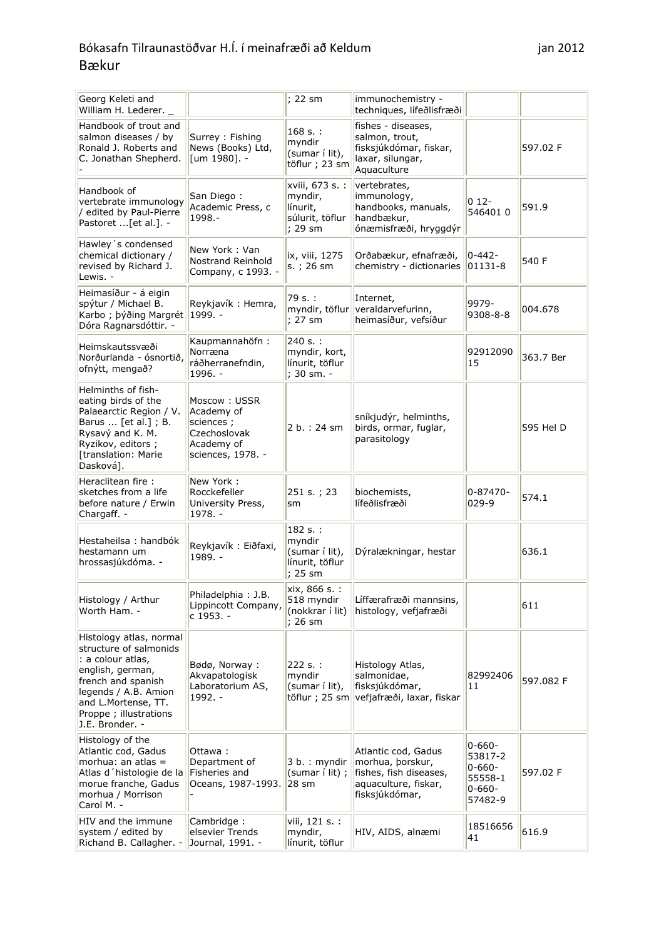| Georg Keleti and<br>William H. Lederer. _                                                                                                                                                                    |                                                                                             | ; 22 sm                                                              | immunochemistry -<br>techniques, lífeðlisfræði                                                              |                                                                            |           |
|--------------------------------------------------------------------------------------------------------------------------------------------------------------------------------------------------------------|---------------------------------------------------------------------------------------------|----------------------------------------------------------------------|-------------------------------------------------------------------------------------------------------------|----------------------------------------------------------------------------|-----------|
| Handbook of trout and<br>salmon diseases / by<br>Ronald J. Roberts and<br>C. Jonathan Shepherd.                                                                                                              | Surrey: Fishing<br>News (Books) Ltd,<br>[um 1980]. -                                        | 168 s.:<br>myndir<br>(sumar í lit),<br>töflur ; 23 sm                | fishes - diseases,<br>salmon, trout,<br>fisksjúkdómar, fiskar,<br>laxar, silungar,<br>Aquaculture           |                                                                            | 597.02 F  |
| Handbook of<br>vertebrate immunology<br>/ edited by Paul-Pierre<br>Pastoret [et al.]. -                                                                                                                      | San Diego:<br>Academic Press, c<br>1998.-                                                   | xviii, 673 s. :<br>myndir,<br>línurit,<br>súlurit, töflur<br>; 29 sm | vertebrates,<br>immunology,<br>handbooks, manuals,<br>handbækur,<br>ónæmisfræði, hryggdýr                   | $012 -$<br>546401 0                                                        | 591.9     |
| Hawley's condensed<br>chemical dictionary /<br>revised by Richard J.<br>Lewis. -                                                                                                                             | New York: Van<br>Nostrand Reinhold<br>Company, c 1993. -                                    | ix, viii, 1275<br>s.; 26 sm                                          | Orðabækur, efnafræði,<br>chemistry - dictionaries                                                           | $0 - 442 -$<br>01131-8                                                     | 540 F     |
| Heimasíður - á eigin<br>spýtur / Michael B.<br>Karbo ; þýðing Margrét<br>Dóra Ragnarsdóttir. -                                                                                                               | Reykjavík: Hemra,<br>$ 1999. -$                                                             | 79 s. :<br>myndir, töflur<br>$: 27$ sm                               | Internet,<br>veraldarvefurinn,<br>heimasíður, vefsíður                                                      | 9979-<br>9308-8-8                                                          | 004.678   |
| Heimskautssvæði<br>Norðurlanda - ósnortið,<br>ofnýtt, mengað?                                                                                                                                                | Kaupmannahöfn:<br>Norræna<br>ráðherranefndin,<br>1996. -                                    | 240 s. :<br>myndir, kort,<br>línurit, töflur<br>; 30 sm. -           |                                                                                                             | 92912090<br>15                                                             | 363.7 Ber |
| Helminths of fish-<br>eating birds of the<br>Palaearctic Region / V.<br>Barus $\ldots$ [et al.]; B.<br>Rysavý and K. M.<br>Ryzikov, editors;<br>[translation: Marie<br>Dasková].                             | Moscow: USSR<br>Academy of<br>sciences ;<br>Czechoslovak<br>Academy of<br>sciences, 1978. - | 2 b. : 24 sm                                                         | sníkjudýr, helminths,<br>birds, ormar, fuglar,<br>parasitology                                              |                                                                            | 595 Hel D |
| Heraclitean fire:<br>sketches from a life<br>before nature / Erwin<br>Chargaff. -                                                                                                                            | New York:<br>Rocckefeller<br>University Press,<br>1978. -                                   | 251 s.; 23<br>sm                                                     | biochemists,<br>lífeðlisfræði                                                                               | $0 - 87470 -$<br>029-9                                                     | 574.1     |
| Hestaheilsa : handbók<br>hestamann um<br>hrossasjúkdóma. -                                                                                                                                                   | Reykjavík: Eiðfaxi,<br>1989. -                                                              | $182 s.$ :<br>myndir<br>(sumar í lit),<br>línurit, töflur<br>; 25 sm | Dýralækningar, hestar                                                                                       |                                                                            | 636.1     |
| Histology / Arthur<br>Worth Ham. -                                                                                                                                                                           | Philadelphia: J.B.<br>Lippincott Company,<br>c 1953. -                                      | xix, 866 s. :<br>518 myndir<br>(nokkrar í lit)<br>; 26 sm            | Líffærafræði mannsins,<br>histology, vefjafræði                                                             |                                                                            | 611       |
| Histology atlas, normal<br>structure of salmonids<br>: a colour atlas,<br>english, german,<br>french and spanish<br>legends / A.B. Amion<br>and L.Mortense, TT.<br>Proppe ; illustrations<br>J.E. Bronder. - | Bødø, Norway:<br>Akvapatologisk<br>Laboratorium AS,<br>$1992. -$                            | 222 s. :<br>myndir<br>(sumar í lit),<br>töflur ; 25 sm               | Histology Atlas,<br>salmonidae,<br>fisksjúkdómar,<br>vefjafræði, laxar, fiskar                              | 82992406<br>11                                                             | 597.082 F |
| Histology of the<br>Atlantic cod, Gadus<br>morhua: an atlas $=$<br>Atlas d'histologie de la<br>morue franche, Gadus<br>morhua / Morrison<br>Carol M. -                                                       | Ottawa :<br>Department of<br>Fisheries and<br>Oceans, 1987-1993.                            | 3 b. : myndir<br>(sumar í lit) ;<br>28 sm                            | Atlantic cod, Gadus<br>morhua, þorskur,<br>fishes, fish diseases,<br>aquaculture, fiskar,<br>fisksjúkdómar, | $0 - 660 -$<br>53817-2<br>$0 - 660 -$<br>55558-1<br>$0 - 660 -$<br>57482-9 | 597.02 F  |
| HIV and the immune<br>system / edited by<br>Richand B. Callagher.                                                                                                                                            | Cambridge:<br>elsevier Trends<br>Journal, 1991. -                                           | viii, 121 s. :<br>myndir,<br>línurit, töflur                         | HIV, AIDS, alnæmi                                                                                           | 18516656<br>41                                                             | 616.9     |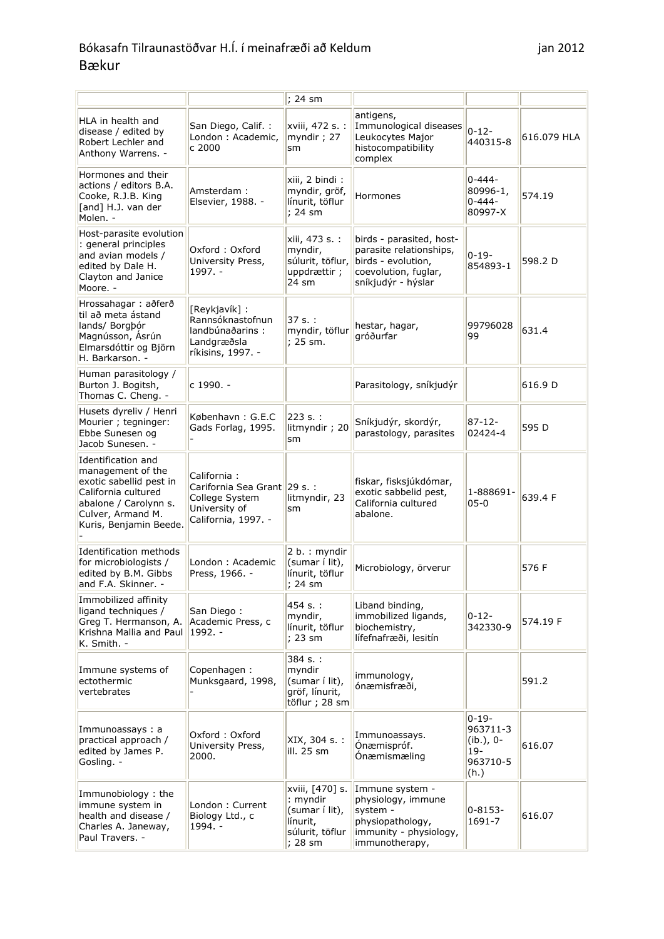|                                                                                                                                                                   |                                                                                               | ; 24 sm                                                                                 |                                                                                                                         |                                                                      |             |
|-------------------------------------------------------------------------------------------------------------------------------------------------------------------|-----------------------------------------------------------------------------------------------|-----------------------------------------------------------------------------------------|-------------------------------------------------------------------------------------------------------------------------|----------------------------------------------------------------------|-------------|
| HLA in health and<br>disease / edited by<br>Robert Lechler and<br>Anthony Warrens. -                                                                              | San Diego, Calif.:<br>London: Academic,<br>c2000                                              | xviii, 472 s. :<br>myndir; 27<br>sm                                                     | antigens,<br>Immunological diseases<br>Leukocytes Major<br>histocompatibility<br>complex                                | $0 - 12 -$<br>440315-8                                               | 616.079 HLA |
| Hormones and their<br>actions / editors B.A.<br>Cooke, R.J.B. King<br>[and] H.J. van der<br>Molen. -                                                              | Amsterdam:<br>Elsevier, 1988. -                                                               | xiii, 2 bindi:<br>myndir, gröf,<br>línurit, töflur<br>; 24 sm                           | Hormones                                                                                                                | $0 - 444 -$<br>$80996 - 1,$<br>$0 - 444 -$<br>80997-X                | 574.19      |
| Host-parasite evolution<br>: general principles<br>and avian models /<br>edited by Dale H.<br>Clayton and Janice<br>Moore. -                                      | Oxford: Oxford<br>University Press,<br>$1997. -$                                              | xiii, 473 s. :<br>myndir,<br>súlurit, töflur,<br>uppdrættir;<br>24 sm                   | birds - parasited, host-<br>parasite relationships,<br>birds - evolution,<br>coevolution, fuglar,<br>sníkjudýr - hýslar | $0 - 19 -$<br>854893-1                                               | 598.2 D     |
| Hrossahagar : aðferð<br>til að meta ástand<br>lands/ Borgbór<br>Magnússon, Ásrún<br>Elmarsdóttir og Björn<br>H. Barkarson. -                                      | [Reykjavík] :<br>Rannsóknastofnun<br>landbúnaðarins:<br>Landgræðsla<br>ríkisins, 1997. -      | $37 s.$ :<br>myndir, töflur<br>: 25 sm.                                                 | hestar, hagar,<br>gróðurfar                                                                                             | 99796028<br>99                                                       | 631.4       |
| Human parasitology /<br>Burton J. Bogitsh,<br>Thomas C. Cheng. -                                                                                                  | c 1990. -                                                                                     |                                                                                         | Parasitology, sníkjudýr                                                                                                 |                                                                      | 616.9 D     |
| Husets dyreliv / Henri<br>Mourier ; tegninger:<br>Ebbe Sunesen og<br>Jacob Sunesen. -                                                                             | København: G.E.C<br>Gads Forlag, 1995.                                                        | 223 s. :<br>litmyndir; 20<br>sm                                                         | Sníkjudýr, skordýr,<br>parastology, parasites                                                                           | $87 - 12 -$<br>02424-4                                               | 595 D       |
| Identification and<br>management of the<br>exotic sabellid pest in<br>California cultured<br>abalone / Carolynn s.<br>Culver, Armand M.<br>Kuris, Benjamin Beede. | California:<br>Carifornia Sea Grant<br>College System<br>University of<br>California, 1997. - | 29 s. :<br>litmyndir, 23<br>sm                                                          | fiskar, fisksjúkdómar,<br>exotic sabbelid pest,<br>California cultured<br>abalone.                                      | 1-888691-<br>$05 - 0$                                                | 639.4 F     |
| Identification methods<br>for microbiologists /<br>edited by B.M. Gibbs<br>and F.A. Skinner. -                                                                    | London: Academic<br>Press, 1966. -                                                            | 2 b. : myndir<br>(sumar í lit),<br>línurit, töflur<br>; 24 sm                           | Microbiology, örverur                                                                                                   |                                                                      | 576 F       |
| Immobilized affinity<br>ligand techniques /<br>Greg T. Hermanson, A.<br>Krishna Mallia and Paul<br>K. Smith. -                                                    | San Diego:<br>Academic Press, c<br>$1992. -$                                                  | 454 s. :<br>myndir,<br>línurit, töflur<br>; 23 sm                                       | Liband binding,<br>immobilized ligands,<br>biochemistry,<br>lífefnafræði, lesitín                                       | $0 - 12 -$<br>342330-9                                               | 574.19 F    |
| Immune systems of<br>ectothermic<br>vertebrates                                                                                                                   | Copenhagen:<br>Munksgaard, 1998,                                                              | 384 s. :<br>myndir<br>(sumar í lit),<br>gröf, línurit,<br>töflur ; 28 sm                | immunology,<br>ónæmisfræði,                                                                                             |                                                                      | 591.2       |
| Immunoassays: a<br>practical approach /<br>edited by James P.<br>Gosling. -                                                                                       | Oxford: Oxford<br>University Press,<br>2000.                                                  | XIX, 304 s. :<br>ill. 25 sm                                                             | Immunoassays.<br>Ónæmispróf.<br><b>Onæmismæling</b>                                                                     | $0 - 19 -$<br>963711-3<br>$(ib.)$ , 0-<br>$19 -$<br>963710-5<br>(h.) | 616.07      |
| Immunobiology: the<br>immune system in<br>health and disease /<br>Charles A. Janeway,<br>Paul Travers. -                                                          | London: Current<br>Biology Ltd., c<br>1994. -                                                 | xviii, [470] s.<br>: myndir<br>(sumar í lit),<br>línurit,<br>súlurit, töflur<br>; 28 sm | Immune system -<br>physiology, immune<br>system -<br>physiopathology,<br>immunity - physiology,<br>immunotherapy,       | $0 - 8153 -$<br>1691-7                                               | 616.07      |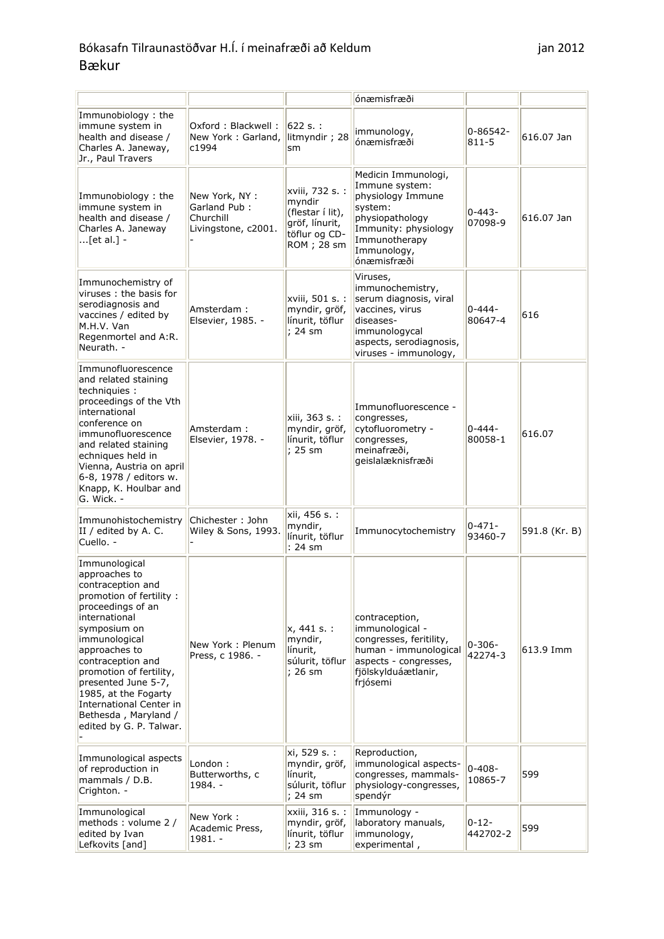|                                                                                                                                                                                                                                                                                                                                                             |                                                                    |                                                                                                 | ónæmisfræði                                                                                                                                                      |                            |               |
|-------------------------------------------------------------------------------------------------------------------------------------------------------------------------------------------------------------------------------------------------------------------------------------------------------------------------------------------------------------|--------------------------------------------------------------------|-------------------------------------------------------------------------------------------------|------------------------------------------------------------------------------------------------------------------------------------------------------------------|----------------------------|---------------|
| Immunobiology: the<br>immune system in<br>health and disease /<br>Charles A. Janeway,<br>Jr., Paul Travers                                                                                                                                                                                                                                                  | Oxford: Blackwell:<br>New York: Garland,<br>c1994                  | $622 s.$ :<br>litmyndir; 28<br>sm                                                               | immunology,<br>ónæmisfræði                                                                                                                                       | $0 - 86542 -$<br>$811 - 5$ | 616.07 Jan    |
| Immunobiology: the<br>immune system in<br>health and disease /<br>Charles A. Janeway<br>$$ [et al.] -                                                                                                                                                                                                                                                       | New York, NY :<br>Garland Pub:<br>Churchill<br>Livingstone, c2001. | xviii, 732 s. :<br>myndir<br>(flestar í lit),<br>gröf, línurit,<br>töflur og CD-<br>ROM ; 28 sm | Medicin Immunologi,<br>Immune system:<br>physiology Immune<br>system:<br>physiopathology<br>Immunity: physiology<br>Immunotherapy<br>Immunology,<br>lónæmisfræði | $0 - 443 -$<br>07098-9     | 616.07 Jan    |
| Immunochemistry of<br>viruses: the basis for<br>serodiagnosis and<br>vaccines / edited by<br>M.H.V. Van<br>Regenmortel and A:R.<br>Neurath. -                                                                                                                                                                                                               | Amsterdam:<br>Elsevier, 1985. -                                    | xviii, 501 s. :<br>myndir, gröf,<br>línurit, töflur<br>; 24 sm                                  | Viruses,<br>immunochemistry,<br>serum diagnosis, viral<br>vaccines, virus<br>diseases-<br>immunologycal<br>aspects, serodiagnosis,<br>viruses - immunology,      | $0 - 444 -$<br>80647-4     | 616           |
| Immunofluorescence<br>and related staining<br>techniquies :<br>proceedings of the Vth<br>international<br>conference on<br>immunofluorescence<br>and related staining<br>echniques held in<br>Vienna, Austria on april<br>6-8, 1978 / editors w.<br>Knapp, K. Houlbar and<br>G. Wick. -                                                                     | Amsterdam:<br>Elsevier, 1978. -                                    | xiii, 363 s. :<br>myndir, gröf,<br>línurit, töflur<br>; 25 sm                                   | Immunofluorescence -<br>congresses,<br>cytofluorometry -<br>congresses,<br>meinafræði,<br>geislalæknisfræði                                                      | $0 - 444 -$<br>80058-1     | 616.07        |
| Immunohistochemistry<br>II / edited by A. C.<br>Cuello. -                                                                                                                                                                                                                                                                                                   | Chichester: John<br>Wiley & Sons, 1993.                            | xii, 456 s. :<br>myndir,<br>línurit, töflur<br>$: 24$ sm                                        | Immunocytochemistry                                                                                                                                              | $0 - 471 -$<br>93460-7     | 591.8 (Kr. B) |
| Immunological<br>approaches to<br>contraception and<br>promotion of fertility :<br>proceedings of an<br>international<br>symposium on<br>immunological<br>approaches to<br>contraception and<br>promotion of fertility,<br>presented June 5-7,<br>1985, at the Fogarty<br><b>International Center in</b><br>Bethesda, Maryland /<br>edited by G. P. Talwar. | New York: Plenum<br>Press, c 1986. -                               | x, 441 s. :<br>myndir,<br>línurit,<br>súlurit, töflur<br>; 26 sm                                | contraception,<br>immunological -<br>congresses, feritility,<br>human - immunological<br>aspects - congresses,<br>fjölskylduáætlanir,<br>frjósemi                | $0 - 306 -$<br>42274-3     | 613.9 Imm     |
| Immunological aspects<br>of reproduction in<br>mammals / D.B.<br>Crighton. -                                                                                                                                                                                                                                                                                | London:<br>Butterworths, c<br>1984. -                              | xi, 529 s. :<br>myndir, gröf,<br>línurit,<br>súlurit, töflur<br>$; 24$ sm                       | Reproduction,<br>immunological aspects-<br>congresses, mammals-<br>physiology-congresses,<br>spendýr                                                             | $0 - 408 -$<br>10865-7     | 599           |
| Immunological<br>methods: volume 2 /<br>edited by Ivan<br>Lefkovits [and]                                                                                                                                                                                                                                                                                   | New York:<br>Academic Press,<br>$1981. -$                          | xxiii, 316 s. :<br>myndir, gröf,<br>línurit, töflur<br>; 23 sm                                  | Immunology -<br>laboratory manuals,<br>immunology,<br>experimental,                                                                                              | $0 - 12 -$<br>442702-2     | 599           |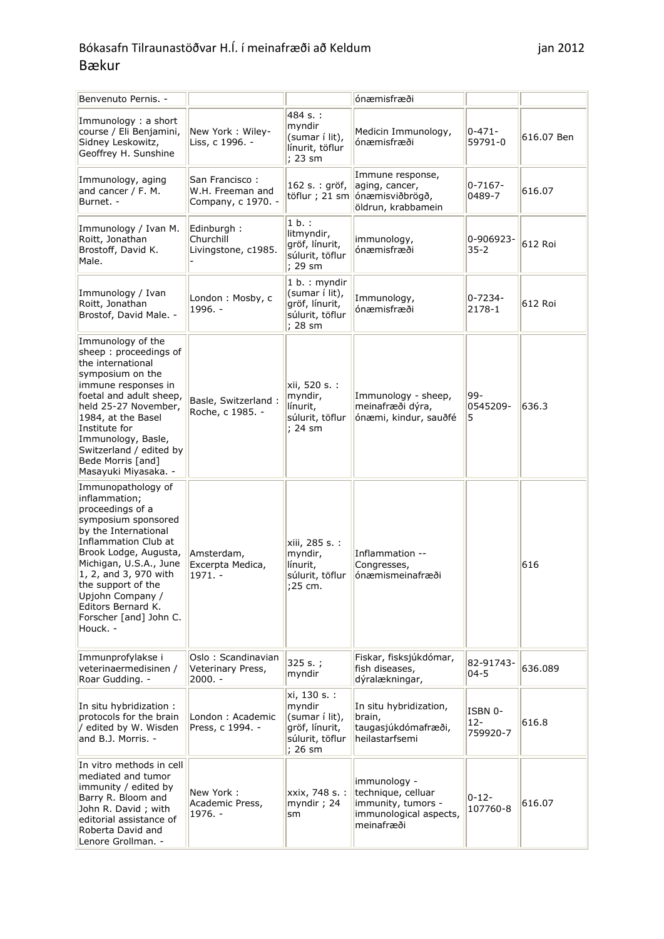| Benvenuto Pernis. -                                                                                                                                                                                                                                                                                              |                                                          |                                                                                          | ónæmisfræði                                                                                      |                              |            |
|------------------------------------------------------------------------------------------------------------------------------------------------------------------------------------------------------------------------------------------------------------------------------------------------------------------|----------------------------------------------------------|------------------------------------------------------------------------------------------|--------------------------------------------------------------------------------------------------|------------------------------|------------|
| Immunology : a short<br>course / Eli Benjamini,<br>Sidney Leskowitz,<br>Geoffrey H. Sunshine                                                                                                                                                                                                                     | New York: Wiley-<br>Liss, c 1996. -                      | 484 s. :<br>myndir<br>(sumar í lit),<br>línurit, töflur<br>; 23 sm                       | Medicin Immunology,<br>ónæmisfræði                                                               | $0 - 471 -$<br>59791-0       | 616.07 Ben |
| Immunology, aging<br>and cancer / F. M.<br>Burnet. -                                                                                                                                                                                                                                                             | San Francisco:<br>W.H. Freeman and<br>Company, c 1970. - | 162 s. : gröf,<br>töflur ; 21 sm                                                         | Immune response,<br>aging, cancer,<br>ónæmisviðbrögð,<br>öldrun, krabbamein                      | $0 - 7167 -$<br>0489-7       | 616.07     |
| Immunology / Ivan M.<br>Roitt, Jonathan<br>Brostoff, David K.<br>Male.                                                                                                                                                                                                                                           | Edinburgh:<br>Churchill<br>Livingstone, c1985.           | $1 b.$ :<br>litmyndir,<br>gröf, línurit,<br>súlurit, töflur<br>; 29 sm                   | immunology,<br>ónæmisfræði                                                                       | 0-906923-<br>$35 - 2$        | 612 Roi    |
| Immunology / Ivan<br>Roitt, Jonathan<br>Brostof, David Male. -                                                                                                                                                                                                                                                   | London: Mosby, c<br>$1996. -$                            | 1 b. : myndir<br>(sumar í lit),<br>gröf, línurit,<br>súlurit, töflur<br>; 28 sm          | Immunology,<br>ónæmisfræði                                                                       | 0-7234-<br>2178-1            | 612 Roi    |
| Immunology of the<br>sheep: proceedings of<br>the international<br>symposium on the<br>immune responses in<br>foetal and adult sheep,<br>held 25-27 November,<br>1984, at the Basel<br>Institute for<br>Immunology, Basle,<br>Switzerland / edited by<br>Bede Morris [and]<br>Masayuki Miyasaka. -               | Basle, Switzerland :<br>Roche, c 1985. -                 | xii, 520 s. :<br>myndir,<br>línurit,<br>súlurit, töflur<br>; 24 sm                       | Immunology - sheep,<br>meinafræði dýra,<br>ónæmi, kindur, sauðfé                                 | 99-<br>0545209-<br>5         | 636.3      |
| Immunopathology of<br>inflammation;<br>proceedings of a<br>symposium sponsored<br>by the International<br>Inflammation Club at<br>Brook Lodge, Augusta,<br>Michigan, U.S.A., June<br>1, 2, and 3, 970 with<br>the support of the<br>Upjohn Company /<br>Editors Bernard K.<br>Forscher [and] John C.<br>Houck. - | Amsterdam,<br>Excerpta Medica,<br>$1971. -$              | xiii, 285 s. :<br>myndir,<br>línurit,<br>súlurit, töflur<br>:25 cm.                      | Inflammation --<br>Congresses,<br>ónæmismeinafræði                                               |                              | 616        |
| Immunprofylakse i<br>veterinaermedisinen /<br>Roar Gudding. -                                                                                                                                                                                                                                                    | Oslo: Scandinavian<br>Veterinary Press,<br>$2000. -$     | 325 s.;<br>myndir                                                                        | Fiskar, fisksjúkdómar,<br>fish diseases,<br>dýralækningar,                                       | 82-91743-<br>$04 - 5$        | 636.089    |
| In situ hybridization:<br>protocols for the brain<br>/ edited by W. Wisden<br>and B.J. Morris. -                                                                                                                                                                                                                 | London: Academic<br>Press, c 1994. -                     | xi, 130 s. :<br>myndir<br>(sumar í lit),<br>gröf, línurit,<br>súlurit, töflur<br>; 26 sm | In situ hybridization,<br>brain,<br>taugasjúkdómafræði,<br>heilastarfsemi                        | ISBN 0-<br>$12-$<br>759920-7 | 616.8      |
| In vitro methods in cell<br>mediated and tumor<br>immunity / edited by<br>Barry R. Bloom and<br>John R. David; with<br>editorial assistance of<br>Roberta David and<br>Lenore Grollman. -                                                                                                                        | New York:<br>Academic Press,<br>$1976. -$                | xxix, 748 s. :<br>myndir; 24<br>sm                                                       | immunology -<br>technique, celluar<br>immunity, tumors -<br>immunological aspects,<br>meinafræði | $0 - 12 -$<br>107760-8       | 616.07     |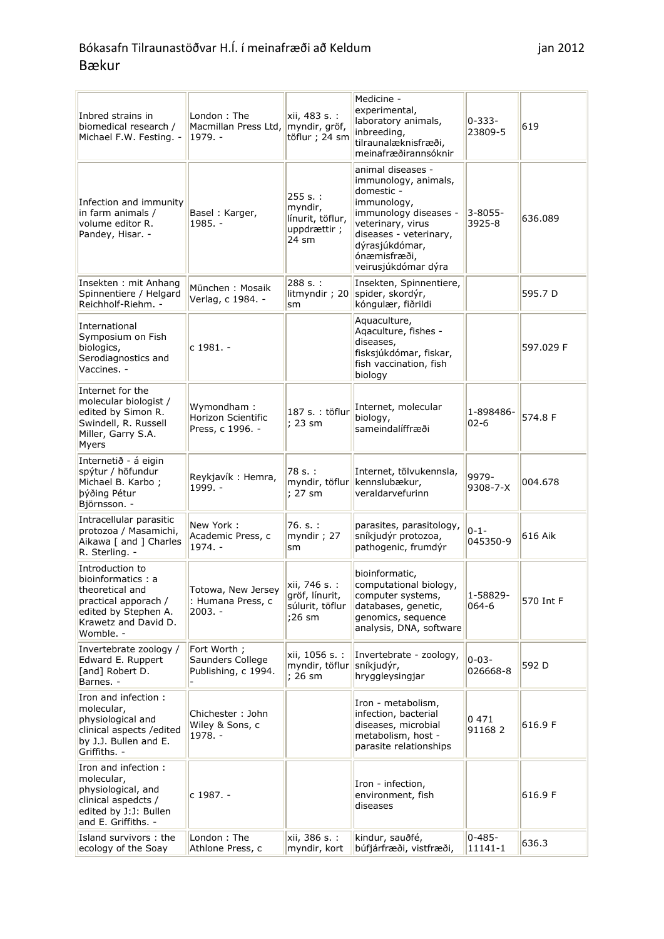| Inbred strains in<br>biomedical research /<br>Michael F.W. Festing. -                                                                        | London: The<br>Macmillan Press Ltd,<br>1979. -         | xii, 483 s. :<br>myndir, gröf,<br>töflur ; 24 sm               | Medicine -<br>experimental,<br>laboratory animals,<br>inbreeding,<br>tilraunalæknisfræði,<br>meinafræðirannsóknir                                                                                       | $0 - 333 -$<br>23809-5 | 619       |
|----------------------------------------------------------------------------------------------------------------------------------------------|--------------------------------------------------------|----------------------------------------------------------------|---------------------------------------------------------------------------------------------------------------------------------------------------------------------------------------------------------|------------------------|-----------|
| Infection and immunity<br>in farm animals /<br>volume editor R.<br>Pandey, Hisar. -                                                          | Basel: Karger,<br>$1985. -$                            | 255 s.:<br>myndir,<br>línurit, töflur,<br>uppdrættir;<br>24 sm | animal diseases -<br>immunology, animals,<br>domestic -<br>immunology,<br>immunology diseases -<br>veterinary, virus<br>diseases - veterinary,<br>dýrasjúkdómar,<br>ónæmisfræði,<br>veirusjúkdómar dýra | $3 - 8055 -$<br>3925-8 | 636.089   |
| Insekten: mit Anhang<br>Spinnentiere / Helgard<br>Reichholf-Riehm. -                                                                         | München: Mosaik<br>Verlag, c 1984. -                   | 288 s. :<br>litmyndir; 20<br>sm                                | Insekten, Spinnentiere,<br>spider, skordýr,<br>kóngulær, fiðrildi                                                                                                                                       |                        | 595.7 D   |
| International<br>Symposium on Fish<br>biologics,<br>Serodiagnostics and<br>Vaccines. -                                                       | c 1981. -                                              |                                                                | Aquaculture,<br>Aqaculture, fishes -<br>diseases,<br>fisksjúkdómar, fiskar,<br>fish vaccination, fish<br>biology                                                                                        |                        | 597.029 F |
| Internet for the<br>molecular biologist /<br>edited by Simon R.<br>Swindell, R. Russell<br>Miller, Garry S.A.<br>Myers                       | Wymondham:<br>Horizon Scientific<br>Press, c 1996. -   | 187 s. : töflur<br>; 23 sm                                     | Internet, molecular<br>biology,<br>sameindalíffræði                                                                                                                                                     | 1-898486-<br>$02 - 6$  | 574.8 F   |
| Internetið - á eigin<br>spýtur / höfundur<br>Michael B. Karbo;<br>þýðing Pétur<br>Björnsson. -                                               | Reykjavík: Hemra,<br>1999. -                           | 78 s. :<br>myndir, töflur<br>; 27 sm                           | Internet, tölvukennsla,<br>kennslubækur,<br>veraldarvefurinn                                                                                                                                            | 9979-<br>9308-7-X      | 004.678   |
| Intracellular parasitic<br>protozoa / Masamichi,<br>Aikawa [ and ] Charles<br>R. Sterling. -                                                 | New York:<br>Academic Press, c<br>$1974. -$            | 76. s.:<br>myndir; 27<br>sm                                    | parasites, parasitology,<br>sníkjudýr protozoa,<br>pathogenic, frumdýr                                                                                                                                  | $0 - 1 -$<br>045350-9  | 616 Aik   |
| Introduction to<br>bioinformatics: a<br>theoretical and<br>practical apporach /<br>edited by Stephen A.<br>Krawetz and David D.<br>Womble. - | Totowa, New Jersey<br>: Humana Press, c<br>2003. -     | xii, 746 s. :<br>gröf, línurit,<br>súlurit, töflur<br>:26 sm   | bioinformatic,<br>computational biology,<br>computer systems,<br>databases, genetic,<br>genomics, sequence<br>analysis, DNA, software                                                                   | 1-58829-<br>$064 - 6$  | 570 Int F |
| Invertebrate zoology /<br>Edward E. Ruppert<br>[and] Robert D.<br>Barnes. -                                                                  | Fort Worth;<br>Saunders College<br>Publishing, c 1994. | xii, 1056 s. :<br>myndir, töflur<br>; 26 sm                    | Invertebrate - zoology,<br>sníkjudýr,<br>hryggleysingjar                                                                                                                                                | $0 - 03 -$<br>026668-8 | 592 D     |
| Iron and infection:<br>molecular,<br>physiological and<br>clinical aspects / edited<br>by J.J. Bullen and E.<br>Griffiths. -                 | Chichester: John<br>Wiley & Sons, c<br>1978. -         |                                                                | Iron - metabolism,<br>infection, bacterial<br>diseases, microbial<br>metabolism, host -<br>parasite relationships                                                                                       | 0471<br>911682         | 616.9 F   |
| Iron and infection:<br>molecular,<br>physiological, and<br>clinical aspedcts /<br>edited by J:J: Bullen<br>and E. Griffiths. -               | c 1987. -                                              |                                                                | Iron - infection,<br>environment, fish<br>diseases                                                                                                                                                      |                        | 616.9 F   |
| Island survivors: the<br>ecology of the Soay                                                                                                 | London: The<br>Athlone Press, c                        | xii, 386 s. :<br>myndir, kort                                  | kindur, sauðfé,<br>búfjárfræði, vistfræði,                                                                                                                                                              | $0 - 485 -$<br>11141-1 | 636.3     |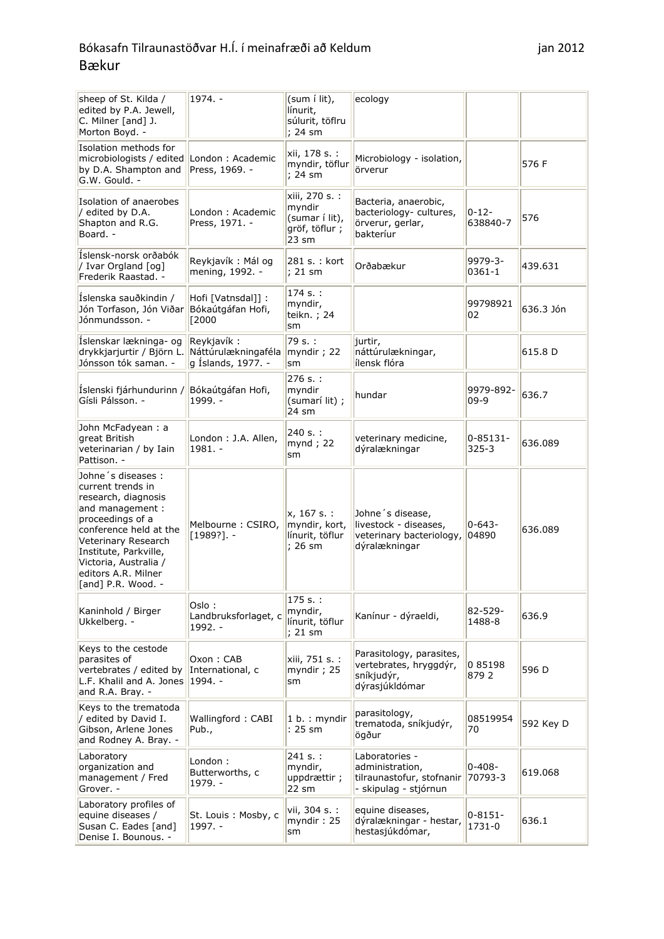| sheep of St. Kilda /<br>edited by P.A. Jewell,<br>C. Milner [and] J.<br>Morton Boyd. -                                                                                                                                                                 | $1974. -$                                               | (sum í lit),<br>línurit,<br>súlurit, töflru<br>; 24 sm                | ecology                                                                                 |                            |           |
|--------------------------------------------------------------------------------------------------------------------------------------------------------------------------------------------------------------------------------------------------------|---------------------------------------------------------|-----------------------------------------------------------------------|-----------------------------------------------------------------------------------------|----------------------------|-----------|
| Isolation methods for<br>microbiologists / edited<br>by D.A. Shampton and<br>G.W. Gould. -                                                                                                                                                             | London: Academic<br>Press, 1969. -                      | xii, 178 s. :<br>myndir, töflur<br>; 24 sm                            | Microbiology - isolation,<br>örverur                                                    |                            | 576 F     |
| Isolation of anaerobes<br>/ edited by D.A.<br>Shapton and R.G.<br>Board. -                                                                                                                                                                             | London: Academic<br>Press, 1971. -                      | xiii, 270 s. :<br>myndir<br>(sumar í lit),<br>gröf, töflur ;<br>23 sm | Bacteria, anaerobic,<br>bacteriology- cultures,<br>örverur, gerlar,<br>bakteríur        | $0 - 12 -$<br>638840-7     | 576       |
| Íslensk-norsk orðabók<br>/ Ivar Orgland [og]<br>Frederik Raastad. -                                                                                                                                                                                    | Reykjavík: Mál og<br>mening, 1992. -                    | 281 s. : kort<br>; 21 sm                                              | Orðabækur                                                                               | 9979-3-<br>0361-1          | 439.631   |
| Íslenska sauðkindin /<br>Jón Torfason, Jón Viðar<br>Jónmundsson. -                                                                                                                                                                                     | Hofi [Vatnsdal]] :<br>Bókaútgáfan Hofi,<br>[2000        | 174 s. :<br>myndir,<br>teikn. ; 24<br>sm                              |                                                                                         | 99798921<br>02             | 636.3 Jón |
| Íslenskar lækninga- og<br>drykkjarjurtir / Björn L.<br>Jónsson tók saman. -                                                                                                                                                                            | Reykjavík:<br>Náttúrulækningaféla<br>g Íslands, 1977. - | 79 s. :<br>myndir ; 22<br>sm                                          | jurtir,<br>náttúrulækningar,<br>ílensk flóra                                            |                            | 615.8 D   |
| Íslenski fjárhundurinn /<br>Gísli Pálsson. -                                                                                                                                                                                                           | Bókaútgáfan Hofi,<br>1999. -                            | 276 s.:<br>myndir<br>(sumarí lit) ;<br>24 sm                          | hundar                                                                                  | 9979-892-<br>$09-9$        | 636.7     |
| John McFadyean: a<br>great British<br>veterinarian / by Iain<br>Pattison. -                                                                                                                                                                            | London: J.A. Allen,<br>1981. -                          | 240 s. :<br>mynd ; 22<br>sm                                           | veterinary medicine,<br>dýralækningar                                                   | $0 - 85131 -$<br>$325 - 3$ | 636.089   |
| Johne's diseases :<br>current trends in<br>research, diagnosis<br>and management :<br>proceedings of a<br>conference held at the<br>Veterinary Research<br>Institute, Parkville,<br>Victoria, Australia /<br>editors A.R. Milner<br>[and] P.R. Wood. - | Melbourne: CSIRO,<br>[1989?].                           | x, 167 s. :<br>myndir, kort,<br>línurit, töflur<br>; 26 sm            | Johne's disease,<br>livestock - diseases,<br>veterinary bacteriology,<br>dýralækningar  | $0 - 643 -$<br>04890       | 636.089   |
| Kaninhold / Birger<br>Ukkelberg. -                                                                                                                                                                                                                     | Oslo:<br>Landbruksforlaget, c<br>$1992. -$              | 175 s.:<br>myndir,<br>línurit, töflur<br>; 21 sm                      | Kanínur - dýraeldi,                                                                     | 82-529-<br>1488-8          | 636.9     |
| Keys to the cestode<br>parasites of<br>vertebrates / edited by<br>L.F. Khalil and A. Jones<br>and R.A. Bray. -                                                                                                                                         | Oxon: CAB<br>International, c<br>$ 1994. -$             | xiii, 751 s. :<br>myndir; 25<br>sm                                    | Parasitology, parasites,<br>vertebrates, hryggdýr,<br>sníkjudýr,<br>dýrasjúkldómar      | 085198<br>879 2            | 596 D     |
| Keys to the trematoda<br>/ edited by David I.<br>Gibson, Arlene Jones<br>and Rodney A. Bray. -                                                                                                                                                         | Wallingford: CABI<br>Pub.,                              | 1 b. : myndir<br>: 25 sm                                              | parasitology,<br>trematoda, sníkjudýr,<br>ögður                                         | 08519954<br>70             | 592 Key D |
| Laboratory<br>organization and<br>management / Fred<br>Grover. -                                                                                                                                                                                       | London :<br>Butterworths, c<br>$1979. -$                | 241 s.:<br>myndir,<br>uppdrættir;<br>22 sm                            | Laboratories -<br>administration,<br>tilraunastofur, stofnanir<br>- skipulag - stjórnun | $0 - 408 -$<br>70793-3     | 619.068   |
| Laboratory profiles of<br>equine diseases /<br>Susan C. Eades [and]<br>Denise I. Bounous. -                                                                                                                                                            | St. Louis: Mosby, c<br>1997. -                          | vii, 304 s. :<br>myndir: $25$<br>sm                                   | equine diseases,<br>dýralækningar - hestar,<br>hestasjúkdómar,                          | $0 - 8151 -$<br>1731-0     | 636.1     |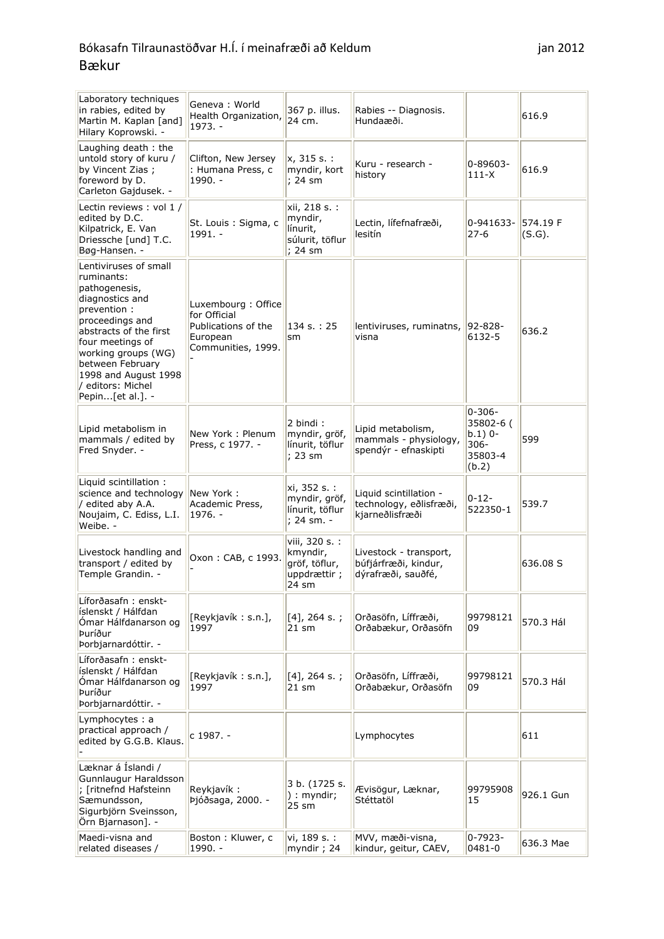| Laboratory techniques<br>in rabies, edited by<br>Martin M. Kaplan [and]<br>Hilary Koprowski. -                                                                                                                                                                       | Geneva: World<br>Health Organization,<br>1973. -                                            | 367 p. illus.<br>24 cm.                                             | Rabies -- Diagnosis.<br>Hundaæði.                                    |                                                                     | 616.9              |
|----------------------------------------------------------------------------------------------------------------------------------------------------------------------------------------------------------------------------------------------------------------------|---------------------------------------------------------------------------------------------|---------------------------------------------------------------------|----------------------------------------------------------------------|---------------------------------------------------------------------|--------------------|
| Laughing death: the<br>untold story of kuru /<br>by Vincent Zias;<br>foreword by D.<br>Carleton Gajdusek. -                                                                                                                                                          | Clifton, New Jersey<br>: Humana Press, c<br>1990. -                                         | x, 315 s. :<br>myndir, kort<br>; 24 sm                              | Kuru - research -<br>history                                         | 0-89603-<br>$111-X$                                                 | 616.9              |
| Lectin reviews : vol 1 /<br>edited by D.C.<br>Kilpatrick, E. Van<br>Driessche [und] T.C.<br>Bøg-Hansen. -                                                                                                                                                            | St. Louis: Sigma, c<br>$1991. -$                                                            | xii, 218 s. :<br>myndir,<br>línurit,<br>súlurit, töflur<br>; 24 sm  | Lectin, lífefnafræði,<br>lesitín                                     | 0-941633-<br>$27 - 6$                                               | 574.19 F<br>(S.G). |
| Lentiviruses of small<br>ruminants:<br>pathogenesis,<br>diagnostics and<br>prevention :<br>proceedings and<br>abstracts of the first<br>four meetings of<br>working groups (WG)<br>between February<br>1998 and August 1998<br>/ editors: Michel<br>Pepin[et al.]. - | Luxembourg: Office<br>for Official<br>Publications of the<br>European<br>Communities, 1999. | 134 s. : 25<br>sm                                                   | lentiviruses, ruminatns,<br>visna                                    | $ 92 - 828 -$<br>6132-5                                             | 636.2              |
| Lipid metabolism in<br>mammals / edited by<br>Fred Snyder. -                                                                                                                                                                                                         | New York: Plenum<br>Press, c 1977. -                                                        | 2 bindi:<br>myndir, gröf,<br>línurit, töflur<br>; 23 sm             | Lipid metabolism,<br>mammals - physiology,<br>spendýr - efnaskipti   | $0 - 306 -$<br>35802-6 (<br>$b.1)0-$<br>$306 -$<br>35803-4<br>(b.2) | 599                |
| Liquid scintillation:<br>science and technology<br>/ edited aby A.A.<br>Noujaim, C. Ediss, L.I.<br>Weibe. -                                                                                                                                                          | New York:<br>Academic Press,<br>$1976. -$                                                   | xi, 352 s. :<br>myndir, gröf,<br>línurit, töflur<br>; 24 sm. -      | Liquid scintillation -<br>technology, eðlisfræði,<br>kjarneðlisfræði | $0 - 12 -$<br>522350-1                                              | 539.7              |
| Livestock handling and<br>transport / edited by<br>Temple Grandin. -                                                                                                                                                                                                 | Oxon: CAB, c 1993.                                                                          | viii, 320 s. :<br>kmyndir,<br>gröf, töflur,<br>uppdrættir;<br>24 sm | Livestock - transport,<br>búfjárfræði, kindur,<br>dýrafræði, sauðfé, |                                                                     | 636.08 S           |
| Líforðasafn : enskt-<br>íslenskt / Hálfdan<br>Ómar Hálfdanarson og<br>Þuríður<br>Þorbjarnardóttir. -                                                                                                                                                                 | [Reykjavík: s.n.],<br>1997                                                                  | $[4]$ , 264 s.;<br>$21 \text{ sm}$                                  | Orðasöfn, Líffræði,<br>Orðabækur, Orðasöfn                           | 99798121<br>09                                                      | 570.3 Hál          |
| Líforðasafn: enskt-<br>íslenskt / Hálfdan<br>Ómar Hálfdanarson og<br>Þuríður<br>Þorbjarnardóttir. -                                                                                                                                                                  | [Reykjavík: s.n.],<br>1997                                                                  | $[4]$ , 264 s.;<br>21 sm                                            | Orðasöfn, Líffræði,<br>Orðabækur, Orðasöfn                           | 99798121<br>09                                                      | 570.3 Hál          |
| Lymphocytes: a<br>practical approach /<br>edited by G.G.B. Klaus.                                                                                                                                                                                                    | c 1987. -                                                                                   |                                                                     | Lymphocytes                                                          |                                                                     | 611                |
| Læknar á Íslandi /<br>Gunnlaugur Haraldsson<br>; [ritnefnd Hafsteinn<br>Sæmundsson,<br>Sigurbjörn Sveinsson,<br>Örn Bjarnason]. -                                                                                                                                    | Reykjavík:<br>Þjóðsaga, 2000. -                                                             | 3 b. (1725 s.<br>) : myndir;<br>25 sm                               | Ævisögur, Læknar,<br>Stéttatöl                                       | 99795908<br>15                                                      | 926.1 Gun          |
| Maedi-visna and<br>related diseases /                                                                                                                                                                                                                                | Boston: Kluwer, c<br>1990. -                                                                | vi, 189 s. :<br>myndir; 24                                          | MVV, mæði-visna,<br>kindur, geitur, CAEV,                            | $0 - 7923 -$<br>$0481 - 0$                                          | 636.3 Mae          |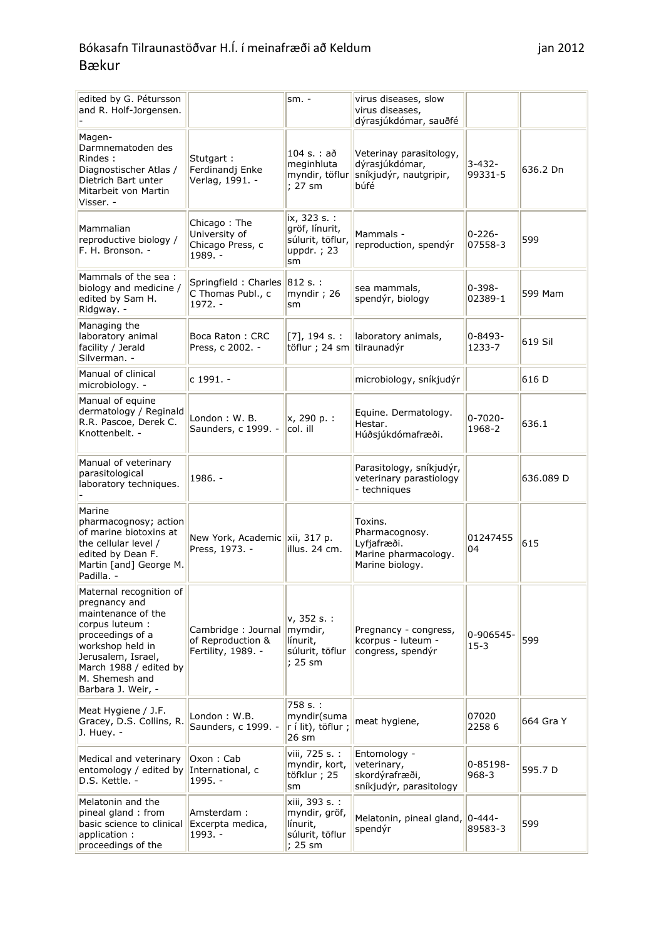| edited by G. Pétursson<br>and R. Holf-Jorgensen.                                                                                                                                                                  |                                                               | $sm. -$                                                                   | virus diseases, slow<br>virus diseases,<br>dýrasjúkdómar, sauðfé                    |                        |           |
|-------------------------------------------------------------------------------------------------------------------------------------------------------------------------------------------------------------------|---------------------------------------------------------------|---------------------------------------------------------------------------|-------------------------------------------------------------------------------------|------------------------|-----------|
| Magen-<br>Darmnematoden des<br>Rindes:<br>Diagnostischer Atlas /<br>Dietrich Bart unter<br>Mitarbeit von Martin<br>Visser. -                                                                                      | Stutgart:<br>Ferdinandj Enke<br>Verlag, 1991. -               | 104 s. : að<br>meginhluta<br>myndir, töflur<br>: 27 sm                    | Veterinay parasitology,<br>dýrasjúkdómar,<br>sníkjudýr, nautgripir,<br>búfé         | $3 - 432 -$<br>99331-5 | 636.2 Dn  |
| Mammalian<br>reproductive biology /<br>F. H. Bronson. -                                                                                                                                                           | Chicago: The<br>University of<br>Chicago Press, c<br>1989. -  | ix, 323 s. :<br>gröf, línurit,<br>súlurit, töflur,<br>uppdr. ; 23<br>sm   | Mammals -<br>reproduction, spendýr                                                  | $0 - 226 -$<br>07558-3 | 599       |
| Mammals of the sea:<br>biology and medicine /<br>edited by Sam H.<br>Ridgway. -                                                                                                                                   | Springfield: Charles<br>C Thomas Publ., c<br>1972. -          | 812 s. :<br>myndir; 26<br>sm                                              | sea mammals,<br>spendýr, biology                                                    | $0 - 398 -$<br>02389-1 | 599 Mam   |
| Managing the<br>laboratory animal<br>facility / Jerald<br>Silverman. -                                                                                                                                            | Boca Raton: CRC<br>Press, c 2002. -                           | $[7]$ , 194 s. :<br>töflur ; 24 sm                                        | laboratory animals,<br>tilraunadýr                                                  | $0 - 8493 -$<br>1233-7 | 619 Sil   |
| Manual of clinical<br>microbiology. -                                                                                                                                                                             | c 1991. -                                                     |                                                                           | microbiology, sníkjudýr                                                             |                        | 616 D     |
| Manual of equine<br>dermatology / Reginald<br>R.R. Pascoe, Derek C.<br>Knottenbelt. -                                                                                                                             | London: W. B.<br>Saunders, c 1999. -                          | x, 290 p. :<br>col. ill                                                   | Equine. Dermatology.<br>Hestar.<br>Húðsjúkdómafræði.                                | $0 - 7020 -$<br>1968-2 | 636.1     |
| Manual of veterinary<br>parasitological<br>laboratory techniques.                                                                                                                                                 | 1986. -                                                       |                                                                           | Parasitology, sníkjudýr,<br>veterinary parastiology<br>techniques                   |                        | 636.089 D |
| Marine<br>pharmacognosy; action<br>of marine biotoxins at<br>the cellular level /<br>edited by Dean F.<br>Martin [and] George M.<br>Padilla. -                                                                    | New York, Academic   xii, 317 p.<br>Press, 1973. -            | illus. 24 cm.                                                             | Toxins.<br>Pharmacognosy.<br>Lyfjafræði.<br>Marine pharmacology.<br>Marine biology. | 01247455<br>04         | 615       |
| Maternal recognition of<br>pregnancy and<br>maintenance of the<br>corpus luteum :<br>proceedings of a<br>workshop held in<br>Jerusalem, Israel,<br>March 1988 / edited by<br>M. Shemesh and<br>Barbara J. Weir, - | Cambridge: Journal<br>of Reproduction &<br>Fertility, 1989. - | v, 352 s. :<br>mymdir,<br>línurit,<br>súlurit, töflur<br>$: 25 \;$ sm     | Pregnancy - congress,<br>kcorpus - luteum -<br>congress, spendýr                    | 0-906545-<br>$15 - 3$  | 599       |
| Meat Hygiene / J.F.<br>Gracey, D.S. Collins, R.<br>J. Huey. -                                                                                                                                                     | London: W.B.<br>Saunders, c 1999. -                           | 758 s. :<br>myndir(suma<br>r í lit), töflur ;<br>26 sm                    | meat hygiene,                                                                       | 07020<br>2258 6        | 664 Gra Y |
| Medical and veterinary<br>entomology / edited by<br>D.S. Kettle. -                                                                                                                                                | Oxon: Cab<br>International, c<br>1995. -                      | viii, 725 s. :<br>myndir, kort,<br>töfklur; 25<br>sm                      | Entomology -<br>veterinary,<br>skordýrafræði,<br>sníkjudýr, parasitology            | 0-85198-<br>$968 - 3$  | 595.7 D   |
| Melatonin and the<br>pineal gland: from<br>basic science to clinical<br>application :<br>proceedings of the                                                                                                       | Amsterdam:<br>Excerpta medica,<br>1993. -                     | xiii, 393 s. :<br>myndir, gröf,<br>línurit,<br>súlurit, töflur<br>; 25 sm | Melatonin, pineal gland, 0-444-<br>spendýr                                          | 89583-3                | 599       |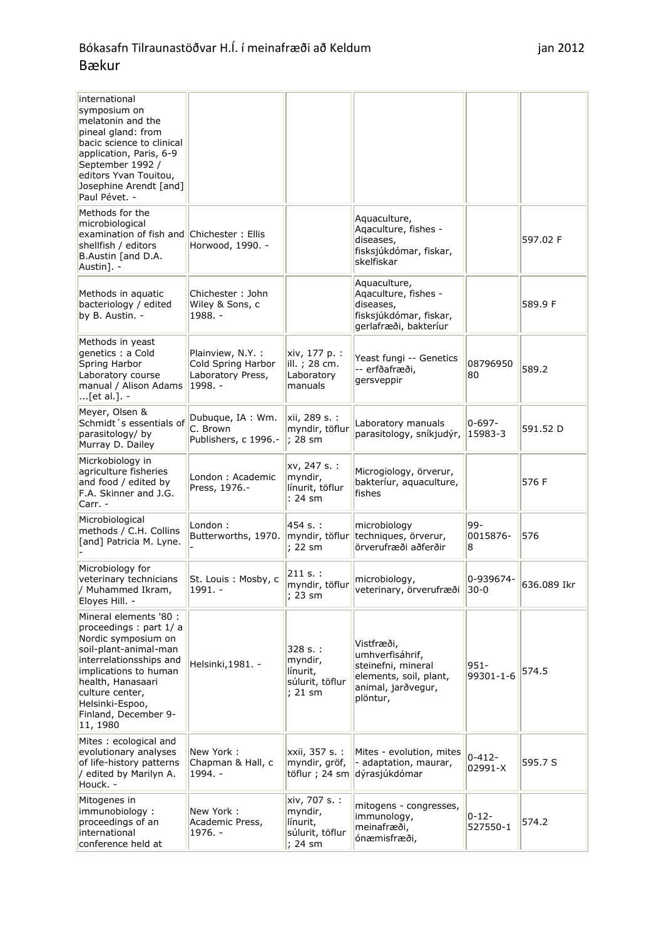| international<br>symposium on<br>melatonin and the<br>pineal gland: from<br>bacic science to clinical<br>application, Paris, 6-9<br>September 1992 /<br>editors Yvan Touitou,<br>Josephine Arendt [and]<br>Paul Pévet. -                             |                                                                         |                                                                    |                                                                                                                 |                         |             |
|------------------------------------------------------------------------------------------------------------------------------------------------------------------------------------------------------------------------------------------------------|-------------------------------------------------------------------------|--------------------------------------------------------------------|-----------------------------------------------------------------------------------------------------------------|-------------------------|-------------|
| Methods for the<br>microbiological<br>examination of fish and Chichester: Ellis<br>shellfish / editors<br>B.Austin [and D.A.<br>Austin]. -                                                                                                           | Horwood, 1990. -                                                        |                                                                    | Aquaculture,<br>Aqaculture, fishes -<br>diseases,<br>fisksjúkdómar, fiskar,<br>skelfiskar                       |                         | 597.02 F    |
| Methods in aquatic<br>bacteriology / edited<br>by B. Austin. -                                                                                                                                                                                       | Chichester: John<br>Wiley & Sons, c<br>1988. -                          |                                                                    | Aquaculture,<br>Aqaculture, fishes -<br>diseases,<br>fisksjúkdómar, fiskar,<br>gerlafræði, bakteríur            |                         | 589.9 F     |
| Methods in yeast<br>genetics: a Cold<br>Spring Harbor<br>Laboratory course<br>manual / Alison Adams<br>$$ [et al.]. -                                                                                                                                | Plainview, N.Y. :<br>Cold Spring Harbor<br>Laboratory Press,<br>1998. - | xiv, 177 p. :<br>ill.; 28 cm.<br>Laboratory<br>manuals             | Yeast fungi -- Genetics<br>-- erfðafræði,<br>gersveppir                                                         | 08796950<br>80          | 589.2       |
| Meyer, Olsen &<br>Schmidt's essentials of<br>parasitology/by<br>Murray D. Dailey                                                                                                                                                                     | Dubuque, IA : Wm.<br>C. Brown<br>Publishers, c 1996.-                   | xii, 289 s. :<br>myndir, töflur<br>$\vert$ ; 28 sm                 | Laboratory manuals<br>parasitology, sníkjudýr,                                                                  | $0 - 697 -$<br>15983-3  | 591.52 D    |
| Micrkobiology in<br>agriculture fisheries<br>and food / edited by<br>F.A. Skinner and J.G.<br>Carr. -                                                                                                                                                | London: Academic<br>Press, 1976.-                                       | xv, 247 s. :<br>myndir,<br>línurit, töflur<br>$: 24 \text{ sm}$    | Microgiology, örverur,<br>bakteríur, aquaculture,<br>fishes                                                     |                         | 576 F       |
| Microbiological<br>methods / C.H. Collins<br>[and] Patricia M. Lyne.                                                                                                                                                                                 | London:<br>Butterworths, 1970.                                          | 454 s. :<br>myndir, töflur<br>; 22 sm                              | microbiology<br>techniques, örverur,<br>örverufræði aðferðir                                                    | $99 -$<br>0015876-<br>8 | 576         |
| Microbiology for<br>veterinary technicians<br>/ Muhammed Ikram,<br>Eloyes Hill. -                                                                                                                                                                    | St. Louis: Mosby, c<br>1991.                                            | 211 s.:<br>myndir, töflur<br>; 23 sm                               | microbiology,<br>veterinary, örverufræði   30-0                                                                 | 0-939674-               | 636.089 Ikr |
| Mineral elements '80 :<br>proceedings : part 1/ a<br>Nordic symposium on<br>soil-plant-animal-man<br>interrelationsships and<br>implications to human<br>health, Hanasaari<br>culture center,<br>Helsinki-Espoo,<br>Finland, December 9-<br>11, 1980 | Helsinki, 1981. -                                                       | 328 s. :<br>myndir,<br>línurit,<br>súlurit, töflur<br>; 21 sm      | Vistfræði,<br>umhverfisáhrif,<br>steinefni, mineral<br>elements, soil, plant,<br>animal, jarðvegur,<br>plöntur, | $951 -$<br>99301-1-6    | 574.5       |
| Mites: ecological and<br>evolutionary analyses<br>of life-history patterns<br>/ edited by Marilyn A.<br>Houck. -                                                                                                                                     | New York:<br>Chapman & Hall, c<br>1994. -                               | xxii, 357 s. :<br>myndir, gröf,<br>töflur ; 24 sm                  | Mites - evolution, mites<br>- adaptation, maurar,<br>dýrasjúkdómar                                              | 0-412-<br>02991-X       | 595.7 S     |
| Mitogenes in<br>immunobiology:<br>proceedings of an<br>international<br>conference held at                                                                                                                                                           | New York:<br>Academic Press,<br>$1976. -$                               | xiv, 707 s. :<br>myndir,<br>línurit,<br>súlurit, töflur<br>; 24 sm | mitogens - congresses,<br>immunology,<br>meinafræði,<br>ónæmisfræði,                                            | $0 - 12 -$<br>527550-1  | 574.2       |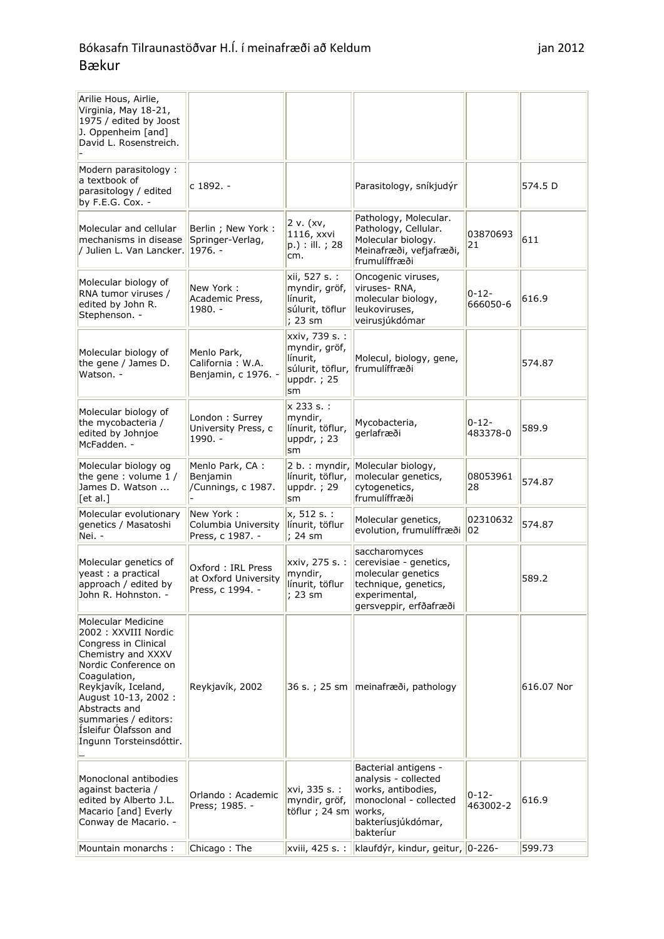| Arilie Hous, Airlie,<br>Virginia, May 18-21,<br>1975 / edited by Joost<br>J. Oppenheim [and]<br>David L. Rosenstreich.                                                                                                                                                       |                                                               |                                                                                      |                                                                                                                                           |                        |            |
|------------------------------------------------------------------------------------------------------------------------------------------------------------------------------------------------------------------------------------------------------------------------------|---------------------------------------------------------------|--------------------------------------------------------------------------------------|-------------------------------------------------------------------------------------------------------------------------------------------|------------------------|------------|
| Modern parasitology:<br>a textbook of<br>parasitology / edited<br>by F.E.G. Cox. -                                                                                                                                                                                           | c 1892. -                                                     |                                                                                      | Parasitology, sníkjudýr                                                                                                                   |                        | 574.5 D    |
| Molecular and cellular<br>mechanisms in disease<br>/ Julien L. Van Lancker.                                                                                                                                                                                                  | Berlin ; New York :<br>Springer-Verlag,<br>1976. -            | 2 v. (xv,<br>1116, xxvi<br>p.) : ill. ; 28<br>cm.                                    | Pathology, Molecular.<br>Pathology, Cellular.<br>Molecular biology.<br>Meinafræði, vefjafræði,<br><b>frumulíffræði</b>                    | 03870693<br>21         | 611        |
| Molecular biology of<br>RNA tumor viruses /<br>edited by John R.<br>Stephenson. -                                                                                                                                                                                            | New York:<br>Academic Press,<br>$1980. -$                     | xii, 527 s. :<br>myndir, gröf,<br>línurit,<br>súlurit, töflur<br>; 23 sm             | Oncogenic viruses,<br>viruses-RNA,<br>molecular biology,<br>leukoviruses,<br>veirusjúkdómar                                               | $0 - 12 -$<br>666050-6 | 616.9      |
| Molecular biology of<br>the gene / James D.<br>Watson. -                                                                                                                                                                                                                     | Menlo Park,<br>California : W.A.<br>Benjamin, c 1976.         | xxiv, 739 s. :<br>myndir, gröf,<br>línurit,<br>súlurit, töflur,<br>uppdr. ; 25<br>sm | Molecul, biology, gene,<br>frumulíffræði                                                                                                  |                        | 574.87     |
| Molecular biology of<br>the mycobacteria /<br>edited by Johnjoe<br>McFadden. -                                                                                                                                                                                               | London: Surrey<br>University Press, c<br>$1990. -$            | x 233 s. :<br>myndir,<br>línurit, töflur,<br>uppdr, $; 23$<br>sm                     | Mycobacteria,<br>qerlafræði                                                                                                               | $0 - 12 -$<br>483378-0 | 589.9      |
| Molecular biology og<br>the gene: volume 1 /<br>James D. Watson<br>$[$ et al.]                                                                                                                                                                                               | Menlo Park, CA:<br>Benjamin<br>/Cunnings, c 1987.             | 2 b. : myndir,<br>línurit, töflur,<br>uppdr. ; 29<br>sm                              | Molecular biology,<br>molecular genetics,<br>cytogenetics,<br>frumulíffræði                                                               | 08053961<br>28         | 574.87     |
| Molecular evolutionary<br>genetics / Masatoshi<br>Nei. -                                                                                                                                                                                                                     | New York:<br>Columbia University<br>Press, c 1987. -          | x, 512 s.:<br>línurit, töflur<br>; 24 sm                                             | Molecular genetics,<br>evolution, frumulíffræði                                                                                           | 02310632<br>02         | 574.87     |
| Molecular genetics of<br>yeast : a practical<br>approach / edited by<br>John R. Hohnston. -                                                                                                                                                                                  | Oxford: IRL Press<br>at Oxford University<br>Press, c 1994. - | xxiv, 275 s. :<br>myndir,<br>línurit, töflur<br>; 23 sm                              | saccharomyces<br>cerevisiae - genetics,<br>molecular genetics<br>technique, genetics,<br>experimental,<br>gersveppir, erfðafræði          |                        | 589.2      |
| Molecular Medicine<br>2002 : XXVIII Nordic<br>Congress in Clinical<br>Chemistry and XXXV<br>Nordic Conference on<br>Coagulation,<br>Reykjavík, Iceland,<br>August 10-13, 2002 :<br>Abstracts and<br>summaries / editors:<br>Isleifur Olafsson and<br>Ingunn Torsteinsdóttir. | Reykjavík, 2002                                               |                                                                                      | 36 s.; 25 sm meinafræði, pathology                                                                                                        |                        | 616.07 Nor |
| Monoclonal antibodies<br>against bacteria /<br>edited by Alberto J.L.<br>Macario [and] Everly<br>Conway de Macario. -                                                                                                                                                        | Orlando: Academic<br>Press; 1985. -                           | xvi, 335 s. :<br>myndir, gröf,<br>töflur ; 24 sm                                     | Bacterial antigens -<br>analysis - collected<br>works, antibodies,<br>monoclonal - collected<br>works,<br>bakteríusjúkdómar,<br>bakteríur | $0 - 12 -$<br>463002-2 | 616.9      |
| Mountain monarchs:                                                                                                                                                                                                                                                           | Chicago: The                                                  |                                                                                      | xviii, 425 s. :  klaufdýr, kindur, geitur, 0-226-                                                                                         |                        | 599.73     |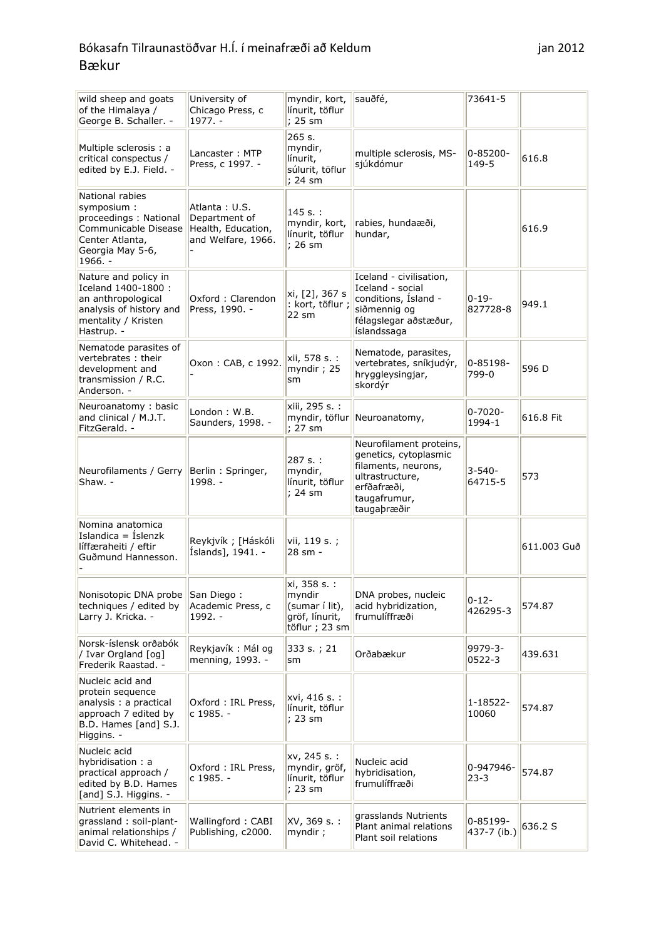| wild sheep and goats<br>of the Himalaya /<br>George B. Schaller. -                                                               | University of<br>Chicago Press, c<br>1977. -                               | myndir, kort,<br>línurit, töflur<br>; 25 sm                                  | sauðfé,                                                                                                                                  | 73641-5                 |             |
|----------------------------------------------------------------------------------------------------------------------------------|----------------------------------------------------------------------------|------------------------------------------------------------------------------|------------------------------------------------------------------------------------------------------------------------------------------|-------------------------|-------------|
| Multiple sclerosis : a<br>critical conspectus /<br>edited by E.J. Field. -                                                       | Lancaster: MTP<br>Press, c 1997. -                                         | 265 s.<br>myndir,<br>línurit,<br>súlurit, töflur<br>; 24 sm                  | multiple sclerosis, MS-<br>sjúkdómur                                                                                                     | $0 - 85200 -$<br>149-5  | 616.8       |
| National rabies<br>symposium:<br>proceedings: National<br>Communicable Disease<br>Center Atlanta,<br>Georgia May 5-6,<br>1966. - | Atlanta: U.S.<br>Department of<br>Health, Education,<br>and Welfare, 1966. | 145 s.:<br>myndir, kort,<br>línurit, töflur<br>; 26 sm                       | rabies, hundaæði,<br>hundar,                                                                                                             |                         | 616.9       |
| Nature and policy in<br>Iceland 1400-1800:<br>an anthropological<br>analysis of history and<br>mentality / Kristen<br>Hastrup. - | Oxford: Clarendon<br>Press, 1990. -                                        | xi, [2], 367 s<br>: kort, töflur ;<br>22 sm                                  | Iceland - civilisation,<br>Iceland - social<br>conditions, Island -<br>siðmennig og<br>félagslegar aðstæður,<br>íslandssaga              | $ 0-19-$<br>827728-8    | 949.1       |
| Nematode parasites of<br>vertebrates: their<br>development and<br>transmission / R.C.<br>Anderson. -                             | Oxon: CAB, c 1992.                                                         | xii, 578 s. :<br>myndir; 25<br>sm                                            | Nematode, parasites,<br>vertebrates, sníkjudýr,<br>hryggleysingjar,<br>skordýr                                                           | $0 - 85198 -$<br>799-0  | 596 D       |
| Neuroanatomy: basic<br>and clinical / M.J.T.<br>FitzGerald. -                                                                    | London: W.B.<br>Saunders, 1998. -                                          | xiii, 295 s. :<br>myndir, töflur<br>; 27 sm                                  | Neuroanatomy,                                                                                                                            | $0 - 7020 -$<br>1994-1  | 616.8 Fit   |
| Neurofilaments / Gerry<br>Shaw. -                                                                                                | Berlin: Springer,<br>1998. -                                               | 287 s.:<br>myndir,<br>línurit, töflur<br>; 24 sm                             | Neurofilament proteins,<br>genetics, cytoplasmic<br>filaments, neurons,<br>ultrastructure,<br>erfðafræði,<br>taugafrumur,<br>taugaþræðir | $3 - 540 -$<br>64715-5  | 573         |
| Nomina anatomica<br>Islandica = Íslenzk<br>líffæraheiti / eftir<br>Guðmund Hannesson.                                            | Reykjvík ; [Háskóli<br>Íslands], 1941. -                                   | vii, 119 s. ;<br>28 sm -                                                     |                                                                                                                                          |                         | 611.003 Guð |
| Nonisotopic DNA probe<br>techniques / edited by<br>Larry J. Kricka. -                                                            | San Diego:<br>Academic Press, c<br>$1992. -$                               | xi, 358 s. :<br>myndir<br>(sumar í lit),<br>gröf, línurit,<br>töflur ; 23 sm | DNA probes, nucleic<br>acid hybridization,<br>frumulíffræði                                                                              | $0 - 12 -$<br>426295-3  | 574.87      |
| Norsk-íslensk orðabók<br>/ Ivar Orgland [og]<br>Frederik Raastad. -                                                              | Reykjavík: Mál og<br>menning, 1993. -                                      | 333 s.; 21<br>sm                                                             | Orðabækur                                                                                                                                | 9979-3-<br>0522-3       | 439.631     |
| Nucleic acid and<br>protein sequence<br>analysis : a practical<br>approach 7 edited by<br>B.D. Hames [and] S.J.<br>Higgins. -    | Oxford: IRL Press,<br>c 1985. -                                            | xvi, 416 s. :<br>línurit, töflur<br>; 23 sm                                  |                                                                                                                                          | 1-18522-<br>10060       | 574.87      |
| Nucleic acid<br>hybridisation: a<br>practical approach /<br>edited by B.D. Hames<br>[and] S.J. Higgins. -                        | Oxford: IRL Press,<br>c 1985. -                                            | xv, 245 s. :<br>myndir, gröf,<br>línurit, töflur<br>; 23 sm                  | Nucleic acid<br>hybridisation,<br>frumulíffræði                                                                                          | 0-947946-<br>23-3       | 574.87      |
| Nutrient elements in<br>grassland: soil-plant-<br>animal relationships /<br>David C. Whitehead. -                                | Wallingford: CABI<br>Publishing, c2000.                                    | XV, 369 s. :<br>myndir;                                                      | grasslands Nutrients<br>Plant animal relations<br>Plant soil relations                                                                   | 0-85199-<br>437-7 (ib.) | 636.2 S     |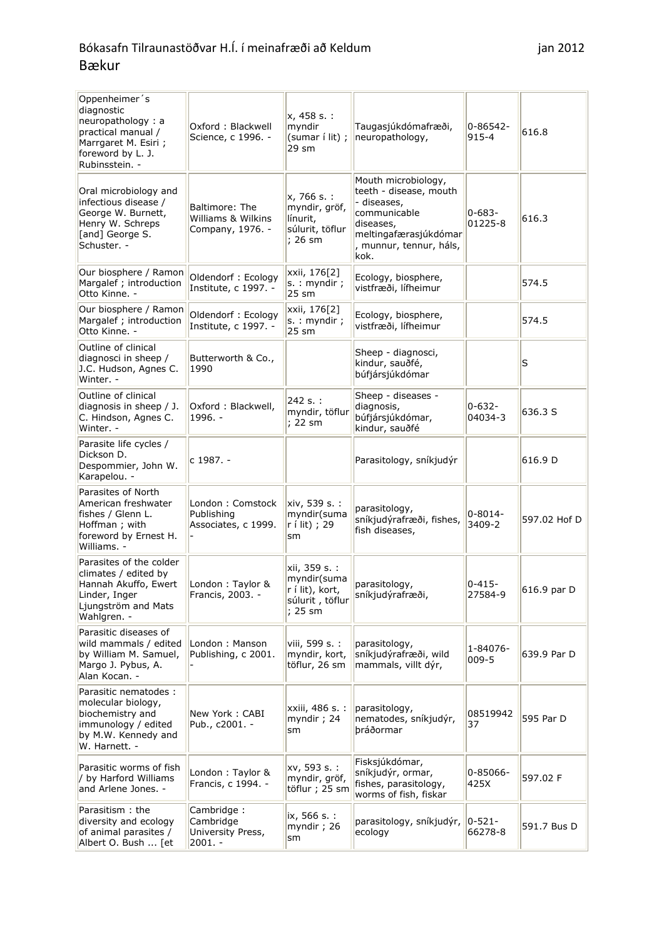| Oppenheimer's<br>diagnostic<br>neuropathology : a<br>practical manual /<br>Marrgaret M. Esiri ;<br>foreword by L. J.<br>Rubinsstein. - | Oxford: Blackwell<br>Science, c 1996. -                   | x, 458 s.:<br>myndir<br>(sumar í lit);<br>$29 \text{ sm}$                     | Taugasjúkdómafræði,<br>neuropathology,                                                                                                                | 0-86542-<br>915-4       | 616.8        |
|----------------------------------------------------------------------------------------------------------------------------------------|-----------------------------------------------------------|-------------------------------------------------------------------------------|-------------------------------------------------------------------------------------------------------------------------------------------------------|-------------------------|--------------|
| Oral microbiology and<br>infectious disease /<br>George W. Burnett,<br>Henry W. Schreps<br>[and] George S.<br>Schuster. -              | Baltimore: The<br>Williams & Wilkins<br>Company, 1976. -  | x, 766 s. :<br>myndir, gröf,<br>línurit,<br>súlurit, töflur<br>: 26 sm        | Mouth microbiology,<br>teeth - disease, mouth<br>- diseases,<br>communicable<br>diseases,<br>meltingafærasjúkdómar<br>, munnur, tennur, háls,<br>kok. | $0 - 683 -$<br>01225-8  | 616.3        |
| Our biosphere / Ramon<br>Margalef ; introduction<br>Otto Kinne. -                                                                      | Oldendorf: Ecology<br>Institute, c 1997. -                | xxii, 176[2]<br>s. : myndir;<br>25 sm                                         | Ecology, biosphere,<br>vistfræði, lífheimur                                                                                                           |                         | 574.5        |
| Our biosphere / Ramon<br>Margalef ; introduction<br>Otto Kinne. -                                                                      | Oldendorf: Ecology<br>Institute, c 1997. -                | xxii, 176[2]<br>s. : myndir;<br>$25 \text{ sm}$                               | Ecology, biosphere,<br>vistfræði, lífheimur                                                                                                           |                         | 574.5        |
| Outline of clinical<br>diagnosci in sheep /<br>J.C. Hudson, Agnes C.<br>Winter. -                                                      | Butterworth & Co.,<br>1990                                |                                                                               | Sheep - diagnosci,<br>kindur, sauðfé,<br>búfjársjúkdómar                                                                                              |                         | ls           |
| Outline of clinical<br>diagnosis in sheep / J.<br>C. Hindson, Agnes C.<br>Winter. -                                                    | Oxford: Blackwell,<br>$1996. -$                           | 242 s. :<br>myndir, töflur<br>; 22 sm                                         | Sheep - diseases -<br>diagnosis,<br>búfjársjúkdómar,<br>kindur, sauðfé                                                                                | $0 - 632 -$<br>04034-3  | 636.3 S      |
| Parasite life cycles /<br>Dickson D.<br>Despommier, John W.<br>Karapelou. -                                                            | c 1987. -                                                 |                                                                               | Parasitology, sníkjudýr                                                                                                                               |                         | 616.9 D      |
| Parasites of North<br>American freshwater<br>fishes / Glenn L.<br>Hoffman; with<br>foreword by Ernest H.<br>Williams. -                | London: Comstock<br>Publishing<br>Associates, c 1999.     | xiv, 539 s. :<br>myndir(suma<br>r í lit) ; 29<br>sm                           | parasitology,<br>sníkjudýrafræði, fishes,<br>fish diseases,                                                                                           | $0 - 8014 -$<br>3409-2  | 597.02 Hof D |
| Parasites of the colder<br>climates / edited by<br>Hannah Akuffo, Ewert<br>Linder, Inger<br>Ljungström and Mats<br>Wahlgren. -         | London: Taylor &<br>Francis, 2003. -                      | xii, 359 s. :<br>myndir(suma<br>r í lit), kort,<br>súlurit, töflur<br>; 25 sm | parasitology,<br>sníkjudýrafræði,                                                                                                                     | $0 - 415 -$<br>27584-9  | 616.9 par D  |
| Parasitic diseases of<br>wild mammals / edited<br>by William M. Samuel,<br>Margo J. Pybus, A.<br>Alan Kocan. -                         | London: Manson<br>Publishing, c 2001.                     | viii, 599 s. :<br>myndir, kort,<br>töflur, 26 sm                              | parasitology,<br>sníkjudýrafræði, wild<br>mammals, villt dýr,                                                                                         | 1-84076-<br>$009 - 5$   | 639.9 Par D  |
| Parasitic nematodes :<br>molecular biology,<br>biochemistry and<br>immunology / edited<br>by M.W. Kennedy and<br>W. Harnett. -         | New York: CABI<br>Pub., c2001. -                          | xxiii, 486 s. :<br>myndir; 24<br>sm                                           | parasitology,<br>nematodes, sníkjudýr,<br>bráðormar                                                                                                   | 08519942<br>37          | 595 Par D    |
| Parasitic worms of fish<br>/ by Harford Williams<br>and Arlene Jones. -                                                                | London: Taylor &<br>Francis, c 1994. -                    | xv, 593 s. :<br>myndir, gröf,<br>töflur ; 25 sm                               | Fisksjúkdómar,<br>sníkjudýr, ormar,<br>fishes, parasitology,<br>worms of fish, fiskar                                                                 | 0-85066-<br>425X        | 597.02 F     |
| Parasitism: the<br>diversity and ecology<br>of animal parasites /<br>Albert O. Bush  [et                                               | Cambridge:<br>Cambridge<br>University Press,<br>$2001. -$ | ix, 566 s. :<br>myndir; 26<br>sm                                              | parasitology, sníkjudýr,<br>ecology                                                                                                                   | $ 0 - 521 -$<br>66278-8 | 591.7 Bus D  |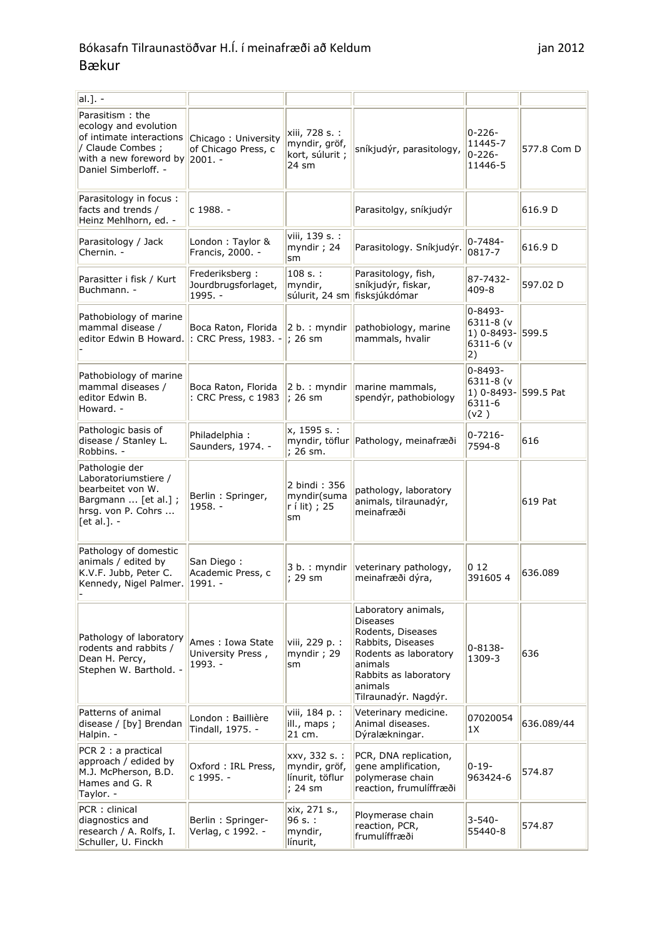| al.]. -                                                                                                                                                |                                                     |                                                              |                                                                                                                                                                                  |                                                                   |             |
|--------------------------------------------------------------------------------------------------------------------------------------------------------|-----------------------------------------------------|--------------------------------------------------------------|----------------------------------------------------------------------------------------------------------------------------------------------------------------------------------|-------------------------------------------------------------------|-------------|
| Parasitism: the<br>ecology and evolution<br>of intimate interactions<br>/ Claude Combes ;<br>with a new foreword by $ 2001.$ -<br>Daniel Simberloff. - | Chicago: University<br>of Chicago Press, c          | xiii, 728 s. :<br>myndir, gröf,<br>kort, súlurit ;<br>24 sm  | sníkjudýr, parasitology,                                                                                                                                                         | $0 - 226 -$<br>11445-7<br>$0 - 226 -$<br>11446-5                  | 577.8 Com D |
| Parasitology in focus :<br>facts and trends /<br>Heinz Mehlhorn, ed. -                                                                                 | c 1988. -                                           |                                                              | Parasitolgy, sníkjudýr                                                                                                                                                           |                                                                   | 616.9 D     |
| Parasitology / Jack<br>Chernin. -                                                                                                                      | London: Taylor &<br>Francis, 2000. -                | viii, 139 s. :<br>myndir; 24<br>sm                           | Parasitology. Sníkjudýr.                                                                                                                                                         | $0 - 7484 -$<br>0817-7                                            | 616.9 D     |
| Parasitter i fisk / Kurt<br>Buchmann. -                                                                                                                | Frederiksberg:<br>Jourdbrugsforlaget,<br>1995. -    | 108 s.:<br>myndir,<br>súlurit, 24 sm                         | Parasitology, fish,<br>sníkjudýr, fiskar,<br>fisksjúkdómar                                                                                                                       | 87-7432-<br>$409 - 8$                                             | 597.02 D    |
| Pathobiology of marine<br>mammal disease /<br>editor Edwin B Howard.                                                                                   | Boca Raton, Florida<br>: CRC Press, 1983. - ; 26 sm | 2 b : myndir                                                 | pathobiology, marine<br>mammals, hvalir                                                                                                                                          | $0 - 8493 -$<br>6311-8 (v<br>1) 0-8493-5599.5<br>6311-6 (v<br> 2) |             |
| Pathobiology of marine<br>mammal diseases /<br>editor Edwin B.<br>Howard. -                                                                            | Boca Raton, Florida<br>: CRC Press, c 1983          | 2 b. : myndir<br>$: 26 \text{ sm}$                           | marine mammals,<br>spendýr, pathobiology                                                                                                                                         | 0-8493-<br>$6311 - 8$ (v<br>$1) 0 - 8493 -$<br>6311-6<br>(v2)     | 599.5 Pat   |
| Pathologic basis of<br>disease / Stanley L.<br>Robbins. -                                                                                              | Philadelphia:<br>Saunders, 1974. -                  | x, 1595 s. :<br>myndir, töflur<br>; 26 sm.                   | Pathology, meinafræði                                                                                                                                                            | $0 - 7216 -$<br>7594-8                                            | 616         |
| Pathologie der<br>Laboratoriumstiere /<br>bearbeitet von W.<br>Bargmann  [et al.];<br>hrsg. von P. Cohrs<br>[et al.]. -                                | Berlin: Springer,<br>$1958. -$                      | 2 bindi: 356<br>myndir(suma<br>$r$ í lit) ; 25<br>sm         | pathology, laboratory<br>animals, tilraunadýr,<br>meinafræði                                                                                                                     |                                                                   | 619 Pat     |
| Pathology of domestic<br>animals / edited by<br>K.V.F. Jubb, Peter C.<br>Kennedy, Nigel Palmer.                                                        | San Diego:<br>Academic Press, c<br>$ 1991. -$       | 3 b. : myndir<br>; 29 sm                                     | veterinary pathology,<br>meinafræði dýra,                                                                                                                                        | 0 12<br>3916054                                                   | 636.089     |
| Pathology of laboratory<br>rodents and rabbits /<br>Dean H. Percy,<br>Stephen W. Barthold. -                                                           | Ames: Iowa State<br>University Press,<br>$1993. -$  | viii, 229 p. :<br>myndir; 29<br>sm                           | Laboratory animals,<br><b>Diseases</b><br>Rodents, Diseases<br>Rabbits, Diseases<br>Rodents as laboratory<br>animals<br>Rabbits as laboratory<br>animals<br>Tilraunadýr. Nagdýr. | $0 - 8138 -$<br>1309-3                                            | 636         |
| Patterns of animal<br>disease / [by] Brendan<br>Halpin. -                                                                                              | London : Baillière<br>Tindall, 1975. -              | viii, 184 p. :<br>ill., maps;<br>21 cm.                      | Veterinary medicine.<br>Animal diseases.<br>Dýralækningar.                                                                                                                       | 07020054<br>1X                                                    | 636.089/44  |
| PCR 2 : a practical<br>approach / edided by<br>M.J. McPherson, B.D.<br>Hames and G. R<br>Taylor. -                                                     | Oxford: IRL Press,<br>c 1995. -                     | xxv, 332 s. :<br>myndir, gröf,<br>línurit, töflur<br>; 24 sm | PCR, DNA replication,<br>gene amplification,<br>polymerase chain<br>reaction, frumulíffræði                                                                                      | $ 0-19-$<br>963424-6                                              | 574.87      |
| PCR : clinical<br>diagnostics and<br>research / A. Rolfs, I.<br>Schuller, U. Finckh                                                                    | Berlin: Springer-<br>Verlag, c 1992. -              | xix, 271 s.,<br>96 s.<br>myndir,<br>línurit,                 | Ploymerase chain<br>reaction, PCR,<br>frumulíffræði                                                                                                                              | $3 - 540 -$<br>55440-8                                            | 574.87      |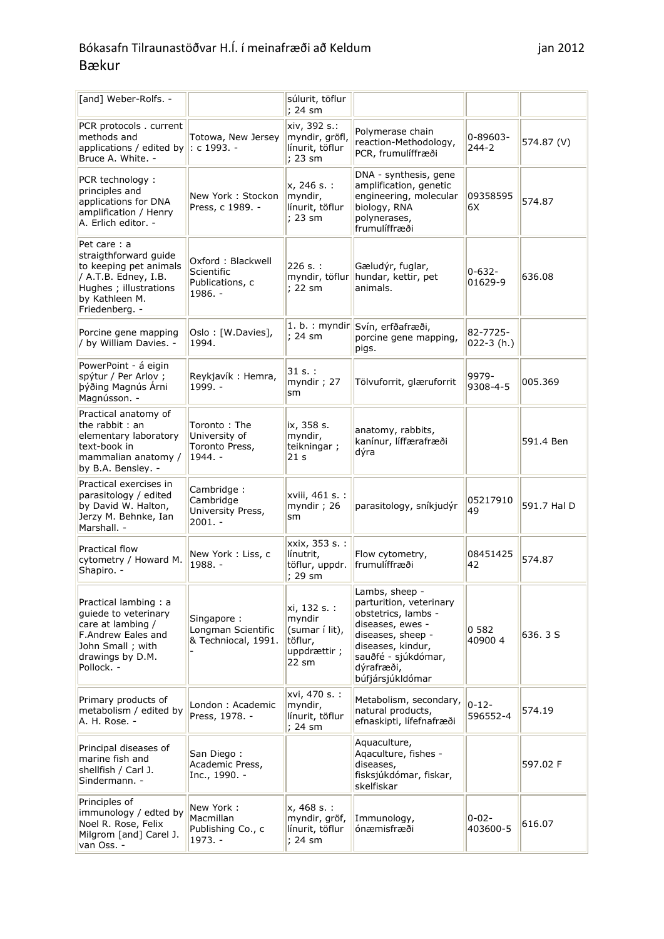| [and] Weber-Rolfs. -                                                                                                                                 |                                                                 | súlurit, töflur<br>; 24 sm                                                  |                                                                                                                                                                                         |                         |             |
|------------------------------------------------------------------------------------------------------------------------------------------------------|-----------------------------------------------------------------|-----------------------------------------------------------------------------|-----------------------------------------------------------------------------------------------------------------------------------------------------------------------------------------|-------------------------|-------------|
| PCR protocols . current<br>methods and<br>applications / edited by $\parallel$ : c 1993. -<br>Bruce A. White. -                                      | Totowa, New Jersey                                              | xiv, 392 s.:<br>myndir, gröfl,<br>línurit, töflur<br>; 23 sm                | Polymerase chain<br>reaction-Methodology,<br>PCR, frumulíffræði                                                                                                                         | 0-89603-<br>$244 - 2$   | 574.87 (V)  |
| PCR technology:<br>principles and<br>applications for DNA<br>amplification / Henry<br>A. Erlich editor. -                                            | New York: Stockon<br>Press, c 1989. -                           | x, 246 s. :<br>myndir,<br>línurit, töflur<br>; 23 sm                        | DNA - synthesis, gene<br>amplification, genetic<br>engineering, molecular<br>biology, RNA<br>polynerases,<br>frumulíffræði                                                              | 09358595<br>6X          | 574.87      |
| Pet care: a<br>straigthforward guide<br>to keeping pet animals<br>/ A.T.B. Edney, I.B.<br>Hughes ; illustrations<br>by Kathleen M.<br>Friedenberg. - | Oxford: Blackwell<br>Scientific<br>Publications, c<br>$1986. -$ | 226 s.:<br>myndir, töflur<br>; 22 sm                                        | Gæludýr, fuglar,<br>hundar, kettir, pet<br>animals.                                                                                                                                     | $0 - 632 -$<br>01629-9  | 636.08      |
| Porcine gene mapping<br>/ by William Davies. -                                                                                                       | Oslo: [W.Davies],<br>1994.                                      | ; 24 sm                                                                     | 1. b. : myndir Svín, erfðafræði,<br>porcine gene mapping,<br>pigs.                                                                                                                      | 82-7725-<br>$022-3(h.)$ |             |
| PowerPoint - á eigin<br>spýtur / Per Arlov;<br>þýðing Magnús Árni<br>Magnússon. -                                                                    | Reykjavík: Hemra,<br>1999. -                                    | 31 s. :<br>myndir ; 27<br>sm                                                | Tölvuforrit, glæruforrit                                                                                                                                                                | 9979-<br>$9308 - 4 - 5$ | 005.369     |
| Practical anatomy of<br>the rabbit: an<br>elementary laboratory<br>text-book in<br>mammalian anatomy /<br>by B.A. Bensley. -                         | Toronto: The<br>University of<br>Toronto Press,<br>$1944. -$    | ix, 358 s.<br>myndir,<br>teikningar;<br>21 s                                | anatomy, rabbits,<br>kanínur, líffærafræði<br>dýra                                                                                                                                      |                         | 591.4 Ben   |
| Practical exercises in<br>parasitology / edited<br>by David W. Halton,<br>Jerzy M. Behnke, Ian<br>Marshall. -                                        | Cambridge:<br>Cambridge<br>University Press,<br>$2001. -$       | xviii, 461 s. :<br>myndir ; 26<br>sm                                        | parasitology, sníkjudýr                                                                                                                                                                 | 05217910<br>49          | 591.7 Hal D |
| <b>Practical flow</b><br>cytometry / Howard M.<br>Shapiro. -                                                                                         | New York: Liss, c<br>$1988. -$                                  | xxix, 353 s. :<br>línutrit,<br>töflur, uppdr.<br>; 29 sm                    | Flow cytometry,<br><b>frumulíffræði</b>                                                                                                                                                 | 08451425<br>42          | 574.87      |
| Practical lambing: a<br>quiede to veterinary<br>care at lambing /<br>F.Andrew Eales and<br>John Small ; with<br>drawings by D.M.<br>Pollock. -       | Singapore:<br>Longman Scientific<br>& Techniocal, 1991.         | xi, 132 s. :<br>myndir<br>(sumar í lit),<br>töflur,<br>uppdrættir;<br>22 sm | Lambs, sheep -<br>parturition, veterinary<br>obstetrics, lambs -<br>diseases, ewes -<br>diseases, sheep -<br>diseases, kindur,<br>sauðfé - sjúkdómar,<br>dýrafræði,<br>búfjársjúkldómar | 0 582<br>40900 4        | 636.3 S     |
| Primary products of<br>metabolism / edited by<br>A. H. Rose. -                                                                                       | London: Academic<br>Press, 1978. -                              | xvi, 470 s. :<br>myndir,<br>línurit, töflur<br>; 24 sm                      | Metabolism, secondary,<br>natural products,<br>efnaskipti, lífefnafræði                                                                                                                 | $0 - 12 -$<br>596552-4  | 574.19      |
| Principal diseases of<br>marine fish and<br>shellfish / Carl J.<br>Sindermann. -                                                                     | San Diego:<br>Academic Press,<br>Inc., 1990. -                  |                                                                             | Aquaculture,<br>Agaculture, fishes -<br>diseases,<br>fisksjúkdómar, fiskar,<br>skelfiskar                                                                                               |                         | 597.02 F    |
| Principles of<br>immunology / edted by<br>Noel R. Rose, Felix<br>Milgrom [and] Carel J.<br>van Oss. -                                                | New York:<br>Macmillan<br>Publishing Co., c<br>$1973. -$        | x, 468 s. :<br>myndir, gröf,<br>línurit, töflur<br>; 24 sm                  | Immunology,<br>ónæmisfræði                                                                                                                                                              | $0 - 02 -$<br>403600-5  | 616.07      |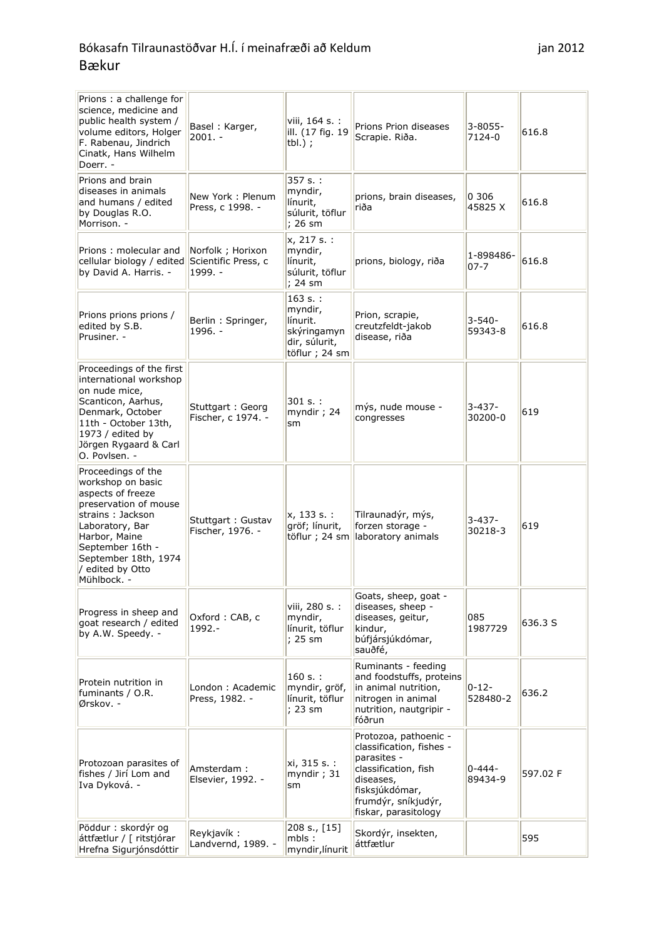| Prions: a challenge for<br>science, medicine and<br>public health system /<br>volume editors, Holger<br>F. Rabenau, Jindrich<br>Cinatk, Hans Wilhelm<br>Doerr. -                                                             | Basel: Karger,<br>$2001. -$                         | viii, 164 s. :<br>ill. (17 fig. 19<br>$tbl.)$ ;                                  | Prions Prion diseases<br>Scrapie. Riða.                                                                                                                                | $3 - 8055 -$<br>7124-0 | 616.8    |
|------------------------------------------------------------------------------------------------------------------------------------------------------------------------------------------------------------------------------|-----------------------------------------------------|----------------------------------------------------------------------------------|------------------------------------------------------------------------------------------------------------------------------------------------------------------------|------------------------|----------|
| Prions and brain<br>diseases in animals<br>and humans / edited<br>by Douglas R.O.<br>Morrison. -                                                                                                                             | New York: Plenum<br>Press, c 1998. -                | 357 s. :<br>myndir,<br>línurit,<br>súlurit, töflur<br>; 26 sm                    | prions, brain diseases,<br>riða                                                                                                                                        | 0 306<br>45825 X       | 616.8    |
| Prions: molecular and<br>cellular biology / edited<br>by David A. Harris. -                                                                                                                                                  | Norfolk ; Horixon<br>Scientific Press, c<br>1999. - | x, 217 s. :<br>myndir,<br>línurit,<br>súlurit, töflur<br>$; 24$ sm               | prions, biology, riða                                                                                                                                                  | 1-898486-<br>$07 - 7$  | 616.8    |
| Prions prions prions /<br>edited by S.B.<br>Prusiner. -                                                                                                                                                                      | Berlin: Springer,<br>1996. -                        | 163 s.:<br>myndir,<br>línurit.<br>skýringamyn<br>dir, súlurit,<br>töflur ; 24 sm | Prion, scrapie,<br>creutzfeldt-jakob<br>disease, riða                                                                                                                  | $3 - 540 -$<br>59343-8 | 616.8    |
| Proceedings of the first<br>international workshop<br>on nude mice,<br>Scanticon, Aarhus,<br>Denmark, October<br>11th - October 13th,<br>1973 / edited by<br>Jörgen Rygaard & Carl<br>O. Povlsen. -                          | Stuttgart: Georg<br>Fischer, c 1974. -              | 301 s. :<br>myndir ; 24<br>sm                                                    | mýs, nude mouse -<br>congresses                                                                                                                                        | $3 - 437 -$<br>30200-0 | 619      |
| Proceedings of the<br>workshop on basic<br>aspects of freeze<br>preservation of mouse<br>strains: Jackson<br>Laboratory, Bar<br>Harbor, Maine<br>September 16th -<br>September 18th, 1974<br>/ edited by Otto<br>Mühlbock. - | Stuttgart: Gustav<br>Fischer, 1976. -               | x, 133 s. :<br>gröf; línurit,<br>töflur ; 24 sm                                  | Tilraunadýr, mýs,<br>forzen storage -<br>laboratory animals                                                                                                            | $3 - 437 -$<br>30218-3 | 619      |
| Progress in sheep and<br>goat research / edited<br>by A.W. Speedy. -                                                                                                                                                         | Oxford: CAB, c<br>1992.-                            | viii, 280 s. :<br>myndir,<br>línurit, töflur<br>; 25 sm                          | Goats, sheep, goat -<br>diseases, sheep -<br>diseases, geitur,<br>kindur,<br>búfjársjúkdómar,<br>sauðfé,                                                               | 085<br>1987729         | 636.3 S  |
| Protein nutrition in<br>fuminants / O.R.<br>Ørskov. -                                                                                                                                                                        | London: Academic<br>Press, 1982. -                  | 160 s.:<br>myndir, gröf,<br>línurit, töflur<br>; 23 sm                           | Ruminants - feeding<br>and foodstuffs, proteins<br>in animal nutrition,<br>nitrogen in animal<br>nutrition, nautgripir -<br>fóðrun                                     | $0 - 12 -$<br>528480-2 | 636.2    |
| Protozoan parasites of<br>fishes / Jirí Lom and<br>Iva Dyková. -                                                                                                                                                             | Amsterdam:<br>Elsevier, 1992. -                     | xi, 315 s. :<br>myndir; 31<br>sm                                                 | Protozoa, pathoenic -<br>classification, fishes -<br>parasites -<br>classification, fish<br>diseases,<br>fisksjúkdómar,<br>frumdýr, sníkjudýr,<br>fiskar, parasitology | $0 - 444 -$<br>89434-9 | 597.02 F |
| Pöddur : skordýr og<br>áttfætlur / [ ritstjórar<br>Hrefna Sigurjónsdóttir                                                                                                                                                    | Reykjavík:<br>Landvernd, 1989. -                    | 208 s., [15]<br>mbls:<br>myndir, línurit                                         | Skordýr, insekten,<br>áttfætlur                                                                                                                                        |                        | 595      |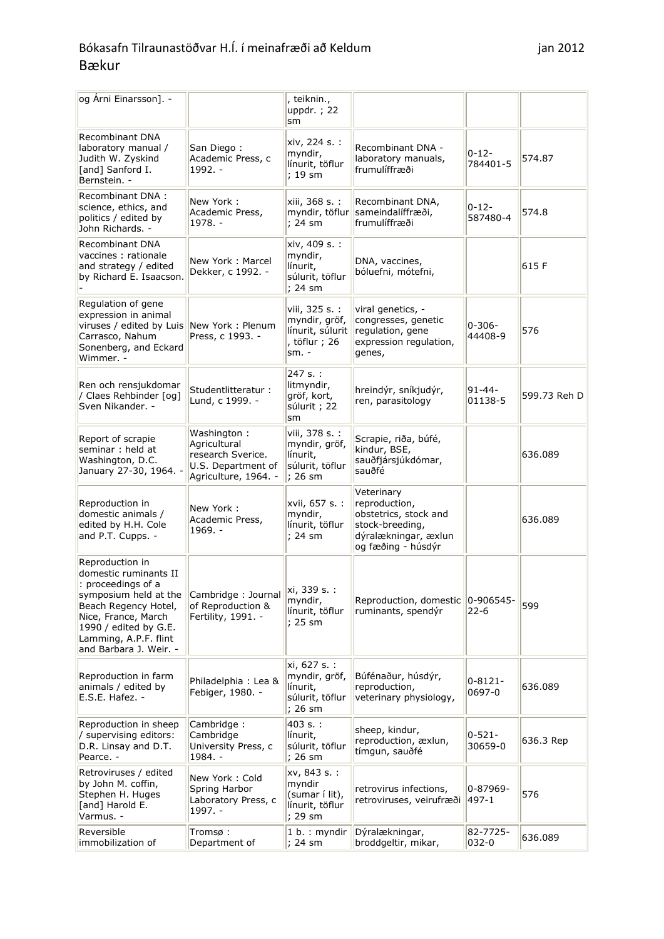| og Árni Einarsson]. -                                                                                                                                                                                              |                                                                                                | , teiknin.,<br>uppdr. ; 22<br>sm                                                |                                                                                                                       |                             |              |
|--------------------------------------------------------------------------------------------------------------------------------------------------------------------------------------------------------------------|------------------------------------------------------------------------------------------------|---------------------------------------------------------------------------------|-----------------------------------------------------------------------------------------------------------------------|-----------------------------|--------------|
| <b>Recombinant DNA</b><br>laboratory manual /<br>Judith W. Zyskind<br>[and] Sanford I.<br>Bernstein. -                                                                                                             | San Diego:<br>Academic Press, c<br>$1992. -$                                                   | xiv, 224 s. :<br>myndir,<br>línurit, töflur<br>; 19 sm                          | Recombinant DNA -<br>laboratory manuals,<br>frumulíffræði                                                             | $0 - 12 -$<br>784401-5      | 574.87       |
| Recombinant DNA:<br>science, ethics, and<br>politics / edited by<br>John Richards. -                                                                                                                               | New York:<br>Academic Press,<br>$1978. -$                                                      | xiii, 368 s. :<br>myndir, töflur<br>; 24 sm                                     | Recombinant DNA,<br>sameindalíffræði,<br>frumulíffræði                                                                | $0 - 12 -$<br>587480-4      | 574.8        |
| <b>Recombinant DNA</b><br>vaccines : rationale<br>and strategy / edited<br>by Richard E. Isaacson.                                                                                                                 | New York: Marcel<br>Dekker, c 1992. -                                                          | xiv, 409 s. :<br>myndir,<br>línurit,<br>súlurit, töflur<br>; 24 sm              | DNA, vaccines,<br>bóluefni, mótefni,                                                                                  |                             | 615 F        |
| Regulation of gene<br>expression in animal<br>viruses / edited by Luis<br>Carrasco, Nahum<br>Sonenberg, and Eckard<br>Wimmer. -                                                                                    | New York: Plenum<br>Press, c 1993. -                                                           | viii, 325 s. :<br>myndir, gröf,<br>línurit, súlurit<br>, töflur ; 26<br>$sm. -$ | viral genetics, -<br>congresses, genetic<br>regulation, gene<br>expression regulation,<br>genes,                      | $0 - 306 -$<br>44408-9      | 576          |
| Ren och rensjukdomar<br>/ Claes Rehbinder [og]<br>Sven Nikander. -                                                                                                                                                 | Studentlitteratur:<br>Lund, c 1999. -                                                          | 247 s. :<br>litmyndir,<br>gröf, kort,<br>súlurit ; 22<br>sm                     | hreindýr, sníkjudýr,<br>ren, parasitology                                                                             | $91 - 44 -$<br>01138-5      | 599.73 Reh D |
| Report of scrapie<br>seminar : held at<br>Washington, D.C.<br>January 27-30, 1964.                                                                                                                                 | Washington:<br>Agricultural<br>research Sverice.<br>U.S. Department of<br>Agriculture, 1964. - | viii, 378 s. :<br>myndir, gröf,<br>línurit,<br>súlurit, töflur<br>; 26 sm       | Scrapie, riða, búfé,<br>kindur, BSE,<br>sauðfjársjúkdómar,<br>sauðfé                                                  |                             | 636.089      |
| Reproduction in<br>domestic animals /<br>edited by H.H. Cole<br>and P.T. Cupps. -                                                                                                                                  | New York:<br>Academic Press,<br>1969. -                                                        | xvii, 657 s. :<br>myndir,<br>línurit, töflur<br>; 24 sm                         | Veterinary<br>reproduction,<br>obstetrics, stock and<br>stock-breeding,<br>dýralækningar, æxlun<br>og fæðing - húsdýr |                             | 636.089      |
| Reproduction in<br>domestic ruminants II<br>: proceedings of a<br>symposium held at the<br>Beach Regency Hotel,<br>Nice, France, March<br>1990 / edited by G.E.<br>Lamming, A.P.F. flint<br>and Barbara J. Weir. - | Cambridge: Journal<br>of Reproduction &<br>Fertility, 1991. -                                  | xi, 339 s. :<br>myndir,<br>línurit, töflur<br>; 25 sm                           | Reproduction, domestic<br>ruminants, spendýr                                                                          | $ 0 - 906545 -$<br>$22 - 6$ | 599          |
| Reproduction in farm<br>animals / edited by<br>E.S.E. Hafez. -                                                                                                                                                     | Philadelphia: Lea &<br>Febiger, 1980. -                                                        | xi, 627 s. :<br>myndir, gröf,<br>línurit,<br>súlurit, töflur<br>; 26 sm         | Búfénaður, húsdýr,<br>reproduction,<br>veterinary physiology,                                                         | $0 - 8121 -$<br>0697-0      | 636.089      |
| Reproduction in sheep<br>/ supervising editors:<br>D.R. Linsay and D.T.<br>Pearce. -                                                                                                                               | Cambridge:<br>Cambridge<br>University Press, c<br>1984. -                                      | 403 s.:<br>línurit,<br>súlurit, töflur<br>; 26 sm                               | sheep, kindur,<br>reproduction, æxlun,<br>tímgun, sauðfé                                                              | $0 - 521 -$<br>30659-0      | 636.3 Rep    |
| Retroviruses / edited<br>by John M. coffin,<br>Stephen H. Huges<br>[and] Harold E.<br>Varmus. -                                                                                                                    | New York: Cold<br>Spring Harbor<br>Laboratory Press, c<br>1997. -                              | xv, 843 s. :<br>myndir<br>(sumar í lit),<br>línurit, töflur<br>; 29 sm          | retrovirus infections,<br>retroviruses, veirufræði                                                                    | 0-87969-<br>497-1           | 576          |
| Reversible<br>immobilization of                                                                                                                                                                                    | Tromsø:<br>Department of                                                                       | 1 b. : myndir<br>; 24 sm                                                        | Dýralækningar,<br>broddgeltir, mikar,                                                                                 | 82-7725-<br>$032 - 0$       | 636.089      |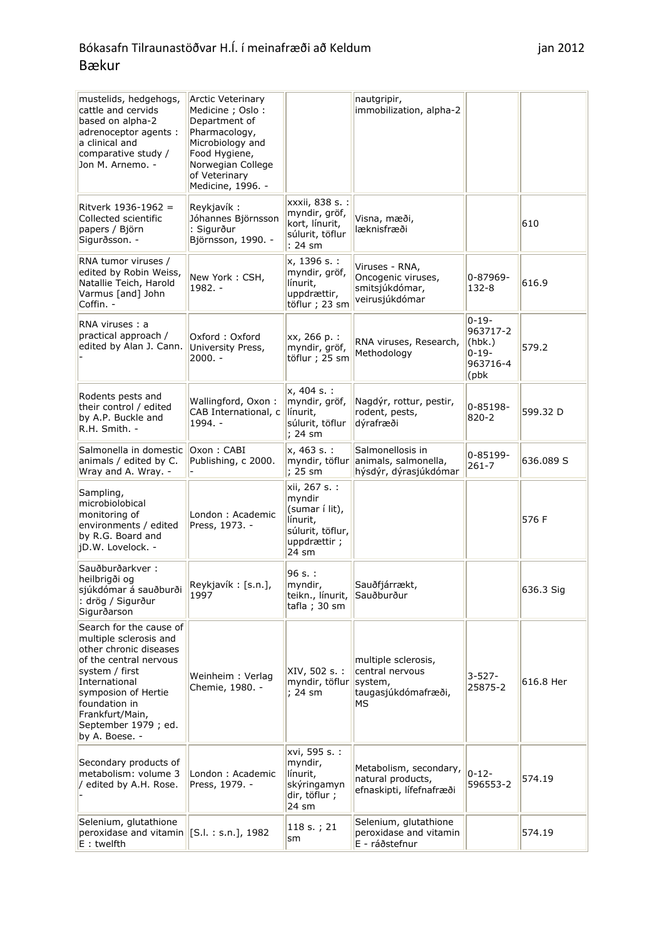| mustelids, hedgehogs,<br>cattle and cervids<br>based on alpha-2<br>adrenoceptor agents :<br>a clinical and<br>comparative study /<br>Jon M. Arnemo. -                                                                                         | Arctic Veterinary<br>Medicine; Oslo:<br>Department of<br>Pharmacology,<br>Microbiology and<br>Food Hygiene,<br>Norwegian College<br>of Veterinary<br>Medicine, 1996. - |                                                                                                   | nautgripir,<br>immobilization, alpha-2                                         |                                                                    |           |
|-----------------------------------------------------------------------------------------------------------------------------------------------------------------------------------------------------------------------------------------------|------------------------------------------------------------------------------------------------------------------------------------------------------------------------|---------------------------------------------------------------------------------------------------|--------------------------------------------------------------------------------|--------------------------------------------------------------------|-----------|
| Ritverk 1936-1962 =<br>Collected scientific<br>papers / Björn<br>Sigurðsson. -                                                                                                                                                                | Reykjavík :<br>Jóhannes Björnsson<br>: Sigurður<br>Björnsson, 1990. -                                                                                                  | xxxii, 838 s. :<br>myndir, gröf,<br>kort, línurit,<br>súlurit, töflur<br>: 24 sm                  | Visna, mæði,<br>læknisfræði                                                    |                                                                    | 610       |
| RNA tumor viruses /<br>edited by Robin Weiss,<br>Natallie Teich, Harold<br>Varmus [and] John<br>Coffin. -                                                                                                                                     | New York: CSH,<br>$1982. -$                                                                                                                                            | x, 1396 s. :<br>myndir, gröf,<br>línurit,<br>uppdrættir,<br>töflur ; 23 sm                        | Viruses - RNA,<br>Oncogenic viruses,<br>smitsjúkdómar,<br>veirusjúkdómar       | 0-87969-<br>132-8                                                  | 616.9     |
| RNA viruses: a<br>practical approach /<br>edited by Alan J. Cann.                                                                                                                                                                             | Oxford: Oxford<br>University Press,<br>2000. -                                                                                                                         | xx, 266 p. :<br>myndir, gröf,<br>töflur ; 25 sm                                                   | RNA viruses, Research,<br>Methodology                                          | $0 - 19 -$<br>963717-2<br>(hbk.)<br>$0 - 19 -$<br>963716-4<br>(pbk | 579.2     |
| Rodents pests and<br>their control / edited<br>by A.P. Buckle and<br>R.H. Smith. -                                                                                                                                                            | Wallingford, Oxon:<br>CAB International, c<br>1994. -                                                                                                                  | x, 404 s. :<br>myndir, gröf,<br>línurit,<br>súlurit, töflur<br>; 24 sm                            | Nagdýr, rottur, pestir,<br>rodent, pests,<br>dýrafræði                         | 0-85198-<br>820-2                                                  | 599.32 D  |
| Salmonella in domestic<br>animals / edited by C.<br>Wray and A. Wray. -                                                                                                                                                                       | Oxon: CABI<br>Publishing, c 2000.                                                                                                                                      | x, 463 s. :<br>myndir, töflur<br>; 25 sm                                                          | Salmonellosis in<br>animals, salmonella,<br>hýsdýr, dýrasjúkdómar              | 0-85199-<br>$261 - 7$                                              | 636.089 S |
| Sampling,<br>microbiolobical<br>monitoring of<br>environments / edited<br>by R.G. Board and<br>jD.W. Lovelock. -                                                                                                                              | London: Academic<br>Press, 1973. -                                                                                                                                     | xii, 267 s. :<br>myndir<br>(sumar í lit),<br>línurit,<br>súlurit, töflur,<br>uppdrættir;<br>24 sm |                                                                                |                                                                    | 576 F     |
| Sauðburðarkver:<br>heilbrigði og<br>sjúkdómar á sauðburði Reykjavík: [s.n.],<br>: drög / Sigurður<br>Sigurðarson                                                                                                                              | 1997                                                                                                                                                                   | $96 s$ :<br>myndir,<br>teikn., línurit,<br>tafla ; 30 sm                                          | Sauðfjárrækt,<br>Sauðburður                                                    |                                                                    | 636.3 Sig |
| Search for the cause of<br>multiple sclerosis and<br>other chronic diseases<br>of the central nervous<br>system / first<br>International<br>symposion of Hertie<br>foundation in<br>Frankfurt/Main,<br>September 1979 ; ed.<br>by A. Boese. - | Weinheim: Verlag<br>Chemie, 1980. -                                                                                                                                    | XIV, 502 s. :<br>myndir, töflur<br>; 24 sm                                                        | multiple sclerosis,<br>central nervous<br>system,<br>taugasjúkdómafræði,<br>МS | $3 - 527 -$<br>25875-2                                             | 616.8 Her |
| Secondary products of<br>metabolism: volume 3<br>/ edited by A.H. Rose.                                                                                                                                                                       | London: Academic<br>Press, 1979. -                                                                                                                                     | xvi, 595 s. :<br>myndir,<br>línurit,<br>skýringamyn<br>dir, töflur ;<br>24 sm                     | Metabolism, secondary,<br>natural products,<br>efnaskipti, lífefnafræði        | $0 - 12 -$<br>596553-2                                             | 574.19    |
| Selenium, glutathione<br>peroxidase and vitamin $\ \left[\text{S.I. : s.n.}\right],\,1982$<br>$E:$ twelfth                                                                                                                                    |                                                                                                                                                                        | 118 s.; 21<br>sm                                                                                  | Selenium, glutathione<br>peroxidase and vitamin<br>E - ráðstefnur              |                                                                    | 574.19    |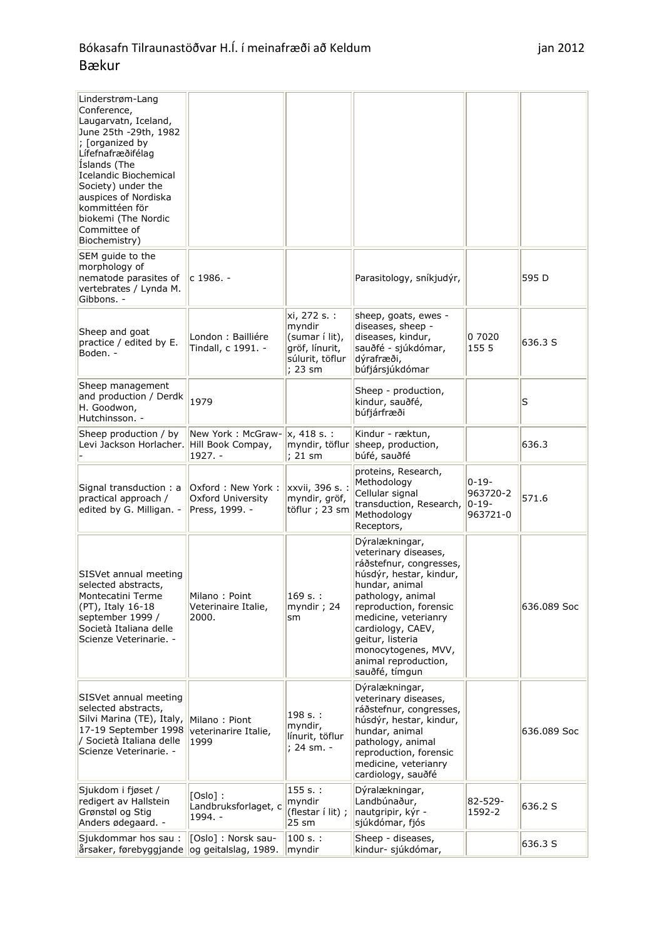| Linderstrøm-Lang<br>Conference,<br>Laugarvatn, Iceland,<br>June 25th -29th, 1982<br>; [organized by<br>Lífefnafræðifélag<br>Islands (The<br>Icelandic Biochemical<br>Society) under the<br>auspices of Nordiska<br>kommittéen för<br>biokemi (The Nordic<br>Committee of<br>Biochemistry) |                                                          |                                                                                            |                                                                                                                                                                                                                                                                                                 |                                    |             |
|-------------------------------------------------------------------------------------------------------------------------------------------------------------------------------------------------------------------------------------------------------------------------------------------|----------------------------------------------------------|--------------------------------------------------------------------------------------------|-------------------------------------------------------------------------------------------------------------------------------------------------------------------------------------------------------------------------------------------------------------------------------------------------|------------------------------------|-------------|
| SEM guide to the<br>morphology of<br>nematode parasites of<br>vertebrates / Lynda M.<br>Gibbons. -                                                                                                                                                                                        | c 1986. -                                                |                                                                                            | Parasitology, sníkjudýr,                                                                                                                                                                                                                                                                        |                                    | 595 D       |
| Sheep and goat<br>practice / edited by E.<br>Boden. -                                                                                                                                                                                                                                     | London : Bailliére<br>Tindall, c 1991. -                 | xi, 272 s. :<br>myndir<br>(sumar í lit),<br>gröf, línurit,<br>súlurit, töflur<br>$; 23$ sm | sheep, goats, ewes -<br>diseases, sheep -<br>diseases, kindur,<br>sauðfé - sjúkdómar,<br>dýrafræði,<br>búfjársjúkdómar                                                                                                                                                                          | 0 7020<br>155 5                    | 636.3 S     |
| Sheep management<br>and production / Derdk<br>H. Goodwon,<br>Hutchinsson. -                                                                                                                                                                                                               | 1979                                                     |                                                                                            | Sheep - production,<br>kindur, sauðfé,<br>búfjárfræði                                                                                                                                                                                                                                           |                                    | lS          |
| Sheep production / by<br>Levi Jackson Horlacher.                                                                                                                                                                                                                                          | New York: McGraw-<br>Hill Book Compay,<br>$1927. -$      | x, 418 s.:<br>myndir, töflur<br>; 21 sm                                                    | Kindur - ræktun,<br>sheep, production,<br>búfé, sauðfé                                                                                                                                                                                                                                          |                                    | 636.3       |
| Signal transduction: a<br>practical approach /<br>edited by G. Milligan. -                                                                                                                                                                                                                | Oxford: New York:<br>Oxford University<br>Press, 1999. - | xxvii, 396 s. :<br>myndir, gröf,<br>töflur ; 23 sm                                         | proteins, Research,<br>Methodology<br>Cellular signal<br>transduction, Research, 0-19-<br>Methodology<br>Receptors,                                                                                                                                                                             | $0 - 19 -$<br>963720-2<br>963721-0 | 571.6       |
| SISVet annual meeting<br>selected abstracts,<br>Montecatini Terme<br>(PT), Italy 16-18<br>september 1999 /<br>Società Italiana delle<br>Scienze Veterinarie. -                                                                                                                            | Milano: Point<br>Veterinaire Italie,<br>2000.            | 169 s.:<br>myndir; 24<br>sm                                                                | Dýralækningar,<br>veterinary diseases,<br>ráðstefnur, congresses,<br>húsdýr, hestar, kindur,<br>hundar, animal<br>pathology, animal<br>reproduction, forensic<br>medicine, veterianry<br>cardiology, CAEV,<br>geitur, listeria<br>monocytogenes, MVV,<br>animal reproduction,<br>sauðfé, tímgun |                                    | 636.089 Soc |
| SISVet annual meeting<br>selected abstracts,<br>Silvi Marina (TE), Italy,<br>17-19 September 1998<br>/ Società Italiana delle<br>Scienze Veterinarie. -                                                                                                                                   | Milano: Piont<br>veterinarire Italie,<br>1999            | $198 s.$ :<br>myndir,<br>línurit, töflur<br>; 24 sm. -                                     | Dýralækningar,<br>veterinary diseases,<br>ráðstefnur, congresses,<br>húsdýr, hestar, kindur,<br>hundar, animal<br>pathology, animal<br>reproduction, forensic<br>medicine, veterianry<br>cardiology, sauðfé                                                                                     |                                    | 636.089 Soc |
| Sjukdom i fjøset /<br>redigert av Hallstein<br>Grønstøl og Stig<br>Anders ødegaard. -                                                                                                                                                                                                     | $[Oslo]$ :<br>Landbruksforlaget, c<br>1994. -            | 155 s.:<br>myndir<br>(flestar í lit);<br>25 sm                                             | Dýralækningar,<br>Landbúnaður,<br>nautgripir, kýr -<br>sjúkdómar, fjós                                                                                                                                                                                                                          | 82-529-<br>1592-2                  | 636.2 S     |
| Sjukdommar hos sau:<br>årsaker, førebyggjande og geitalslag, 1989.                                                                                                                                                                                                                        | [Oslo]: Norsk sau-                                       | 100 s.:<br>myndir                                                                          | Sheep - diseases,<br>kindur- sjúkdómar,                                                                                                                                                                                                                                                         |                                    | 636.3 S     |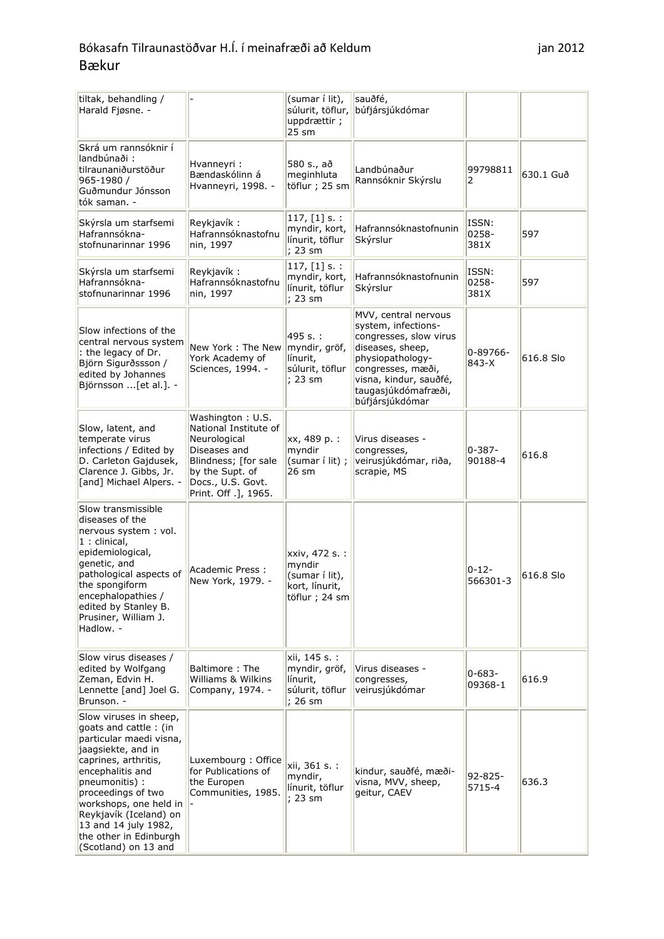### Bókasafn Tilraunastöðvar H.Í. í meinafræði að Keldum var var stóður sama þan 2012 Bækur

| tiltak, behandling /<br>Harald Fjøsne. -                                                                                                                                                                                                                                                                           |                                                                                                                                                                   | (sumar í lit),<br>súlurit, töflur,<br>uppdrættir;<br>25 sm                     | sauðfé,<br>búfjársjúkdómar                                                                                                                                                                             |                        |           |
|--------------------------------------------------------------------------------------------------------------------------------------------------------------------------------------------------------------------------------------------------------------------------------------------------------------------|-------------------------------------------------------------------------------------------------------------------------------------------------------------------|--------------------------------------------------------------------------------|--------------------------------------------------------------------------------------------------------------------------------------------------------------------------------------------------------|------------------------|-----------|
| Skrá um rannsóknir í<br>landbúnaði:<br>tilraunaniðurstöður<br>965-1980 /<br>Guðmundur Jónsson<br>tók saman. -                                                                                                                                                                                                      | Hvanneyri:<br>Bændaskólinn á<br>Hvanneyri, 1998. -                                                                                                                | 580 s., að<br>meginhluta<br>töflur ; 25 sm                                     | Landbúnaður<br>Rannsóknir Skýrslu                                                                                                                                                                      | 99798811<br>2          | 630.1 Guð |
| Skýrsla um starfsemi<br>Hafrannsókna-<br>stofnunarinnar 1996                                                                                                                                                                                                                                                       | Reykjavík:<br>Hafrannsóknastofnu<br>nin, 1997                                                                                                                     | $117, [1]$ s. :<br>myndir, kort,<br>línurit, töflur<br>; 23 sm                 | Hafrannsóknastofnunin<br>Skýrslur                                                                                                                                                                      | ISSN:<br>0258-<br>381X | 597       |
| Skýrsla um starfsemi<br>Hafrannsókna-<br>stofnunarinnar 1996                                                                                                                                                                                                                                                       | Reykjavík:<br>Hafrannsóknastofnu<br>nin, 1997                                                                                                                     | 117, $[1]$ s. :<br>myndir, kort,<br>línurit, töflur<br>; 23 sm                 | Hafrannsóknastofnunin<br>Skýrslur                                                                                                                                                                      | ISSN:<br>0258-<br>381X | 597       |
| Slow infections of the<br>central nervous system<br>: the legacy of Dr.<br>Björn Sigurðssson /<br>edited by Johannes<br>Björnsson [et al.]. -                                                                                                                                                                      | New York: The New<br>York Academy of<br>Sciences, 1994. -                                                                                                         | 495 s. :<br>myndir, gröf,<br>línurit,<br>súlurit, töflur<br>; 23 sm            | MVV, central nervous<br>system, infections-<br>congresses, slow virus<br>diseases, sheep,<br>physiopathology-<br>congresses, mæði,<br>visna, kindur, sauðfé,<br>taugasjúkdómafræði,<br>búfjársjúkdómar | $0 - 89766 -$<br>843-X | 616.8 Slo |
| Slow, latent, and<br>temperate virus<br>infections / Edited by<br>D. Carleton Gajdusek,<br>Clarence J. Gibbs, Jr.<br>[and] Michael Alpers. -                                                                                                                                                                       | Washington: U.S.<br>National Institute of<br>Neurological<br>Diseases and<br>Blindness; [for sale<br>by the Supt. of<br>Docs., U.S. Govt.<br>Print. Off .], 1965. | xx, 489 p. :<br>myndir<br>(sumar í lit) ;<br>26 sm                             | Virus diseases -<br>congresses,<br>veirusjúkdómar, riða,<br>scrapie, MS                                                                                                                                | $0 - 387 -$<br>90188-4 | 616.8     |
| Slow transmissible<br>diseases of the<br>nervous system : vol.<br>$1:$ clinical,<br>epidemiological,<br>genetic, and<br>pathological aspects of<br>the spongiform<br>encephalopathies /<br>edited by Stanley B.<br>Prusiner, William J.<br>Hadlow. -                                                               | Academic Press:<br>New York, 1979. -                                                                                                                              | xxiv, 472 s. :<br>myndir<br>(sumar í lit),<br>kort, línurit,<br>töflur ; 24 sm |                                                                                                                                                                                                        | $0 - 12 -$<br>566301-3 | 616.8 Slo |
| Slow virus diseases /<br>edited by Wolfgang<br>Zeman, Edvin H.<br>Lennette [and] Joel G.<br>Brunson. -                                                                                                                                                                                                             | Baltimore: The<br>Williams & Wilkins<br>Company, 1974. -                                                                                                          | xii, 145 s. :<br>myndir, gröf,<br>línurit,<br>súlurit, töflur<br>; 26 sm       | Virus diseases -<br>congresses,<br>veirusjúkdómar                                                                                                                                                      | $0 - 683 -$<br>09368-1 | 616.9     |
| Slow viruses in sheep,<br>goats and cattle: (in<br>particular maedi visna,<br>jaagsiekte, and in<br>caprines, arthritis,<br>encephalitis and<br>pneumonitis) :<br>proceedings of two<br>workshops, one held in<br>Reykjavík (Iceland) on<br>13 and 14 july 1982,<br>the other in Edinburgh<br>(Scotland) on 13 and | Luxembourg: Office<br>for Publications of<br>the Europen<br>Communities, 1985.                                                                                    | xii, 361 s. :<br>myndir,<br>línurit, töflur<br>; 23 sm                         | kindur, sauðfé, mæði-<br>visna, MVV, sheep,<br>geitur, CAEV                                                                                                                                            | 92-825-<br>5715-4      | 636.3     |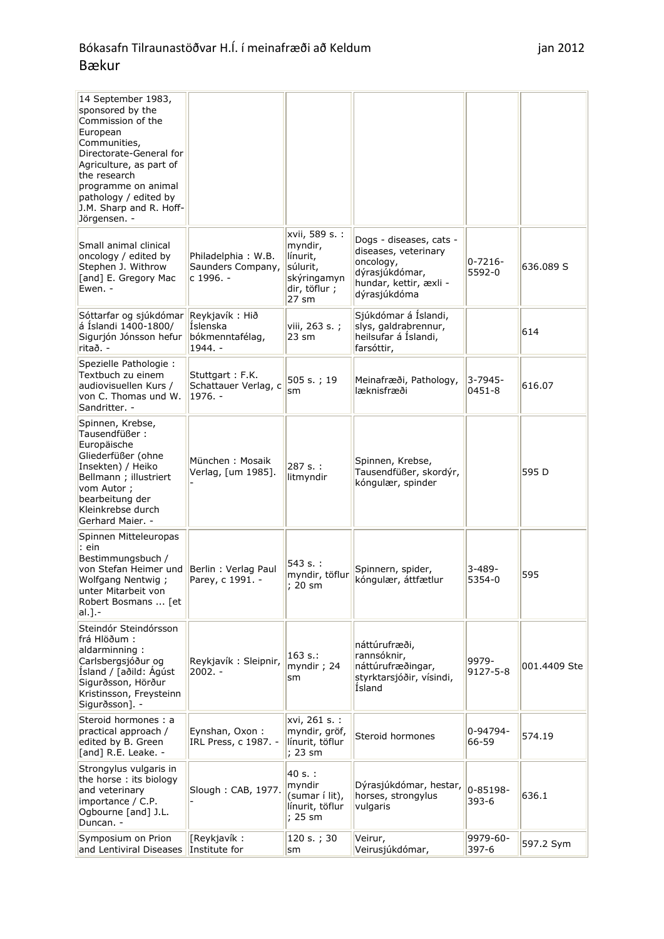| 14 September 1983,<br>sponsored by the<br>Commission of the<br>European<br>Communities,<br>Directorate-General for<br>Agriculture, as part of<br>the research<br>programme on animal<br>pathology / edited by<br>J.M. Sharp and R. Hoff-<br>Jörgensen. - |                                                            |                                                                                           |                                                                                                                          |                         |              |
|----------------------------------------------------------------------------------------------------------------------------------------------------------------------------------------------------------------------------------------------------------|------------------------------------------------------------|-------------------------------------------------------------------------------------------|--------------------------------------------------------------------------------------------------------------------------|-------------------------|--------------|
| Small animal clinical<br>oncology / edited by<br>Stephen J. Withrow<br>[and] E. Gregory Mac<br>Ewen. -                                                                                                                                                   | Philadelphia: W.B.<br>Saunders Company,<br>c 1996. -       | xvii, 589 s. :<br>myndir,<br>línurit,<br>súlurit,<br>skýringamyn<br>dir, töflur;<br>27 sm | Dogs - diseases, cats -<br>diseases, veterinary<br>oncology,<br>dýrasjúkdómar,<br>hundar, kettir, æxli -<br>dýrasjúkdóma | $0 - 7216 -$<br>5592-0  | 636,089 S    |
| Sóttarfar og sjúkdómar<br>á Íslandi 1400-1800/<br>Sigurjón Jónsson hefur<br>ritað. -                                                                                                                                                                     | Reykjavík: Hið<br>Íslenska<br>bókmenntafélag,<br>$1944. -$ | viii, 263 s.;<br>$23 \text{ sm}$                                                          | Sjúkdómar á Íslandi,<br>slys, galdrabrennur,<br>heilsufar á Íslandi,<br>farsóttir,                                       |                         | 614          |
| Spezielle Pathologie :<br>Textbuch zu einem<br>audiovisuellen Kurs /<br>von C. Thomas und W.<br>Sandritter. -                                                                                                                                            | Stuttgart: F.K.<br>Schattauer Verlag, c<br>1976. -         | 505 s. ; 19<br>sm                                                                         | Meinafræði, Pathology,<br>læknisfræði                                                                                    | $3 - 7945 -$<br>0451-8  | 616.07       |
| Spinnen, Krebse,<br>Tausendfüßer:<br>Europäische<br>Gliederfüßer (ohne<br>Insekten) / Heiko<br>Bellmann ; illustriert<br>vom Autor;<br>bearbeitung der<br>Kleinkrebse durch<br>Gerhard Maier. -                                                          | München: Mosaik<br>Verlag, [um 1985].                      | 287 s. :<br>litmyndir                                                                     | Spinnen, Krebse,<br>Tausendfüßer, skordýr,<br>kóngulær, spinder                                                          |                         | 595 D        |
| Spinnen Mitteleuropas<br>: ein<br>Bestimmungsbuch /<br>von Stefan Heimer und<br>Wolfgang Nentwig;<br>unter Mitarbeit von<br>Robert Bosmans  [et<br>$al.$ ].-                                                                                             | Berlin: Verlag Paul<br>Parey, c 1991. -                    | 543 s.:<br>myndir, töflur<br>; 20 sm                                                      | Spinnern, spider,<br>kóngulær, áttfætlur                                                                                 | $3 - 489 -$<br>5354-0   | 595          |
| Steindór Steindórsson<br>frá Hlöðum :<br>aldarminning:<br>Carlsbergsjóður og<br>Ísland / [aðild: Ágúst<br>Sigurðsson, Hörður<br>Kristinsson, Freysteinn<br>Sigurðsson]. -                                                                                | Reykjavík: Sleipnir,<br>$2002. -$                          | 163 s.:<br>myndir; 24<br>sm                                                               | náttúrufræði,<br>rannsóknir,<br>náttúrufræðingar,<br>styrktarsjóðir, vísindi,<br>Ísland                                  | 9979-<br>$9127 - 5 - 8$ | 001.4409 Ste |
| Steroid hormones : a<br>practical approach /<br>edited by B. Green<br>[and] R.E. Leake. -                                                                                                                                                                | Eynshan, Oxon:<br>IRL Press, c 1987. -                     | xvi, 261 s. :<br>myndir, gröf,<br>línurit, töflur<br>; 23 sm                              | Steroid hormones                                                                                                         | 0-94794-<br>66-59       | 574.19       |
| Strongylus vulgaris in<br>the horse: its biology<br>and veterinary<br>importance / C.P.<br>Ogbourne [and] J.L.<br>Duncan. -                                                                                                                              | Slough: CAB, 1977.                                         | 40 s. :<br>myndir<br>(sumar í lit),<br>línurit, töflur<br>; 25 sm                         | Dýrasjúkdómar, hestar,<br>horses, strongylus<br>vulgaris                                                                 | 0-85198-<br>393-6       | 636.1        |
| Symposium on Prion<br>and Lentiviral Diseases Institute for                                                                                                                                                                                              | [Reykjavík:                                                | 120 s.; 30<br>sm                                                                          | Veirur,<br>Veirusjúkdómar,                                                                                               | 9979-60-<br>$397 - 6$   | 597.2 Sym    |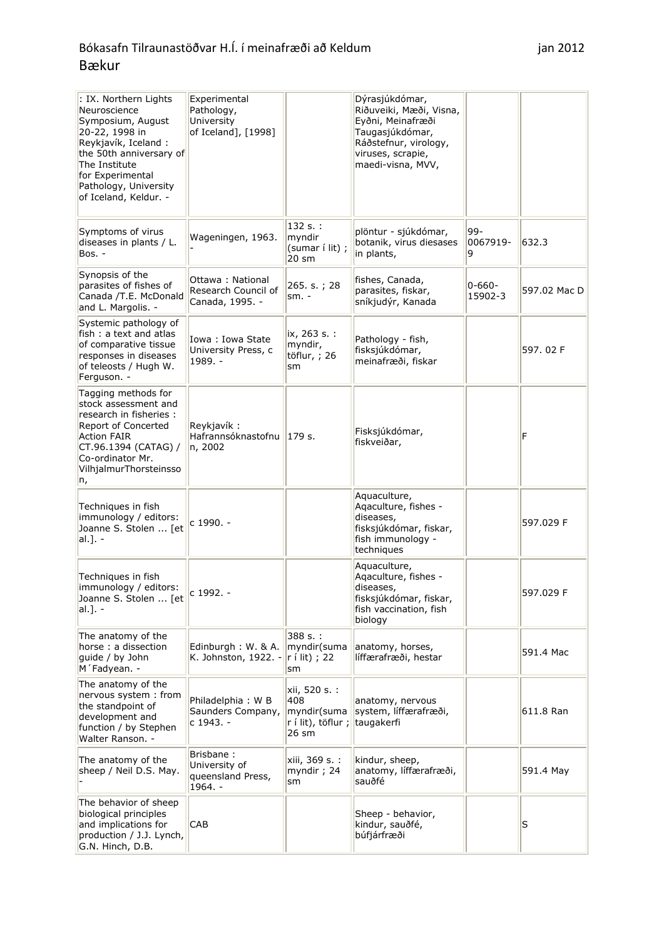| : IX. Northern Lights<br>Neuroscience<br>Symposium, August<br>20-22, 1998 in<br>Reykjavík, Iceland :<br>the 50th anniversary of<br>The Institute<br>for Experimental<br>Pathology, University<br>of Iceland, Keldur. - | Experimental<br>Pathology,<br>University<br>of Iceland], [1998] |                                                                              | Dýrasjúkdómar,<br>Riðuveiki, Mæði, Visna,<br>Eyðni, Meinafræði<br>Taugasjúkdómar,<br>Ráðstefnur, virology,<br>viruses, scrapie,<br>maedi-visna, MVV, |                         |              |
|------------------------------------------------------------------------------------------------------------------------------------------------------------------------------------------------------------------------|-----------------------------------------------------------------|------------------------------------------------------------------------------|------------------------------------------------------------------------------------------------------------------------------------------------------|-------------------------|--------------|
| Symptoms of virus<br>diseases in plants / L.<br>Bos. -                                                                                                                                                                 | Wageningen, 1963.                                               | 132 s. :<br>myndir<br>(sumar í lit);<br>20 sm                                | plöntur - sjúkdómar,<br>botanik, virus diesases<br>in plants,                                                                                        | $99 -$<br>0067919-<br>9 | 632.3        |
| Synopsis of the<br>parasites of fishes of<br>Canada /T.E. McDonald<br>and L. Margolis. -                                                                                                                               | Ottawa: National<br>Research Council of<br>Canada, 1995. -      | 265. s.; 28<br>$sm. -$                                                       | fishes, Canada,<br>parasites, fiskar,<br>sníkjudýr, Kanada                                                                                           | $0 - 660 -$<br>15902-3  | 597.02 Mac D |
| Systemic pathology of<br>fish: a text and atlas<br>of comparative tissue<br>responses in diseases<br>of teleosts / Hugh W.<br>Ferguson. -                                                                              | Iowa: Iowa State<br>University Press, c<br>1989. -              | ix, 263 s. :<br>myndir,<br>töflur, ; 26<br>sm                                | Pathology - fish,<br>fisksjúkdómar,<br>meinafræði, fiskar                                                                                            |                         | 597.02F      |
| Tagging methods for<br>stock assessment and<br>research in fisheries :<br><b>Report of Concerted</b><br><b>Action FAIR</b><br>CT.96.1394 (CATAG) /<br>Co-ordinator Mr.<br>VilhjalmurThorsteinsso<br> n,                | Reykjavík:<br>Hafrannsóknastofnu<br>n, 2002                     | 179 s.                                                                       | Fisksjúkdómar,<br>fiskveiðar,                                                                                                                        |                         | F            |
| Techniques in fish<br>immunology / editors:<br>Joanne S. Stolen  [et<br>$ al.$ ]. -                                                                                                                                    | c 1990. -                                                       |                                                                              | Aquaculture,<br>Aqaculture, fishes -<br>diseases,<br>fisksjúkdómar, fiskar,<br>fish immunology -<br>techniques                                       |                         | 597.029 F    |
| Techniques in fish<br> immunology / editors:<br>Joanne S. Stolen  [et<br>al.]. -                                                                                                                                       | c 1992. -                                                       |                                                                              | Aquaculture,<br>Aqaculture, fishes -<br>diseases,<br>fisksjúkdómar, fiskar,<br>fish vaccination, fish<br>biology                                     |                         | 597.029 F    |
| The anatomy of the<br>horse: a dissection<br>guide / by John<br>M'Fadyean. -                                                                                                                                           | Edinburgh: W. & A.<br>K. Johnston, 1922. -                      | 388 s. :<br>myndir(suma<br>$ r$ í lit) ; 22<br>sm                            | anatomy, horses,<br>líffærafræði, hestar                                                                                                             |                         | 591.4 Mac    |
| The anatomy of the<br>nervous system: from<br>the standpoint of<br>development and<br>function / by Stephen<br>Walter Ranson. -                                                                                        | Philadelphia: W B<br>Saunders Company,<br>c 1943. -             | xii, 520 s. :<br>408<br>myndir(suma<br>r í lit), töflur ;<br>$26 \text{ sm}$ | anatomy, nervous<br>system, líffærafræði,<br>taugakerfi                                                                                              |                         | 611.8 Ran    |
| The anatomy of the<br>sheep / Neil D.S. May.                                                                                                                                                                           | Brisbane:<br>University of<br>queensland Press,<br>1964. -      | xiii, 369 s. :<br>myndir; 24<br>sm                                           | kindur, sheep,<br>anatomy, líffærafræði,<br>sauðfé                                                                                                   |                         | 591.4 May    |
| The behavior of sheep<br>biological principles<br>and implications for<br>production / J.J. Lynch,<br>G.N. Hinch, D.B.                                                                                                 | CAB                                                             |                                                                              | Sheep - behavior,<br>kindur, sauðfé,<br>búfjárfræði                                                                                                  |                         | lS           |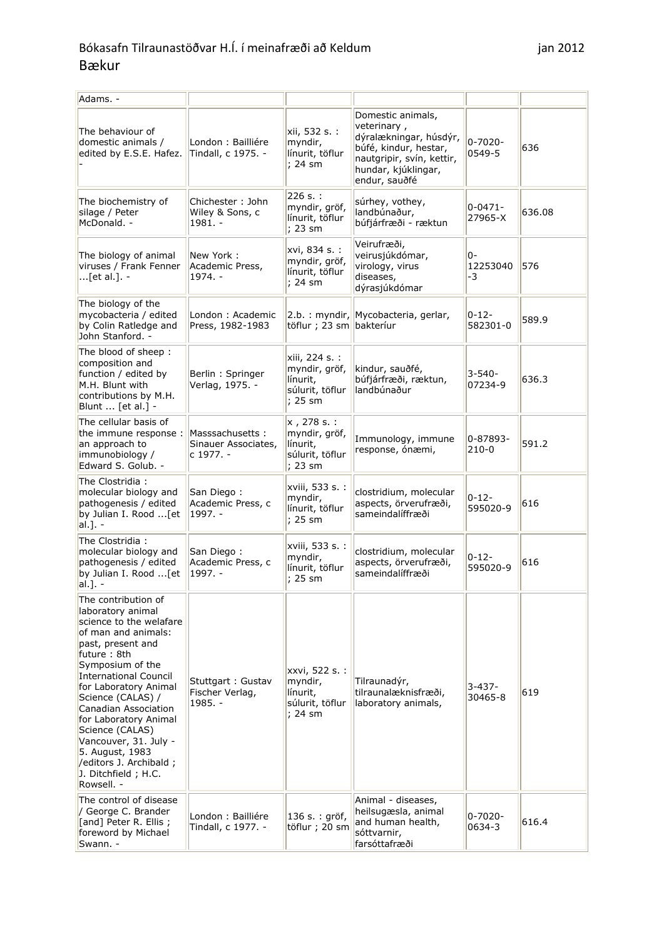| Adams. -                                                                                                                                                                                                                                                                                                                                                                                                         |                                                     |                                                                           |                                                                                                                                                          |                         |        |
|------------------------------------------------------------------------------------------------------------------------------------------------------------------------------------------------------------------------------------------------------------------------------------------------------------------------------------------------------------------------------------------------------------------|-----------------------------------------------------|---------------------------------------------------------------------------|----------------------------------------------------------------------------------------------------------------------------------------------------------|-------------------------|--------|
| The behaviour of<br>domestic animals /<br>edited by E.S.E. Hafez.                                                                                                                                                                                                                                                                                                                                                | London : Bailliére<br>Tindall, c 1975. -            | xii, 532 s. :<br>myndir,<br>línurit, töflur<br>: 24 sm                    | Domestic animals,<br>veterinary,<br>dýralækningar, húsdýr,<br>búfé, kindur, hestar,<br>nautgripir, svín, kettir,<br>hundar, kjúklingar,<br>endur, sauðfé | $0 - 7020 -$<br>0549-5  | 636    |
| The biochemistry of<br>silage / Peter<br>McDonald. -                                                                                                                                                                                                                                                                                                                                                             | Chichester: John<br>Wiley & Sons, c<br>$1981. -$    | 226 s. :<br>myndir, gröf,<br>línurit, töflur<br>; 23 sm                   | súrhey, vothey,<br>landbúnaður,<br>búfjárfræði - ræktun                                                                                                  | $0 - 0471 -$<br>27965-X | 636.08 |
| The biology of animal<br>viruses / Frank Fenner<br>[et al.]. -                                                                                                                                                                                                                                                                                                                                                   | New York:<br>Academic Press,<br>$1974. -$           | xvi, 834 s. :<br>myndir, gröf,<br>línurit, töflur<br>; 24 sm              | Veirufræði,<br>veirusjúkdómar,<br>virology, virus<br>diseases,<br>dýrasjúkdómar                                                                          | $0 -$<br>12253040<br>-3 | 576    |
| The biology of the<br>mycobacteria / edited<br>by Colin Ratledge and<br>John Stanford. -                                                                                                                                                                                                                                                                                                                         | London: Academic<br>Press, 1982-1983                | töflur ; 23 sm                                                            | 2.b.: myndir, Mycobacteria, gerlar,<br>bakteríur                                                                                                         | $0 - 12 -$<br>582301-0  | 589.9  |
| The blood of sheep:<br>composition and<br>function / edited by<br>M.H. Blunt with<br>contributions by M.H.<br>Blunt  [et al.] -                                                                                                                                                                                                                                                                                  | Berlin: Springer<br>Verlag, 1975. -                 | xiii, 224 s. :<br>myndir, gröf,<br>línurit,<br>súlurit, töflur<br>; 25 sm | kindur, sauðfé,<br>búfjárfræði, ræktun,<br>landbúnaður                                                                                                   | $3 - 540 -$<br>07234-9  | 636.3  |
| The cellular basis of<br>the immune response:<br>an approach to<br>immunobiology /<br>Edward S. Golub. -                                                                                                                                                                                                                                                                                                         | Masssachusetts:<br>Sinauer Associates,<br>c 1977. - | x, 278 s. :<br>myndir, gröf,<br>línurit,<br>súlurit, töflur<br>; 23 sm    | Immunology, immune<br>response, ónæmi,                                                                                                                   | 0-87893-<br>$210-0$     | 591.2  |
| The Clostridia:<br>molecular biology and<br>pathogenesis / edited<br>by Julian I. Rood  [et<br>$al.$ ]. -                                                                                                                                                                                                                                                                                                        | San Diego:<br>Academic Press, c<br>$1997. -$        | xviii, 533 s. :<br>myndir,<br>línurit, töflur<br>; 25 sm                  | clostridium, molecular<br>aspects, örverufræði,<br>sameindalíffræði                                                                                      | $0 - 12 -$<br>595020-9  | 616    |
| The Clostridia :<br>molecular biology and<br>pathogenesis / edited<br>by Julian I. Rood  [et<br> al.]. -                                                                                                                                                                                                                                                                                                         | San Diego:<br>Academic Press, c<br>$1997. -$        | xviii, 533 s. :<br>myndir,<br>línurit, töflur<br>; 25 sm                  | clostridium, molecular<br>aspects, örverufræði,<br>sameindalíffræði                                                                                      | $0 - 12 -$<br>595020-9  | 616    |
| The contribution of<br>laboratory animal<br>science to the welafare<br>of man and animals:<br>past, present and<br>future: 8th<br>Symposium of the<br><b>International Council</b><br>for Laboratory Animal<br>Science (CALAS) /<br>Canadian Association<br>for Laboratory Animal<br>Science (CALAS)<br>Vancouver, 31. July -<br>5. August, 1983<br>/editors J. Archibald ;<br>J. Ditchfield; H.C.<br>Rowsell. - | Stuttgart: Gustav<br>Fischer Verlag,<br>$1985. -$   | xxvi, 522 s. :<br>myndir,<br>línurit,<br>súlurit, töflur<br>; 24 sm       | Tilraunadýr,<br>tilraunalæknisfræði,<br>laboratory animals,                                                                                              | $3 - 437 -$<br>30465-8  | 619    |
| The control of disease<br>/ George C. Brander<br>[and] Peter R. Ellis;<br>foreword by Michael<br>Swann. -                                                                                                                                                                                                                                                                                                        | London : Bailliére<br>Tindall, c 1977. -            | 136 s. : gröf,<br>töflur ; 20 sm                                          | Animal - diseases,<br>heilsugæsla, animal<br>and human health,<br>sóttvarnir,<br>farsóttafræði                                                           | $0 - 7020 -$<br>0634-3  | 616.4  |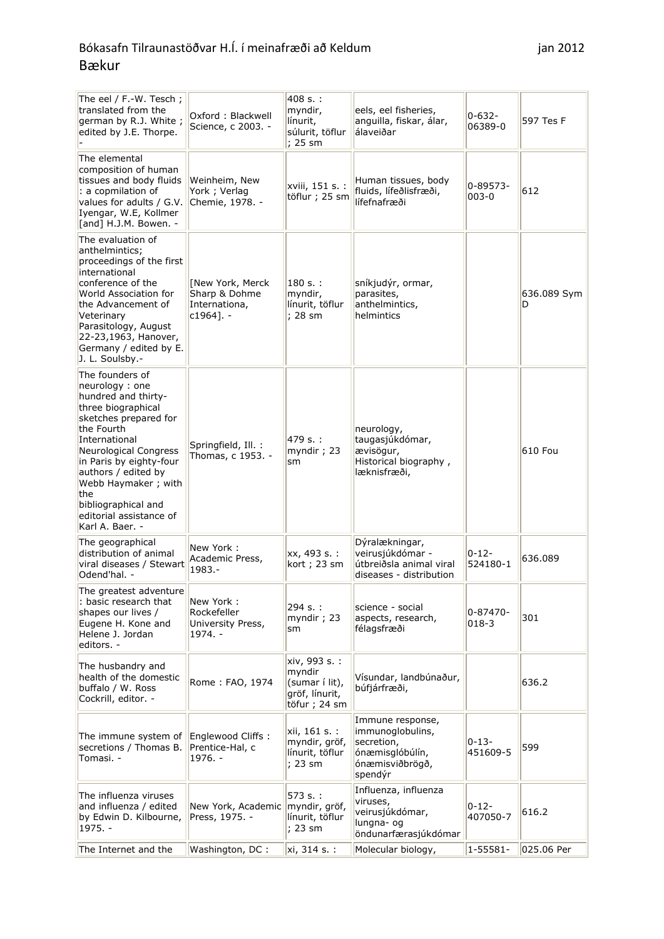| The eel / F.-W. Tesch;<br>translated from the<br>german by R.J. White;<br>edited by J.E. Thorpe.                                                                                                                                                                                                                       | Oxford: Blackwell<br>Science, c 2003. -                         | 408 s.:<br>myndir,<br>línurit,<br>súlurit, töflur<br>; 25 sm                 | eels, eel fisheries,<br>anguilla, fiskar, álar,<br>álaveiðar                                        | $0 - 632 -$<br>06389-0 | 597 Tes F        |
|------------------------------------------------------------------------------------------------------------------------------------------------------------------------------------------------------------------------------------------------------------------------------------------------------------------------|-----------------------------------------------------------------|------------------------------------------------------------------------------|-----------------------------------------------------------------------------------------------------|------------------------|------------------|
| The elemental<br>composition of human<br>tissues and body fluids<br>: a copmilation of<br>values for adults / G.V.<br>Iyengar, W.E, Kollmer<br>[and] H.J.M. Bowen. -                                                                                                                                                   | Weinheim, New<br>York ; Verlag<br>Chemie, 1978. -               | xviii, 151 s. :<br>töflur ; 25 sm                                            | Human tissues, body<br>fluids, lífeðlisfræði,<br>lífefnafræði                                       | 0-89573-<br>$003 - 0$  | 612              |
| The evaluation of<br>anthelmintics;<br>proceedings of the first<br>international<br>conference of the<br>World Association for<br>the Advancement of<br>Veterinary<br>Parasitology, August<br>22-23,1963, Hanover,<br>Germany / edited by E.<br>J. L. Soulsby.-                                                        | [New York, Merck<br>Sharp & Dohme<br>Internationa,<br>c1964]. - | 180 s. :<br>myndir,<br>línurit, töflur<br>; 28 sm                            | sníkjudýr, ormar,<br>parasites,<br>anthelmintics,<br>helmintics                                     |                        | 636.089 Sym<br>D |
| The founders of<br>neurology: one<br>hundred and thirty-<br>three biographical<br>sketches prepared for<br>the Fourth<br>International<br>Neurological Congress<br>in Paris by eighty-four<br>authors / edited by<br>Webb Haymaker ; with<br>lthe<br>bibliographical and<br>editorial assistance of<br>Karl A. Baer. - | Springfield, Ill. :<br>Thomas, c 1953. -                        | 479 s. :<br>myndir; 23<br>sm                                                 | neurology,<br>taugasjúkdómar,<br>ævisögur,<br>Historical biography,<br>læknisfræði,                 |                        | 610 Fou          |
| The geographical<br>distribution of animal<br>viral diseases / Stewart<br>Odend'hal. -                                                                                                                                                                                                                                 | New York:<br>Academic Press,<br>1983.-                          | xx, 493 s. :<br>kort ; 23 sm                                                 | Dýralækningar,<br>veirusjúkdómar -<br>útbreiðsla animal viral<br>diseases - distribution            | $0 - 12 -$<br>524180-1 | 636.089          |
| The greatest adventure<br>: basic research that<br>shapes our lives /<br>Eugene H. Kone and<br>Helene J. Jordan<br>editors. -                                                                                                                                                                                          | New York:<br>Rockefeller<br>University Press,<br>$1974. -$      | 294 s. :<br>myndir ; 23<br>sm                                                | science - social<br>aspects, research,<br>félagsfræði                                               | 0-87470-<br>$018 - 3$  | 301              |
| The husbandry and<br>health of the domestic<br>buffalo / W. Ross<br>Cockrill, editor. -                                                                                                                                                                                                                                | Rome: FAO, 1974                                                 | xiv, 993 s. :<br>myndir<br>(sumar í lit),<br>gröf, línurit,<br>töfur ; 24 sm | Vísundar, landbúnaður,<br>búfjárfræði,                                                              |                        | 636.2            |
| The immune system of<br>secretions / Thomas B.<br>Tomasi. -                                                                                                                                                                                                                                                            | Englewood Cliffs:<br>Prentice-Hal, c<br>$1976. -$               | xii, 161 s. :<br>myndir, gröf,<br>línurit, töflur<br>; 23 sm                 | Immune response,<br>immunoglobulins,<br>secretion,<br>ónæmisglóbúlín,<br>ónæmisviðbrögð,<br>spendýr | $0 - 13 -$<br>451609-5 | 599              |
| The influenza viruses<br>and influenza / edited<br>by Edwin D. Kilbourne,<br>1975. -                                                                                                                                                                                                                                   | New York, Academic<br>Press, 1975. -                            | 573 s. :<br>myndir, gröf,<br>línurit, töflur<br>; 23 sm                      | Influenza, influenza<br>viruses,<br>veirusjúkdómar,<br>lungna- og<br>öndunarfærasjúkdómar           | $0 - 12 -$<br>407050-7 | 616.2            |
| The Internet and the                                                                                                                                                                                                                                                                                                   | Washington, DC:                                                 | xi, 314 s. :                                                                 | Molecular biology,                                                                                  | 1-55581-               | 025.06 Per       |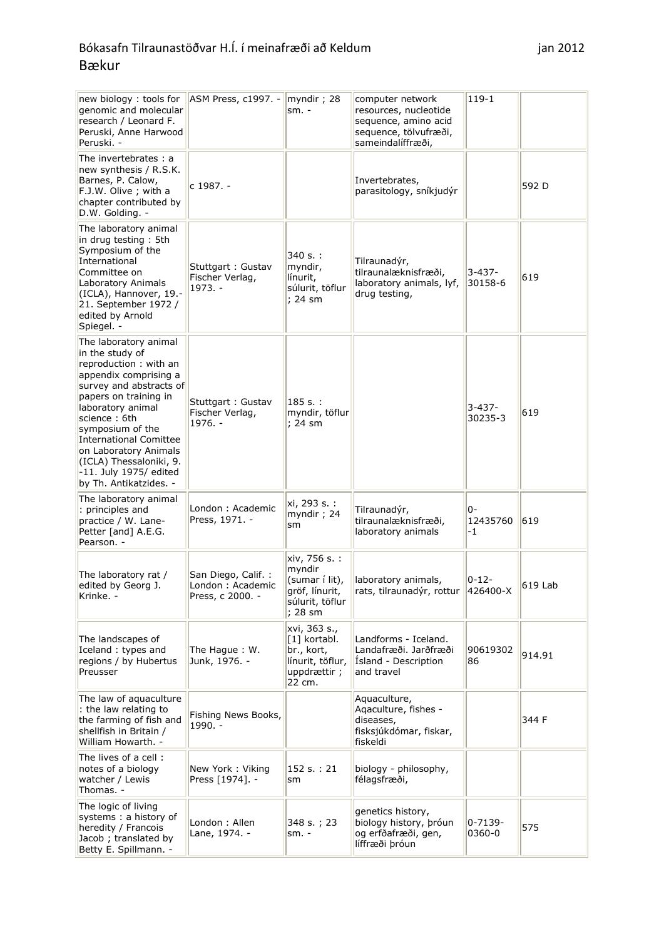Betty E. Spillmann. -

| new biology: tools for<br>genomic and molecular<br>research / Leonard F.<br>Peruski, Anne Harwood<br>Peruski. -                                                                                                                                                                                                                                   | ASM Press, c1997. -                                        | $m$ yndir ; 28<br>$sm. -$                                                                 | computer network<br>resources, nucleotide<br>sequence, amino acid<br>sequence, tölvufræði,<br>sameindalíffræði, | 119-1                  |         |
|---------------------------------------------------------------------------------------------------------------------------------------------------------------------------------------------------------------------------------------------------------------------------------------------------------------------------------------------------|------------------------------------------------------------|-------------------------------------------------------------------------------------------|-----------------------------------------------------------------------------------------------------------------|------------------------|---------|
| The invertebrates: a<br>new synthesis / R.S.K.<br>Barnes, P. Calow,<br>F.J.W. Olive; with a<br>chapter contributed by<br>D.W. Golding. -                                                                                                                                                                                                          | c 1987. -                                                  |                                                                                           | Invertebrates,<br>parasitology, sníkjudýr                                                                       |                        | 592 D   |
| The laboratory animal<br>in drug testing: 5th<br>Symposium of the<br>International<br>Committee on<br>Laboratory Animals<br>(ICLA), Hannover, 19.-<br>21. September 1972 /<br>edited by Arnold<br>Spiegel. -                                                                                                                                      | Stuttgart: Gustav<br>Fischer Verlag,<br>1973. -            | $340 s.$ :<br>myndir,<br>línurit,<br>súlurit, töflur<br>; 24 sm                           | Tilraunadýr,<br>tilraunalæknisfræði,<br>laboratory animals, lyf,<br>drug testing,                               | $3 - 437 -$<br>30158-6 | 619     |
| The laboratory animal<br>in the study of<br>reproduction: with an<br>appendix comprising a<br>survey and abstracts of<br>papers on training in<br>laboratory animal<br>science : 6th<br>symposium of the<br><b>International Comittee</b><br>on Laboratory Animals<br>(ICLA) Thessaloniki, 9.<br>-11. July 1975/ edited<br>by Th. Antikatzides. - | Stuttgart: Gustav<br>Fischer Verlag,<br>$1976. -$          | 185 s.:<br>myndir, töflur<br>; 24 sm                                                      |                                                                                                                 | $3 - 437 -$<br>30235-3 | 619     |
| The laboratory animal<br>: principles and<br>practice / W. Lane-<br>Petter [and] A.E.G.<br>Pearson. -                                                                                                                                                                                                                                             | London: Academic<br>Press, 1971. -                         | xi, 293 s. :<br>myndir; 24<br>sm                                                          | Tilraunadýr,<br>tilraunalæknisfræði,<br>laboratory animals                                                      | 0-<br>12435760<br>-1   | 619     |
| The laboratory rat /<br>edited by Georg J.<br>Krinke. -                                                                                                                                                                                                                                                                                           | San Diego, Calif.:<br>London: Academic<br>Press, c 2000. - | xiv, 756 s. :<br>myndir<br>(sumar í lit),<br>gröf, línurit,<br>súlurit, töflur<br>; 28 sm | laboratory animals,<br>rats, tilraunadýr, rottur                                                                | $0 - 12 -$<br>426400-X | 619 Lab |
| The landscapes of<br>Iceland: types and<br>regions / by Hubertus<br>Preusser                                                                                                                                                                                                                                                                      | The Hague: W.<br>Junk, 1976. -                             | xvi, 363 s.,<br>[1] kortabl.<br>br., kort,<br>línurit, töflur,<br>uppdrættir;<br>22 cm.   | Landforms - Iceland.<br>Landafræði. Jarðfræði<br>Island - Description<br>and travel                             | 90619302<br>86         | 914.91  |
| The law of aquaculture<br>: the law relating to<br>the farming of fish and<br>shellfish in Britain /<br>William Howarth. -                                                                                                                                                                                                                        | Fishing News Books,<br>$1990. -$                           |                                                                                           | Aquaculture,<br>Aqaculture, fishes -<br>diseases,<br>fisksjúkdómar, fiskar,<br>lfiskeldi                        |                        | 344 F   |
| The lives of a cell:<br>notes of a biology<br>watcher / Lewis<br>Thomas. -                                                                                                                                                                                                                                                                        | New York: Viking<br>Press [1974]. -                        | 152 s : 21<br>sm                                                                          | biology - philosophy,<br>félagsfræði,                                                                           |                        |         |
| The logic of living<br>systems: a history of<br>heredity / Francois<br>Jacob ; translated by                                                                                                                                                                                                                                                      | London: Allen<br>Lane, 1974. -                             | 348 s.; 23<br>$sm. -$                                                                     | genetics history,<br>biology history, próun<br>og erfðafræði, gen,                                              | 0-7139-<br>0360-0      | 575     |

líffræði þróun

Ш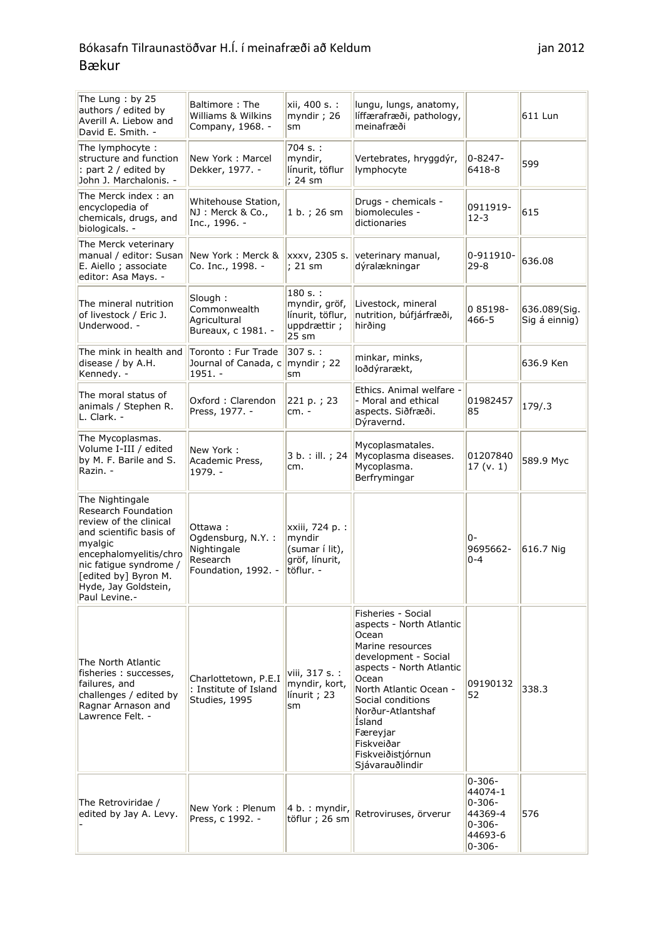| The Lung: by 25<br>authors / edited by<br>Averill A. Liebow and<br>David E. Smith. -                                                                                                                                        | Baltimore: The<br>Williams & Wilkins<br>Company, 1968. -                         | xii, 400 s. :<br>myndir; 26<br>sm                                          | lungu, lungs, anatomy,<br>líffærafræði, pathology,<br>meinafræði                                                                                                                                                                                                                         |                                                                                           | 611 Lun                       |
|-----------------------------------------------------------------------------------------------------------------------------------------------------------------------------------------------------------------------------|----------------------------------------------------------------------------------|----------------------------------------------------------------------------|------------------------------------------------------------------------------------------------------------------------------------------------------------------------------------------------------------------------------------------------------------------------------------------|-------------------------------------------------------------------------------------------|-------------------------------|
| The lymphocyte:<br>structure and function<br>: part 2 / edited by<br>John J. Marchalonis. -                                                                                                                                 | New York: Marcel<br>Dekker, 1977. -                                              | 704 s. :<br>myndir,<br>línurit, töflur<br>; 24 sm                          | Vertebrates, hryggdýr,<br>lymphocyte                                                                                                                                                                                                                                                     | $0 - 8247 -$<br>6418-8                                                                    | 599                           |
| The Merck index: an<br>encyclopedia of<br>chemicals, drugs, and<br>biologicals. -                                                                                                                                           | Whitehouse Station,<br>NJ: Merck & Co.,<br>Inc., 1996. -                         | 1 b.; 26 sm                                                                | Drugs - chemicals -<br>biomolecules -<br>dictionaries                                                                                                                                                                                                                                    | 0911919-<br>$12 - 3$                                                                      | 615                           |
| The Merck veterinary<br>manual / editor: Susan<br>E. Aiello ; associate<br>editor: Asa Mays. -                                                                                                                              | New York: Merck &<br>Co. Inc., 1998. -                                           | xxxv, 2305 s.<br>; 21 sm                                                   | veterinary manual,<br>dýralækningar                                                                                                                                                                                                                                                      | 0-911910-<br>$29 - 8$                                                                     | 636.08                        |
| The mineral nutrition<br>of livestock / Eric J.<br>Underwood. -                                                                                                                                                             | Slough:<br>Commonwealth<br>Agricultural<br>Bureaux, c 1981. -                    | 180 s. :<br>myndir, gröf,<br>línurit, töflur,<br>uppdrættir;<br>25 sm      | Livestock, mineral<br>nutrition, búfjárfræði,<br>hirðina                                                                                                                                                                                                                                 | 0 85198-<br>$466 - 5$                                                                     | 636.089(Sig.<br>Sig á einnig) |
| The mink in health and<br>disease / by A.H.<br>Kennedy. -                                                                                                                                                                   | Toronto: Fur Trade<br>Journal of Canada, c<br>$1951. -$                          | 307 s. :<br>myndir; 22<br>sm                                               | minkar, minks,<br>loðdýrarækt,                                                                                                                                                                                                                                                           |                                                                                           | 636.9 Ken                     |
| The moral status of<br>animals / Stephen R.<br>L. Clark. -                                                                                                                                                                  | Oxford: Clarendon<br>Press, 1977. -                                              | 221 p.; 23<br>$cm. -$                                                      | Ethics. Animal welfare -<br>- Moral and ethical<br>aspects. Siðfræði.<br>Dýravernd.                                                                                                                                                                                                      | 01982457<br>85                                                                            | 179/3                         |
| The Mycoplasmas.<br>Volume I-III / edited<br>by M. F. Barile and S.<br>Razin. -                                                                                                                                             | New York:<br>Academic Press,<br>$1979. -$                                        | 3 b. : ill. ; 24<br>cm.                                                    | Mycoplasmatales.<br>Mycoplasma diseases.<br>Mycoplasma.<br>Berfrymingar                                                                                                                                                                                                                  | 01207840<br>17(v.1)                                                                       | 589.9 Myc                     |
| The Nightingale<br>Research Foundation<br>review of the clinical<br>and scientific basis of<br>myalgic<br>encephalomyelitis/chro<br>nic fatigue syndrome /<br>[edited by] Byron M.<br>Hyde, Jay Goldstein,<br>Paul Levine.- | Ottawa :<br>Ogdensburg, N.Y. :<br>Nightingale<br>Research<br>Foundation, 1992. - | xxiii, 724 p. :<br>myndir<br>(sumar í lit),<br>gröf, línurit,<br>töflur. - |                                                                                                                                                                                                                                                                                          | 0-<br>9695662-<br>$0 - 4$                                                                 | 616.7 Nig                     |
| The North Atlantic<br>fisheries : successes,<br>failures, and<br>challenges / edited by<br>Ragnar Arnason and<br>Lawrence Felt. -                                                                                           | Charlottetown, P.E.I<br>: Institute of Island<br>Studies, 1995                   | viii, 317 s. :<br>myndir, kort,<br>limit: 23<br>sm                         | Fisheries - Social<br>aspects - North Atlantic<br>Ocean<br>Marine resources<br>development - Social<br>aspects - North Atlantic<br>Ocean<br>North Atlantic Ocean -<br>Social conditions<br>Norður-Atlantshaf<br>İsland<br>Færeyjar<br>Fiskveiðar<br>Fiskveiðistjórnun<br>Sjávarauðlindir | 09190132<br>52                                                                            | 338.3                         |
| The Retroviridae /<br>edited by Jay A. Levy.                                                                                                                                                                                | New York: Plenum<br>Press, c 1992. -                                             | 4 b. : myndir,<br>töflur ; 26 sm                                           | Retroviruses, örverur                                                                                                                                                                                                                                                                    | $0 - 306 -$<br>44074-1<br>$0 - 306 -$<br>44369-4<br>$0 - 306 -$<br>44693-6<br>$0 - 306 -$ | 576                           |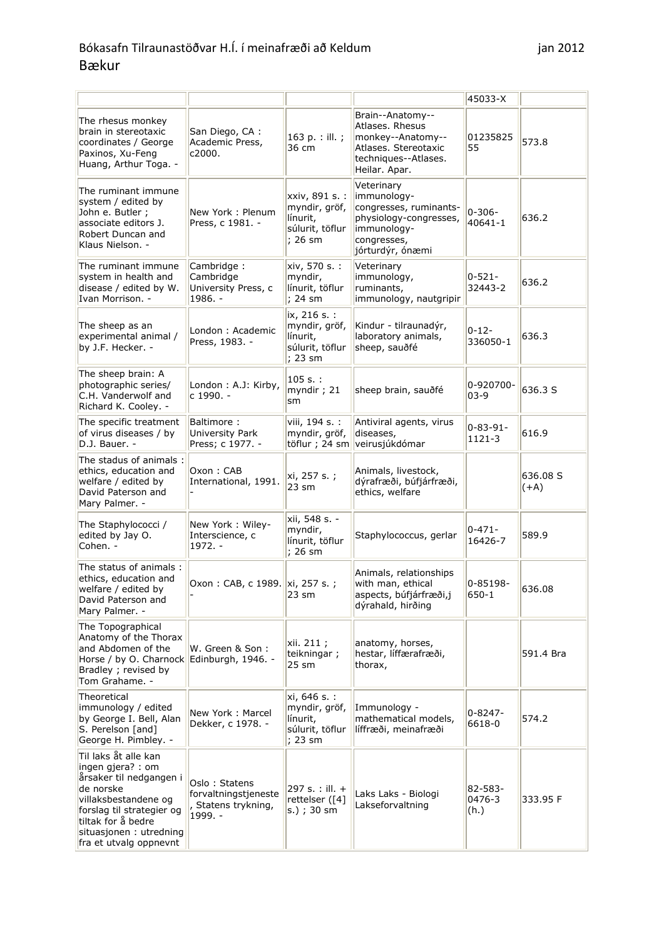|                                                                                                                                                                                                                   |                                                                         |                                                                           |                                                                                                                                 | 45033-X                   |                    |
|-------------------------------------------------------------------------------------------------------------------------------------------------------------------------------------------------------------------|-------------------------------------------------------------------------|---------------------------------------------------------------------------|---------------------------------------------------------------------------------------------------------------------------------|---------------------------|--------------------|
| The rhesus monkey<br>brain in stereotaxic<br>coordinates / George<br>Paxinos, Xu-Feng<br>Huang, Arthur Toga. -                                                                                                    | San Diego, CA:<br>Academic Press,<br>c2000.                             | 163 p. : ill. ;<br>36 cm                                                  | Brain--Anatomy--<br>Atlases. Rhesus<br>monkey--Anatomy--<br>Atlases. Stereotaxic<br>techniques--Atlases.<br>Heilar. Apar.       | 01235825<br>55            | 573.8              |
| The ruminant immune<br>system / edited by<br>John e. Butler;<br>associate editors J.<br>Robert Duncan and<br>Klaus Nielson. -                                                                                     | New York: Plenum<br>Press, c 1981. -                                    | xxiv, 891 s. :<br>myndir, gröf,<br>línurit,<br>súlurit, töflur<br>; 26 sm | Veterinary<br>immunology-<br>congresses, ruminants-<br>physiology-congresses,<br>immunology-<br>congresses,<br>jórturdýr, ónæmi | $0 - 306 -$<br>40641-1    | 636.2              |
| The ruminant immune<br>system in health and<br>disease / edited by W.<br>Ivan Morrison. -                                                                                                                         | Cambridge:<br>Cambridge<br>University Press, c<br>1986. -               | xiv, 570 s. :<br>myndir,<br>línurit, töflur<br>; 24 sm                    | Veterinary<br>immunology,<br>ruminants,<br>immunology, nautgripir                                                               | $0 - 521 -$<br>32443-2    | 636.2              |
| The sheep as an<br>experimental animal /<br>by J.F. Hecker. -                                                                                                                                                     | London: Academic<br>Press, 1983. -                                      | ix, 216 s. :<br>myndir, gröf,<br>línurit,<br>súlurit, töflur<br>; 23 sm   | Kindur - tilraunadýr,<br>laboratory animals,<br>sheep, sauðfé                                                                   | $0 - 12 -$<br>336050-1    | 636.3              |
| The sheep brain: A<br>photographic series/<br>C.H. Vanderwolf and<br>Richard K. Cooley. -                                                                                                                         | London: A.J: Kirby,<br>c 1990. -                                        | 105 s.:<br>myndir ; $21$<br>sm                                            | sheep brain, sauðfé                                                                                                             | 0-920700-<br>03-9         | 636.3 S            |
| The specific treatment<br>of virus diseases / by<br>D.J. Bauer. -                                                                                                                                                 | Baltimore:<br>University Park<br>Press; c 1977. -                       | viii, 194 s. :<br>myndir, gröf,<br>töflur ; 24 sm                         | Antiviral agents, virus<br>diseases,<br>veirusjúkdómar                                                                          | $0 - 83 - 91 -$<br>1121-3 | 616.9              |
| The stadus of animals:<br>ethics, education and<br>welfare / edited by<br>David Paterson and<br>Mary Palmer. -                                                                                                    | Oxon: CAB<br>International, 1991.                                       | xi, 257 s.;<br>$23 \text{ sm}$                                            | Animals, livestock,<br>dýrafræði, búfjárfræði,<br>ethics, welfare                                                               |                           | 636.08 S<br>$(+A)$ |
| The Staphylococci /<br>edited by Jay O.<br>Cohen. -                                                                                                                                                               | New York: Wiley-<br>Interscience, c<br>1972. -                          | xii, 548 s. -<br>myndir,<br>línurit, töflur<br>; 26 sm                    | Staphylococcus, gerlar                                                                                                          | $0 - 471 -$<br>16426-7    | 589.9              |
| The status of animals:<br>ethics, education and<br>welfare / edited by<br>David Paterson and<br>Mary Palmer. -                                                                                                    | Oxon: CAB, c 1989. xi, 257 s.;                                          | 23 sm                                                                     | Animals, relationships<br>with man, ethical<br>aspects, búfjárfræði,j<br>dýrahald, hirðing                                      | 0-85198-<br>650-1         | 636.08             |
| The Topographical<br>Anatomy of the Thorax<br>and Abdomen of the<br>Horse / by O. Charnock Edinburgh, 1946. -<br>Bradley ; revised by<br>Tom Grahame. -                                                           | W. Green & Son:                                                         | xii. 211 ;<br>teikningar;<br>25 sm                                        | anatomy, horses,<br>hestar, líffærafræði,<br>thorax,                                                                            |                           | 591.4 Bra          |
| Theoretical<br>immunology / edited<br>by George I. Bell, Alan<br>S. Perelson [and]<br>George H. Pimbley. -                                                                                                        | New York: Marcel<br>Dekker, c 1978. -                                   | xi, 646 s. :<br>myndir, gröf,<br>línurit,<br>súlurit, töflur<br>; 23 sm   | Immunology -<br>mathematical models,<br>líffræði, meinafræði                                                                    | 0-8247-<br>6618-0         | 574.2              |
| Til laks åt alle kan<br>ingen gjera? : om<br>årsaker til nedgangen i<br>de norske<br>villaksbestandene og<br>forslag til strategier og<br>tiltak for å bedre<br>situasjonen : utredning<br>fra et utvalg oppnevnt | Oslo: Statens<br>forvaltningstjeneste<br>, Statens trykning,<br>1999. - | 297 s. : ill. +<br>rettelser ([4]<br>s.) ; 30 sm                          | Laks Laks - Biologi<br>Lakseforvaltning                                                                                         | 82-583-<br>0476-3<br>(h.) | 333.95 F           |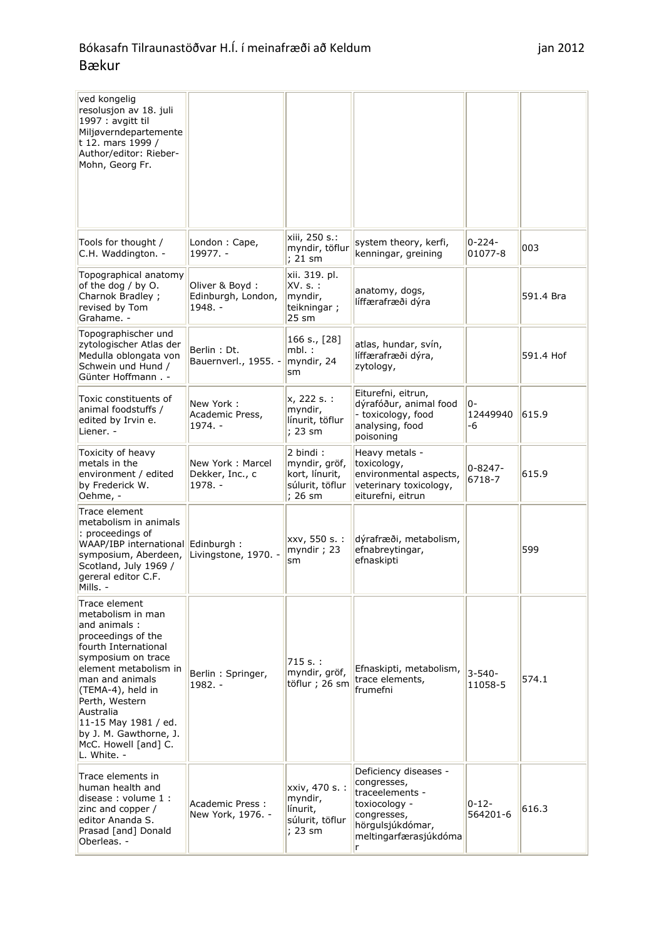| ved kongelig<br>resolusjon av 18. juli<br>1997 : avgitt til<br>Miljøverndepartemente<br>t 12. mars 1999 /<br>Author/editor: Rieber-<br>Mohn, Georg Fr.                                                                                                                                                          |                                                   |                                                                           |                                                                                                                                      |                        |           |
|-----------------------------------------------------------------------------------------------------------------------------------------------------------------------------------------------------------------------------------------------------------------------------------------------------------------|---------------------------------------------------|---------------------------------------------------------------------------|--------------------------------------------------------------------------------------------------------------------------------------|------------------------|-----------|
| Tools for thought /<br>C.H. Waddington. -                                                                                                                                                                                                                                                                       | London: Cape,<br>19977. -                         | xiii, 250 s.:<br>myndir, töflur<br>; 21 sm                                | system theory, kerfi,<br>kenningar, greining                                                                                         | $0 - 224 -$<br>01077-8 | 003       |
| Topographical anatomy<br>of the dog / by O.<br>Charnok Bradley;<br>revised by Tom<br>Grahame. -                                                                                                                                                                                                                 | Oliver & Boyd:<br>Edinburgh, London,<br>$1948. -$ | xii. 319. pl.<br>XV. s. :<br>myndir,<br>teikningar;<br>25 sm              | anatomy, dogs,<br>líffærafræði dýra                                                                                                  |                        | 591.4 Bra |
| Topographischer und<br>zytologischer Atlas der<br>Medulla oblongata von<br>Schwein und Hund /<br>Günter Hoffmann. -                                                                                                                                                                                             | Berlin: Dt.<br>Bauernverl., 1955. -               | 166 s., [28]<br>$mbl.$ :<br>myndir, 24<br>sm                              | atlas, hundar, svín,<br>líffærafræði dýra,<br>zytology,                                                                              |                        | 591.4 Hof |
| Toxic constituents of<br>animal foodstuffs /<br>edited by Irvin e.<br>Liener. -                                                                                                                                                                                                                                 | New York :<br>Academic Press,<br>1974. -          | x, 222 s. :<br>myndir,<br>línurit, töflur<br>; 23 sm                      | Eiturefni, eitrun,<br>dýrafóður, animal food<br>- toxicology, food<br>analysing, food<br>poisoning                                   | 0-<br>12449940<br>-6   | 615.9     |
| Toxicity of heavy<br>metals in the<br>environment / edited<br>by Frederick W.<br>Oehme, -                                                                                                                                                                                                                       | New York: Marcel<br>Dekker, Inc., c<br>1978. -    | 2 bindi:<br>myndir, gröf,<br>kort, línurit,<br>súlurit, töflur<br>; 26 sm | Heavy metals -<br>toxicology,<br>environmental aspects,<br>veterinary toxicology,<br>eiturefni, eitrun                               | $0 - 8247 -$<br>6718-7 | 615.9     |
| Trace element<br>metabolism in animals<br>: proceedings of<br>WAAP/IBP international Edinburgh :<br>symposium, Aberdeen,<br>Scotland, July 1969 /<br>gereral editor C.F.<br>Mills. -                                                                                                                            | Livingstone, 1970. -                              | xxv, 550 s. :<br>myndir; 23<br>sm                                         | dýrafræði, metabolism,<br>efnabreytingar,<br>efnaskipti                                                                              |                        | 599       |
| Trace element<br>metabolism in man<br>and animals:<br>proceedings of the<br>fourth International<br>symposium on trace<br>element metabolism in<br>man and animals<br>(TEMA-4), held in<br>Perth, Western<br>Australia<br>11-15 May 1981 / ed.<br>by J. M. Gawthorne, J.<br>McC. Howell [and] C.<br>L. White. - | Berlin: Springer,<br>$1982. -$                    | 715 s.:<br>myndir, gröf,<br>töflur ; 26 sm                                | Efnaskipti, metabolism,<br>trace elements,<br>frumefni                                                                               | $3 - 540 -$<br>11058-5 | 574.1     |
| Trace elements in<br>human health and<br>disease: volume 1:<br>zinc and copper /<br>editor Ananda S.<br>Prasad [and] Donald<br>Oberleas. -                                                                                                                                                                      | Academic Press:<br>New York, 1976. -              | xxiv, 470 s. :<br>myndir,<br>línurit,<br>súlurit, töflur<br>; 23 sm       | Deficiency diseases -<br>congresses,<br>traceelements -<br>toxiocology -<br>congresses,<br>hörgulsjúkdómar,<br>meltingarfærasjúkdóma | $0 - 12 -$<br>564201-6 | 616.3     |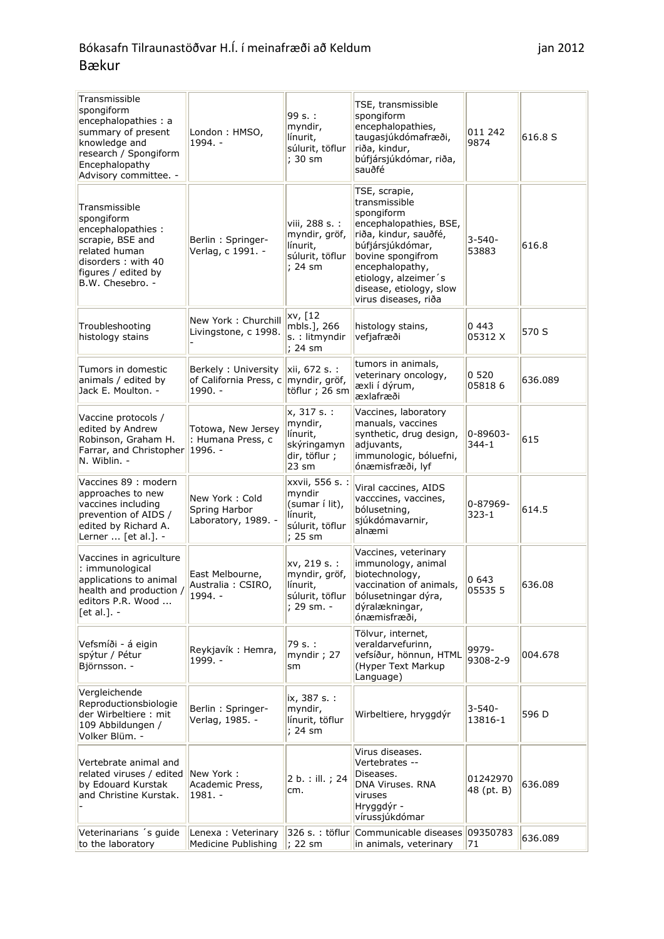| Transmissible<br>spongiform<br>encephalopathies : a<br>summary of present<br>knowledge and<br>research / Spongiform<br>Encephalopathy<br>Advisory committee. - | London: HMSO,<br>1994. -                                   | 99 s. :<br>myndir,<br>línurit,<br>súlurit, töflur<br>; 30 sm                          | TSE, transmissible<br>spongiform<br>encephalopathies,<br>taugasjúkdómafræði,<br>riða, kindur,<br>búfjársjúkdómar, riða,<br>sauðfé                                                                                                      | 011 242<br>9874            | 616.8 S |
|----------------------------------------------------------------------------------------------------------------------------------------------------------------|------------------------------------------------------------|---------------------------------------------------------------------------------------|----------------------------------------------------------------------------------------------------------------------------------------------------------------------------------------------------------------------------------------|----------------------------|---------|
| Transmissible<br>spongiform<br>encephalopathies :<br>scrapie, BSE and<br>related human<br>disorders: with 40<br>figures / edited by<br>B.W. Chesebro. -        | Berlin: Springer-<br>Verlag, c 1991. -                     | viii, 288 s. :<br>myndir, gröf,<br>línurit,<br>súlurit, töflur<br>: 24 sm             | TSE, scrapie,<br>transmissible<br>spongiform<br>encephalopathies, BSE,<br>riða, kindur, sauðfé,<br>búfjársjúkdómar,<br>bovine spongifrom<br>encephalopathy,<br>etiology, alzeimer's<br>disease, etiology, slow<br>virus diseases, riða | $3 - 540 -$<br>53883       | 616.8   |
| Troubleshooting<br>histology stains                                                                                                                            | New York: Churchill<br>Livingstone, c 1998.                | xv, [12<br>mbls.], 266<br>s. : litmyndir<br>; 24 sm                                   | histology stains,<br>vefjafræði                                                                                                                                                                                                        | 0 4 4 3<br>05312 X         | 570 S   |
| Tumors in domestic<br>animals / edited by<br>Jack E. Moulton. -                                                                                                | Berkely: University<br>of California Press, c<br>$1990. -$ | xii, 672 s. :<br>myndir, gröf,<br>töflur ; 26 sm                                      | tumors in animals,<br>veterinary oncology,<br>æxli í dýrum,<br>æxlafræði                                                                                                                                                               | 0 5 2 0<br>058186          | 636.089 |
| Vaccine protocols /<br>edited by Andrew<br>Robinson, Graham H.<br>Farrar, and Christopher<br>N. Wiblin. -                                                      | Totowa, New Jersey<br>: Humana Press, c<br>$1996. -$       | x, 317 s. :<br>myndir,<br>línurit,<br>skýringamyn<br>dir, töflur ;<br>$23 \text{ sm}$ | Vaccines, laboratory<br>manuals, vaccines<br>synthetic, drug design,<br>adjuvants,<br>immunologic, bóluefni,<br>ónæmisfræði, lyf                                                                                                       | $0 - 89603 -$<br>$344 - 1$ | 615     |
| Vaccines 89 : modern<br>approaches to new<br>vaccines including<br>prevention of AIDS /<br>edited by Richard A.<br>Lerner  [et al.]. -                         | New York: Cold<br>Spring Harbor<br>Laboratory, 1989. -     | xxvii, 556 s. :<br>myndir<br>(sumar í lit),<br>línurit,<br>súlurit, töflur<br>; 25 sm | Viral caccines, AIDS<br>vacccines, vaccines,<br>bólusetning,<br>sjúkdómavarnir,<br>alnæmi                                                                                                                                              | 0-87969-<br>323-1          | 614.5   |
| Vaccines in agriculture<br>: immunological<br>applications to animal<br>health and production /<br>editors P.R. Wood<br>[et al.]. -                            | East Melbourne,<br>Australia: CSIRO,<br>1994. -            | xv, 219 s. :<br>myndir, gröf,<br>línurit,<br>súlurit, töflur<br>: 29 sm. -            | Vaccines, veterinary<br>immunology, animal<br>biotechnology,<br>vaccination of animals,<br>bólusetningar dýra,<br>dýralækningar,<br>ónæmisfræði,                                                                                       | $ 0,643\rangle$<br>05535 5 | 636.08  |
| Vefsmíði - á eigin<br>spýtur / Pétur<br>Björnsson. -                                                                                                           | Reykjavík: Hemra,<br>1999. -                               | 79 s. :<br>myndir; 27<br>sm                                                           | Tölvur, internet,<br>veraldarvefurinn,<br>vefsíður, hönnun, HTML<br>(Hyper Text Markup<br>Language)                                                                                                                                    | 9979-<br>9308-2-9          | 004.678 |
| Vergleichende<br>Reproductionsbiologie<br>der Wirbeltiere: mit<br>109 Abbildungen /<br>Volker Blüm. -                                                          | Berlin: Springer-<br>Verlag, 1985. -                       | ix, 387 s. :<br>myndir,<br>línurit, töflur<br>; 24 sm                                 | Wirbeltiere, hryggdýr                                                                                                                                                                                                                  | $3 - 540 -$<br>13816-1     | 596 D   |
| Vertebrate animal and<br>related viruses / edited<br>by Edouard Kurstak<br>and Christine Kurstak.                                                              | New York:<br>Academic Press,<br>$1981. -$                  | 2 b. : ill. ; 24<br>cm.                                                               | Virus diseases.<br>Vertebrates --<br>Diseases.<br>DNA Viruses. RNA<br>viruses<br>Hryggdýr -<br>vírussjúkdómar                                                                                                                          | 01242970<br>48 (pt. B)     | 636.089 |
| Veterinarians 's guide<br>to the laboratory                                                                                                                    | Lenexa: Veterinary<br>Medicine Publishing                  | 326 s. : töflur<br>$\vert$ ; 22 sm                                                    | Communicable diseases 09350783<br>in animals, veterinary                                                                                                                                                                               | 71                         | 636.089 |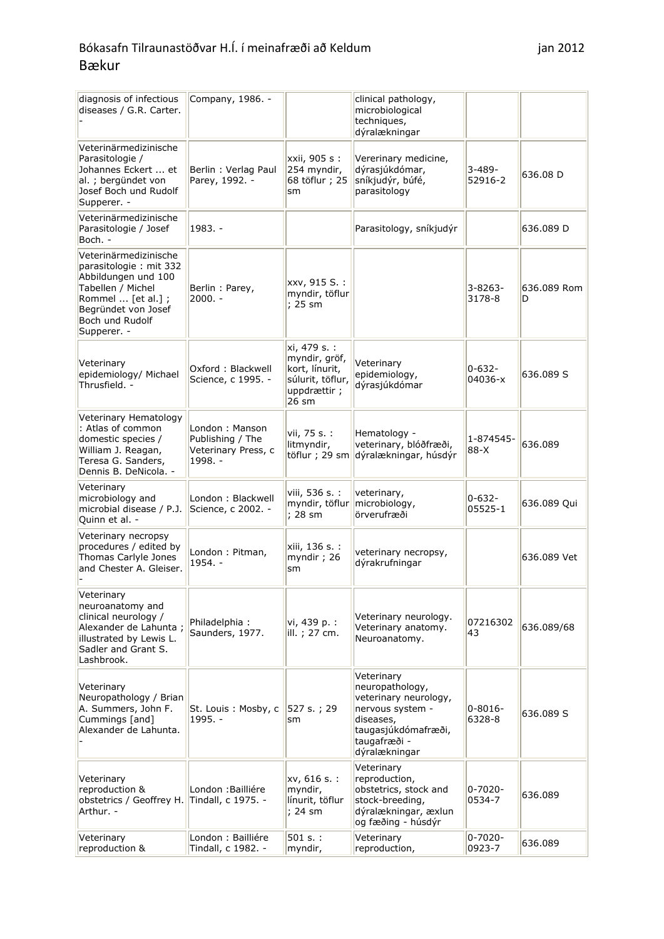| diagnosis of infectious<br>diseases / G.R. Carter.                                                                                                                        | Company, 1986. -                                                     |                                                                                             | clinical pathology,<br>microbiological<br>techniques,<br>dýralækningar                                                                          |                        |                  |
|---------------------------------------------------------------------------------------------------------------------------------------------------------------------------|----------------------------------------------------------------------|---------------------------------------------------------------------------------------------|-------------------------------------------------------------------------------------------------------------------------------------------------|------------------------|------------------|
| Veterinärmedizinische<br>Parasitologie /<br>Johannes Eckert  et<br>al.; bergündet von<br>Josef Boch und Rudolf<br>Supperer. -                                             | Berlin: Verlag Paul<br>Parey, 1992. -                                | xxii, 905 s :<br>254 myndir,<br>68 töflur ; 25<br>sm                                        | Vererinary medicine,<br>dýrasjúkdómar,<br>sníkjudýr, búfé,<br>parasitology                                                                      | $3 - 489 -$<br>52916-2 | 636.08 D         |
| Veterinärmedizinische<br>Parasitologie / Josef<br>Boch. -                                                                                                                 | 1983. -                                                              |                                                                                             | Parasitology, sníkjudýr                                                                                                                         |                        | 636.089 D        |
| Veterinärmedizinische<br>parasitologie: mit 332<br>Abbildungen und 100<br>Tabellen / Michel<br>Rommel  [et al.];<br>Begründet von Josef<br>Boch und Rudolf<br>Supperer. - | Berlin: Parey,<br>$2000. -$                                          | xxv, 915 S. :<br>myndir, töflur<br>: 25 sm                                                  |                                                                                                                                                 | $3 - 8263 -$<br>3178-8 | 636.089 Rom<br>D |
| Veterinary<br>epidemiology/ Michael<br>Thrusfield. -                                                                                                                      | Oxford: Blackwell<br>Science, c 1995. -                              | xi, 479 s. :<br>myndir, gröf,<br>kort, línurit,<br>súlurit, töflur,<br>uppdrættir;<br>26 sm | Veterinary<br>epidemiology,<br>dýrasjúkdómar                                                                                                    | $0 - 632 -$<br>04036-x | 636.089 S        |
| Veterinary Hematology<br>: Atlas of common<br>domestic species /<br>William J. Reagan,<br>Teresa G. Sanders,<br>Dennis B. DeNicola. -                                     | London: Manson<br>Publishing / The<br>Veterinary Press, c<br>1998. - | vii, 75 s. :<br>litmyndir,<br>töflur ; 29 sm                                                | Hematology -<br>veterinary, blóðfræði,<br>dýralækningar, húsdýr                                                                                 | 1-874545-<br>$88-X$    | 636.089          |
| Veterinary<br>microbiology and<br>microbial disease / P.J.<br>Quinn et al. -                                                                                              | London: Blackwell<br>Science, c 2002. -                              | viii, 536 s. :<br>myndir, töflur<br>; 28 sm                                                 | veterinary,<br>microbiology,<br>örverufræði                                                                                                     | $0 - 632 -$<br>05525-1 | 636.089 Qui      |
| Veterinary necropsy<br>procedures / edited by<br>Thomas Carlyle Jones<br>and Chester A. Gleiser.                                                                          | London: Pitman,<br>$1954. -$                                         | xiii, 136 s. :<br>myndir; 26<br>sm                                                          | veterinary necropsy,<br>dýrakrufningar                                                                                                          |                        | 636.089 Vet      |
| Veterinary<br>neuroanatomy and<br>clinical neurology /<br>Alexander de Lahunta;<br>illustrated by Lewis L.<br>Sadler and Grant S.<br>Lashbrook.                           | Philadelphia:<br>Saunders, 1977.                                     | vi, 439 p. :<br>ill.; 27 cm.                                                                | Veterinary neurology.<br>Veterinary anatomy.<br>Neuroanatomy.                                                                                   | 07216302<br>43         | 636.089/68       |
| Veterinary<br>Neuropathology / Brian<br>A. Summers, John F.<br>Cummings [and]<br>Alexander de Lahunta.                                                                    | St. Louis: Mosby, c<br>1995. -                                       | 527 s.; 29<br>sm                                                                            | Veterinary<br>neuropathology,<br>veterinary neurology,<br>nervous system -<br>diseases,<br>taugasjúkdómafræði,<br>taugafræði -<br>dýralækningar | $0 - 8016 -$<br>6328-8 | 636.089 S        |
| Veterinary<br>reproduction &<br>obstetrics / Geoffrey H.<br>Arthur. -                                                                                                     | London : Bailliére<br>Tindall, c 1975. -                             | xv, 616 s. :<br>myndir,<br>línurit, töflur<br>; 24 sm                                       | Veterinary<br>reproduction,<br>obstetrics, stock and<br>stock-breeding,<br>dýralækningar, æxlun<br>og fæðing - húsdýr                           | $0 - 7020 -$<br>0534-7 | 636.089          |
| Veterinary<br>reproduction &                                                                                                                                              | London : Bailliére<br>Tindall, c 1982. -                             | 501 s.:<br>myndir,                                                                          | Veterinary<br>reproduction,                                                                                                                     | $0 - 7020 -$<br>0923-7 | 636.089          |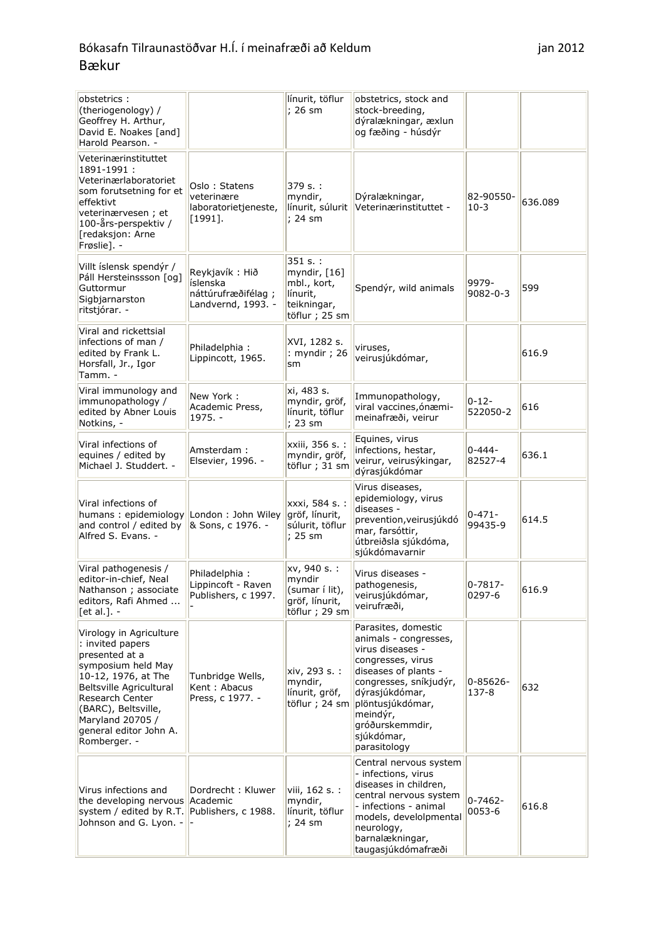| obstetrics:<br>(theriogenology) /<br>Geoffrey H. Arthur,<br>David E. Noakes [and]<br>Harold Pearson. -                                                                                                                                        |                                                                        | línurit, töflur<br>; 26 sm                                                          | obstetrics, stock and<br>stock-breeding,<br>dýralækningar, æxlun<br>og fæðing - húsdýr                                                                                                                                                     |                         |         |
|-----------------------------------------------------------------------------------------------------------------------------------------------------------------------------------------------------------------------------------------------|------------------------------------------------------------------------|-------------------------------------------------------------------------------------|--------------------------------------------------------------------------------------------------------------------------------------------------------------------------------------------------------------------------------------------|-------------------------|---------|
| Veterinærinstituttet<br>1891-1991:<br>Veterinærlaboratoriet<br>som forutsetning for et<br>effektivt<br>veterinærvesen ; et<br>100-års-perspektiv /<br>[redaksjon: Arne<br>Frøslie]. -                                                         | Oslo: Statens<br>veterinære<br>laboratorietjeneste,<br>$[1991]$ .      | 379 s. :<br>myndir,<br>línurit, súlurit<br>$: 24$ sm                                | Dýralækningar,<br>Veterinærinstituttet -                                                                                                                                                                                                   | 82-90550-<br>$10-3$     | 636.089 |
| Villt íslensk spendýr /<br>Páll Hersteinssson [og]<br>Guttormur<br>Sigbjarnarston<br>ritstjórar. -                                                                                                                                            | Reykjavík: Hið<br>íslenska<br>náttúrufræðifélag;<br>Landvernd, 1993. - | 351 s.:<br>myndir, [16]<br>mbl., kort,<br>línurit,<br>teikningar,<br>töflur ; 25 sm | Spendýr, wild animals                                                                                                                                                                                                                      | 9979-<br>$9082 - 0 - 3$ | 599     |
| Viral and rickettsial<br>infections of man /<br>edited by Frank L.<br>Horsfall, Jr., Igor<br>Tamm. -                                                                                                                                          | Philadelphia:<br>Lippincott, 1965.                                     | XVI, 1282 s.<br>: myndir ; 26<br>sm                                                 | viruses,<br>veirusjúkdómar,                                                                                                                                                                                                                |                         | 616.9   |
| Viral immunology and<br>immunopathology /<br>edited by Abner Louis<br>Notkins, -                                                                                                                                                              | New York:<br>Academic Press,<br>1975. -                                | xi, 483 s.<br>myndir, gröf,<br>línurit, töflur<br>; 23 sm                           | Immunopathology,<br>viral vaccines, ónæmi-<br>meinafræði, veirur                                                                                                                                                                           | $0 - 12 -$<br>522050-2  | 616     |
| Viral infections of<br>equines / edited by<br>Michael J. Studdert. -                                                                                                                                                                          | Amsterdam:<br>Elsevier, 1996. -                                        | xxiii, 356 s.<br>myndir, gröf,<br>töflur ; 31 sm                                    | Equines, virus<br>infections, hestar,<br>veirur, veirusýkingar,<br>dýrasjúkdómar                                                                                                                                                           | $0 - 444 -$<br>82527-4  | 636.1   |
| Viral infections of<br>humans : epidemiology<br>and control / edited by<br>Alfred S. Evans. -                                                                                                                                                 | London: John Wiley<br>& Sons, c 1976. -                                | xxxi, 584 s. :<br>gröf, línurit,<br>súlurit, töflur<br>: 25 sm                      | Virus diseases,<br>epidemiology, virus<br>diseases -<br>prevention, veirusjúkdó<br>mar, farsóttir,<br>útbreiðsla sjúkdóma,<br>sjúkdómavarnir                                                                                               | $0 - 471 -$<br>99435-9  | 614.5   |
| Viral pathogenesis /<br>editor-in-chief, Neal<br>Nathanson ; associate<br>editors, Rafi Ahmed<br>[et al.]. -                                                                                                                                  | Philadelphia:<br>Lippincoft - Raven<br>Publishers, c 1997.             | xv, 940 s. :<br>myndir<br>(sumar í lit),<br>gröf, línurit,<br>töflur ; 29 sm        | Virus diseases -<br>pathogenesis,<br>veirusjúkdómar,<br>veirufræði,                                                                                                                                                                        | $0 - 7817 -$<br>0297-6  | 616.9   |
| Virology in Agriculture<br>: invited papers<br>presented at a<br>symposium held May<br>10-12, 1976, at The<br>Beltsville Agricultural<br>Research Center<br>(BARC), Beltsville,<br>Maryland 20705 /<br>general editor John A.<br>Romberger. - | Tunbridge Wells,<br>Kent: Abacus<br>Press, c 1977. -                   | xiv, 293 s. :<br>myndir,<br>línurit, gröf,<br>töflur ; 24 sm                        | Parasites, domestic<br>animals - congresses,<br>virus diseases -<br>congresses, virus<br>diseases of plants -<br>congresses, sníkjudýr,<br>dýrasjúkdómar,<br>plöntusjúkdómar,<br>meindýr,<br>gróðurskemmdir,<br>sjúkdómar,<br>parasitology | $0 - 85626 -$<br>137-8  | 632     |
| Virus infections and<br>the developing nervous<br>system / edited by R.T.<br>Johnson and G. Lyon. -                                                                                                                                           | Dordrecht: Kluwer<br>Academic<br>Publishers, c 1988.                   | viii, 162 s. :<br>myndir,<br>línurit, töflur<br>; 24 sm                             | Central nervous system<br>- infections, virus<br>diseases in children,<br>central nervous system<br>- infections - animal<br>models, develolpmental<br>neurology,<br>barnalækningar,<br>taugasjúkdómafræði                                 | $0 - 7462 -$<br>0053-6  | 616.8   |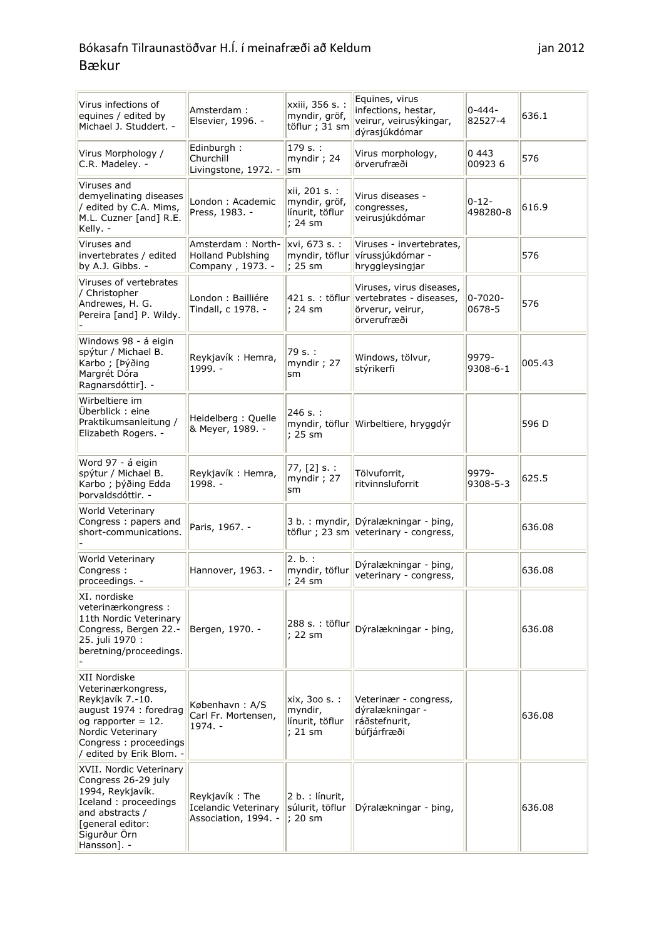| Virus infections of<br>equines / edited by<br>Michael J. Studdert. -                                                                                                                | Amsterdam:<br>Elsevier, 1996. -                                       | xxiii, 356 s. :<br>myndir, gröf,<br>töflur ; 31 sm           | Equines, virus<br>infections, hestar,<br>veirur, veirusýkingar,<br>dýrasjúkdómar       | $0 - 444 -$<br>82527-4  | 636.1  |
|-------------------------------------------------------------------------------------------------------------------------------------------------------------------------------------|-----------------------------------------------------------------------|--------------------------------------------------------------|----------------------------------------------------------------------------------------|-------------------------|--------|
| Virus Morphology /<br>C.R. Madeley. -                                                                                                                                               | Edinburgh:<br>Churchill<br>Livingstone, 1972. -                       | 179 s.<br>myndir ; 24<br> sm                                 | Virus morphology,<br>örverufræði                                                       | 0 4 4 3<br>00923 6      | 576    |
| Viruses and<br>demyelinating diseases<br>/ edited by C.A. Mims,<br>M.L. Cuzner [and] R.E.<br>Kelly. -                                                                               | London: Academic<br>Press, 1983. -                                    | xii, 201 s. :<br>myndir, gröf,<br>línurit, töflur<br>; 24 sm | Virus diseases -<br>congresses,<br>veirusjúkdómar                                      | $0 - 12 -$<br>498280-8  | 616.9  |
| Viruses and<br>invertebrates / edited<br>by A.J. Gibbs. -                                                                                                                           | Amsterdam: North-<br>Holland Publshing<br>Company, 1973. -            | xvi, 673 s. :<br>myndir, töflur<br>; 25 sm                   | Viruses - invertebrates,<br>vírussjúkdómar -<br>hryggleysingjar                        |                         | 576    |
| Viruses of vertebrates<br>/ Christopher<br>Andrewes, H. G.<br>Pereira [and] P. Wildy.                                                                                               | London : Bailliére<br>Tindall, c 1978. -                              | 421 s. : töflur<br>: 24 sm                                   | Viruses, virus diseases,<br>vertebrates - diseases,<br>örverur, veirur,<br>örverufræði | $0 - 7020 -$<br>0678-5  | 576    |
| Windows 98 - á eigin<br>spýtur / Michael B.<br>Karbo ; [Þýðing<br>Margrét Dóra<br>Ragnarsdóttir]. -                                                                                 | Reykjavík: Hemra,<br>1999. -                                          | 79 s. :<br>myndir; 27<br>sm                                  | Windows, tölvur,<br>stýrikerfi                                                         | 9979-<br>$9308 - 6 - 1$ | 005.43 |
| Wirbeltiere im<br>Überblick: eine<br>Praktikumsanleitung /<br>Elizabeth Rogers. -                                                                                                   | Heidelberg: Quelle<br>& Meyer, 1989. -                                | 246 s.:<br>: 25 sm                                           | myndir, töflur Wirbeltiere, hryggdýr                                                   |                         | 596 D  |
| Word 97 - á eigin<br>spýtur / Michael B.<br>Karbo ; þýðing Edda<br>Þorvaldsdóttir. -                                                                                                | Reykjavík: Hemra,<br>1998. -                                          | $77, [2]$ s. :<br>myndir; 27<br>sm                           | Tölvuforrit,<br>ritvinnsluforrit                                                       | 9979-<br>9308-5-3       | 625.5  |
| World Veterinary<br>Congress: papers and<br>short-communications.                                                                                                                   | Paris, 1967. -                                                        |                                                              | 3 b. : myndir, Dýralækningar - þing,<br>töflur ; 23 sm veterinary - congress,          |                         | 636.08 |
| World Veterinary<br>Congress:<br>proceedings. -                                                                                                                                     | Hannover, 1963. -                                                     | 2. b. :<br>myndir, töflur<br>; 24 sm                         | Dýralækningar - þing,<br>veterinary - congress,                                        |                         | 636.08 |
| XI. nordiske<br>veterinærkongress :<br>11th Nordic Veterinary<br>Congress, Bergen 22.-<br>25. juli 1970 :<br>beretning/proceedings.                                                 | Bergen, 1970. -                                                       | 288 s. : töflur<br>: 22 sm                                   | Dýralækningar - þing,                                                                  |                         | 636.08 |
| XII Nordiske<br>Veterinærkongress,<br>Reykjavík 7.-10.<br>august 1974 : foredrag<br>og rapporter $= 12$ .<br>Nordic Veterinary<br>Congress: proceedings<br>/ edited by Erik Blom. - | København: A/S<br>Carl Fr. Mortensen,<br>$1974. -$                    | xix, 300 s. :<br>myndir,<br>línurit, töflur<br>; 21 sm       | Veterinær - congress,<br>dýralækningar -<br>ráðstefnurit,<br>búfjárfræði               |                         | 636.08 |
| XVII. Nordic Veterinary<br>Congress 26-29 july<br>1994, Reykjavík.<br>Iceland : proceedings<br>and abstracts /<br>[general editor:<br>Sigurður Örn<br>Hansson]. -                   | Reykjavík: The<br><b>Icelandic Veterinary</b><br>Association, 1994. - | $2 b. :$ línurit,<br>súlurit, töflur<br>; 20 sm              | Dýralækningar - þing,                                                                  |                         | 636.08 |